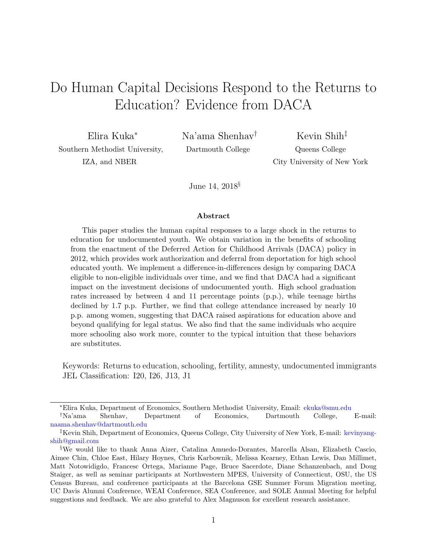# <span id="page-0-0"></span>Do Human Capital Decisions Respond to the Returns to Education? Evidence from DACA

Elira Kuka<sup>∗</sup> Southern Methodist University, IZA, and NBER

Na'ama Shenhav† Dartmouth College

Kevin Shih‡ Queens College City University of New York

June 14, 2018§

#### Abstract

This paper studies the human capital responses to a large shock in the returns to education for undocumented youth. We obtain variation in the benefits of schooling from the enactment of the Deferred Action for Childhood Arrivals (DACA) policy in 2012, which provides work authorization and deferral from deportation for high school educated youth. We implement a difference-in-differences design by comparing DACA eligible to non-eligible individuals over time, and we find that DACA had a significant impact on the investment decisions of undocumented youth. High school graduation rates increased by between 4 and 11 percentage points (p.p.), while teenage births declined by 1.7 p.p. Further, we find that college attendance increased by nearly 10 p.p. among women, suggesting that DACA raised aspirations for education above and beyond qualifying for legal status. We also find that the same individuals who acquire more schooling also work more, counter to the typical intuition that these behaviors are substitutes.

Keywords: Returns to education, schooling, fertility, amnesty, undocumented immigrants JEL Classification: I20, I26, J13, J1

<sup>∗</sup>Elira Kuka, Department of Economics, Southern Methodist University, Email: [ekuka@smu.edu](file:ekuka@smu.edu) †Na'ama Shenhav, Department of Economics, Dartmouth College, E-mail:

[naama.shenhav@dartmouth.edu](mailto:naama.shenhav@dartmouth.edu)

<sup>‡</sup>Kevin Shih, Department of Economics, Queens College, City University of New York, E-mail: [kevinyang](mailto:kevinyangshih@gmail.com)[shih@gmail.com](mailto:kevinyangshih@gmail.com)

<sup>§</sup>We would like to thank Anna Aizer, Catalina Amuedo-Dorantes, Marcella Alsan, Elizabeth Cascio, Aimee Chin, Chloe East, Hilary Hoynes, Chris Karbownik, Melissa Kearney, Ethan Lewis, Dan Millimet, Matt Notowidigdo, Francesc Ortega, Marianne Page, Bruce Sacerdote, Diane Schanzenbach, and Doug Staiger, as well as seminar participants at Northwestern MPES, University of Connecticut, OSU, the US Census Bureau, and conference participants at the Barcelona GSE Summer Forum Migration meeting, UC Davis Alumni Conference, WEAI Conference, SEA Conference, and SOLE Annual Meeting for helpful suggestions and feedback. We are also grateful to Alex Magnuson for excellent research assistance.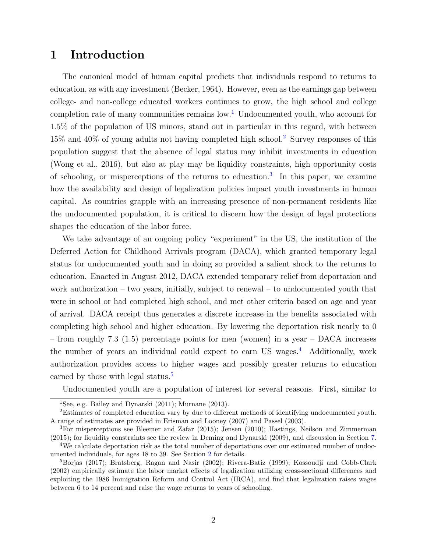### 1 Introduction

The canonical model of human capital predicts that individuals respond to returns to education, as with any investment [\(Becker,](#page-32-0) [1964\)](#page-32-0). However, even as the earnings gap between college- and non-college educated workers continues to grow, the high school and college completion rate of many communities remains  $\text{low}^1$  $\text{low}^1$ . Undocumented youth, who account for 1.5% of the population of US minors, stand out in particular in this regard, with between 15% and 40% of young adults not having completed high school.[2](#page-0-0) Survey responses of this population suggest that the absence of legal status may inhibit investments in education [\(Wong et al.,](#page-36-0) [2016\)](#page-36-0), but also at play may be liquidity constraints, high opportunity costs of schooling, or misperceptions of the returns to education.<sup>[3](#page-0-0)</sup> In this paper, we examine how the availability and design of legalization policies impact youth investments in human capital. As countries grapple with an increasing presence of non-permanent residents like the undocumented population, it is critical to discern how the design of legal protections shapes the education of the labor force.

We take advantage of an ongoing policy "experiment" in the US, the institution of the Deferred Action for Childhood Arrivals program (DACA), which granted temporary legal status for undocumented youth and in doing so provided a salient shock to the returns to education. Enacted in August 2012, DACA extended temporary relief from deportation and work authorization – two years, initially, subject to renewal – to undocumented youth that were in school or had completed high school, and met other criteria based on age and year of arrival. DACA receipt thus generates a discrete increase in the benefits associated with completing high school and higher education. By lowering the deportation risk nearly to 0 – from roughly 7.3 (1.5) percentage points for men (women) in a year – DACA increases the number of years an individual could expect to earn US wages.<sup>[4](#page-0-0)</sup> Additionally, work authorization provides access to higher wages and possibly greater returns to education earned by those with legal status.<sup>[5](#page-0-0)</sup>

Undocumented youth are a population of interest for several reasons. First, similar to

<sup>&</sup>lt;sup>1</sup>See, e.g. [Bailey and Dynarski](#page-32-1)  $(2011)$ ; [Murnane](#page-35-0)  $(2013)$ .

<sup>2</sup>Estimates of completed education vary by due to different methods of identifying undocumented youth. A range of estimates are provided in [Erisman and Looney](#page-33-0) [\(2007\)](#page-33-0) and [Passel](#page-35-1) [\(2003\)](#page-35-1).

<sup>3</sup>For misperceptions see [Bleemer and Zafar](#page-32-2) [\(2015\)](#page-32-2); [Jensen](#page-34-0) [\(2010\)](#page-34-0); [Hastings, Neilson and Zimmerman](#page-34-1) [\(2015\)](#page-34-1); for liquidity constraints see the review in [Deming and Dynarski](#page-33-1) [\(2009\)](#page-33-1), and discussion in Section [7.](#page-21-0)

<sup>4</sup>We calculate deportation risk as the total number of deportations over our estimated number of undocumented individuals, for ages 18 to 39. See Section [2](#page-6-0) for details.

<sup>5</sup>[Borjas](#page-33-2) [\(2017\)](#page-33-2); [Bratsberg, Ragan and Nasir](#page-33-3) [\(2002\)](#page-33-3); [Rivera-Batiz](#page-36-1) [\(1999\)](#page-36-1); [Kossoudji and Cobb-Clark](#page-34-2) [\(2002\)](#page-34-2) empirically estimate the labor market effects of legalization utilizing cross-sectional differences and exploiting the 1986 Immigration Reform and Control Act (IRCA), and find that legalization raises wages between 6 to 14 percent and raise the wage returns to years of schooling.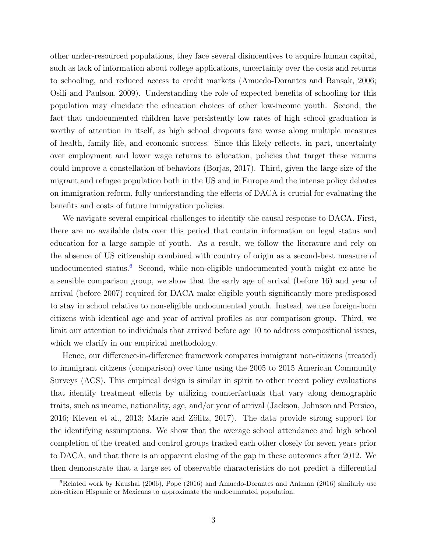other under-resourced populations, they face several disincentives to acquire human capital, such as lack of information about college applications, uncertainty over the costs and returns to schooling, and reduced access to credit markets [\(Amuedo-Dorantes and Bansak,](#page-32-3) [2006;](#page-32-3) [Osili and Paulson,](#page-35-2) [2009\)](#page-35-2). Understanding the role of expected benefits of schooling for this population may elucidate the education choices of other low-income youth. Second, the fact that undocumented children have persistently low rates of high school graduation is worthy of attention in itself, as high school dropouts fare worse along multiple measures of health, family life, and economic success. Since this likely reflects, in part, uncertainty over employment and lower wage returns to education, policies that target these returns could improve a constellation of behaviors [\(Borjas,](#page-33-2) [2017\)](#page-33-2). Third, given the large size of the migrant and refugee population both in the US and in Europe and the intense policy debates on immigration reform, fully understanding the effects of DACA is crucial for evaluating the benefits and costs of future immigration policies.

We navigate several empirical challenges to identify the causal response to DACA. First, there are no available data over this period that contain information on legal status and education for a large sample of youth. As a result, we follow the literature and rely on the absence of US citizenship combined with country of origin as a second-best measure of undocumented status.<sup>[6](#page-0-0)</sup> Second, while non-eligible undocumented youth might ex-ante be a sensible comparison group, we show that the early age of arrival (before 16) and year of arrival (before 2007) required for DACA make eligible youth significantly more predisposed to stay in school relative to non-eligible undocumented youth. Instead, we use foreign-born citizens with identical age and year of arrival profiles as our comparison group. Third, we limit our attention to individuals that arrived before age 10 to address compositional issues, which we clarify in our empirical methodology.

Hence, our difference-in-difference framework compares immigrant non-citizens (treated) to immigrant citizens (comparison) over time using the 2005 to 2015 American Community Surveys (ACS). This empirical design is similar in spirit to other recent policy evaluations that identify treatment effects by utilizing counterfactuals that vary along demographic traits, such as income, nationality, age, and/or year of arrival [\(Jackson, Johnson and Persico,](#page-34-3) [2016;](#page-34-3) [Kleven et al.,](#page-34-4) [2013;](#page-34-4) Marie and Zölitz, [2017\)](#page-35-3). The data provide strong support for the identifying assumptions. We show that the average school attendance and high school completion of the treated and control groups tracked each other closely for seven years prior to DACA, and that there is an apparent closing of the gap in these outcomes after 2012. We then demonstrate that a large set of observable characteristics do not predict a differential

 ${}^{6}$ Related work by [Kaushal](#page-34-5) [\(2006\)](#page-34-5), [Pope](#page-36-2) [\(2016\)](#page-32-4) and [Amuedo-Dorantes and Antman](#page-32-4) (2016) similarly use non-citizen Hispanic or Mexicans to approximate the undocumented population.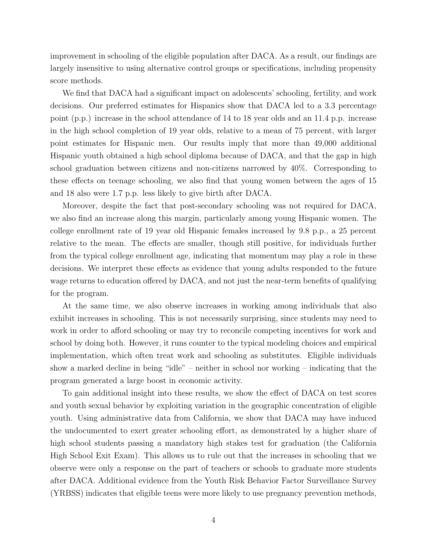improvement in schooling of the eligible population after DACA. As a result, our findings are largely insensitive to using alternative control groups or specifications, including propensity score methods.

We find that DACA had a significant impact on adolescents' schooling, fertility, and work decisions. Our preferred estimates for Hispanics show that DACA led to a 3.3 percentage point (p.p.) increase in the school attendance of 14 to 18 year olds and an 11.4 p.p. increase in the high school completion of 19 year olds, relative to a mean of 75 percent, with larger point estimates for Hispanic men. Our results imply that more than 49,000 additional Hispanic youth obtained a high school diploma because of DACA, and that the gap in high school graduation between citizens and non-citizens narrowed by 40%. Corresponding to these effects on teenage schooling, we also find that young women between the ages of 15 and 18 also were 1.7 p.p. less likely to give birth after DACA.

Moreover, despite the fact that post-secondary schooling was not required for DACA, we also find an increase along this margin, particularly among young Hispanic women. The college enrollment rate of 19 year old Hispanic females increased by 9.8 p.p., a 25 percent relative to the mean. The effects are smaller, though still positive, for individuals further from the typical college enrollment age, indicating that momentum may play a role in these decisions. We interpret these effects as evidence that young adults responded to the future wage returns to education offered by DACA, and not just the near-term benefits of qualifying for the program.

At the same time, we also observe increases in working among individuals that also exhibit increases in schooling. This is not necessarily surprising, since students may need to work in order to afford schooling or may try to reconcile competing incentives for work and school by doing both. However, it runs counter to the typical modeling choices and empirical implementation, which often treat work and schooling as substitutes. Eligible individuals show a marked decline in being "idle" – neither in school nor working – indicating that the program generated a large boost in economic activity.

To gain additional insight into these results, we show the effect of DACA on test scores and youth sexual behavior by exploiting variation in the geographic concentration of eligible youth. Using administrative data from California, we show that DACA may have induced the undocumented to exert greater schooling effort, as demonstrated by a higher share of high school students passing a mandatory high stakes test for graduation (the California High School Exit Exam). This allows us to rule out that the increases in schooling that we observe were only a response on the part of teachers or schools to graduate more students after DACA. Additional evidence from the Youth Risk Behavior Factor Surveillance Survey (YRBSS) indicates that eligible teens were more likely to use pregnancy prevention methods,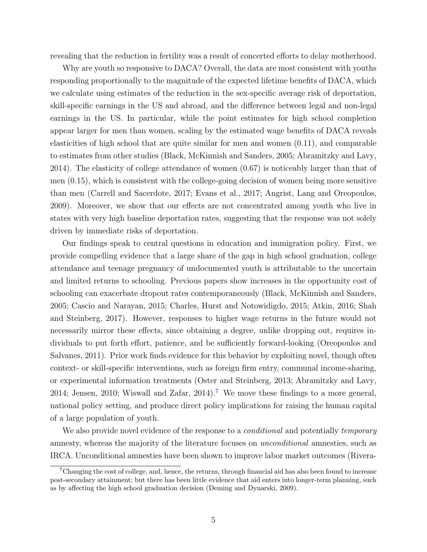revealing that the reduction in fertility was a result of concerted efforts to delay motherhood.

Why are youth so responsive to DACA? Overall, the data are most consistent with youths responding proportionally to the magnitude of the expected lifetime benefits of DACA, which we calculate using estimates of the reduction in the sex-specific average risk of deportation, skill-specific earnings in the US and abroad, and the difference between legal and non-legal earnings in the US. In particular, while the point estimates for high school completion appear larger for men than women, scaling by the estimated wage benefits of DACA reveals elasticities of high school that are quite similar for men and women (0.11), and comparable to estimates from other studies [\(Black, McKinnish and Sanders,](#page-32-5) [2005;](#page-32-5) [Abramitzky and Lavy,](#page-32-6) [2014\)](#page-32-6). The elasticity of college attendance of women (0.67) is noticeably larger than that of men (0.15), which is consistent with the college-going decision of women being more sensitive than men [\(Carrell and Sacerdote,](#page-33-4) [2017;](#page-33-4) [Evans et al.,](#page-33-5) [2017;](#page-33-5) [Angrist, Lang and Oreopoulos,](#page-32-7) [2009\)](#page-32-7). Moreover, we show that our effects are not concentrated among youth who live in states with very high baseline deportation rates, suggesting that the response was not solely driven by immediate risks of deportation.

Our findings speak to central questions in education and immigration policy. First, we provide compelling evidence that a large share of the gap in high school graduation, college attendance and teenage pregnancy of undocumented youth is attributable to the uncertain and limited returns to schooling. Previous papers show increases in the opportunity cost of schooling can exacerbate dropout rates contemporaneously [\(Black, McKinnish and Sanders,](#page-32-5) [2005;](#page-32-5) [Cascio and Narayan,](#page-33-6) [2015;](#page-33-6) [Charles, Hurst and Notowidigdo,](#page-33-7) [2015;](#page-33-7) [Atkin,](#page-32-8) [2016;](#page-32-8) [Shah](#page-36-3) [and Steinberg,](#page-36-3) [2017\)](#page-36-3). However, responses to higher wage returns in the future would not necessarily mirror these effects, since obtaining a degree, unlike dropping out, requires individuals to put forth effort, patience, and be sufficiently forward-looking [\(Oreopoulos and](#page-35-4) [Salvanes,](#page-35-4) [2011\)](#page-35-4). Prior work finds evidence for this behavior by exploiting novel, though often context- or skill-specific interventions, such as foreign firm entry, communal income-sharing, or experimental information treatments [\(Oster and Steinberg,](#page-35-5) [2013;](#page-35-5) [Abramitzky and Lavy,](#page-32-6) [2014;](#page-32-6) [Jensen,](#page-34-0) [2010;](#page-34-0) [Wiswall and Zafar,](#page-36-4) [2014\)](#page-36-4).<sup>[7](#page-0-0)</sup> We move these findings to a more general, national policy setting, and produce direct policy implications for raising the human capital of a large population of youth.

We also provide novel evidence of the response to a *conditional* and potentially *temporary* amnesty, whereas the majority of the literature focuses on unconditional amnesties, such as IRCA. Unconditional amnesties have been shown to improve labor market outcomes [\(Rivera-](#page-36-1)

<sup>7</sup>[Changing the cost of college, and, hence, the returns, through financial aid has also been found to increase](#page-36-1) [post-secondary attainment; but there has been little evidence that aid enters into longer-term planning, such](#page-36-1) [as by affecting the high school graduation decision \(Deming and Dynarski,](#page-36-1) [2009\)](#page-33-1).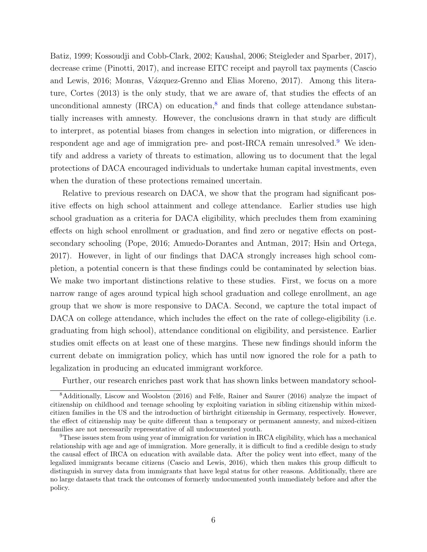[Batiz,](#page-36-1) [1999;](#page-36-1) [Kossoudji and Cobb-Clark,](#page-34-2) [2002;](#page-34-2) [Kaushal,](#page-34-5) [2006;](#page-34-5) [Steigleder and Sparber,](#page-36-5) [2017\)](#page-36-5), decrease crime [\(Pinotti,](#page-36-6) [2017\)](#page-36-6), and increase EITC receipt and payroll tax payments [\(Cascio](#page-33-8) [and Lewis,](#page-33-8) [2016;](#page-33-8) Monras, Vázquez-Grenno and Elias Moreno, [2017\)](#page-35-6). Among this literature, [Cortes](#page-33-9) [\(2013\)](#page-33-9) is the only study, that we are aware of, that studies the effects of an unconditional amnesty (IRCA) on education,<sup>[8](#page-0-0)</sup> and finds that college attendance substantially increases with amnesty. However, the conclusions drawn in that study are difficult to interpret, as potential biases from changes in selection into migration, or differences in respondent age and age of immigration pre- and post-IRCA remain unresolved.[9](#page-0-0) We identify and address a variety of threats to estimation, allowing us to document that the legal protections of DACA encouraged individuals to undertake human capital investments, even when the duration of these protections remained uncertain.

Relative to previous research on DACA, we show that the program had significant positive effects on high school attainment and college attendance. Earlier studies use high school graduation as a criteria for DACA eligibility, which precludes them from examining effects on high school enrollment or graduation, and find zero or negative effects on postsecondary schooling [\(Pope,](#page-36-2) [2016;](#page-36-2) [Amuedo-Dorantes and Antman,](#page-32-9) [2017;](#page-32-9) [Hsin and Ortega,](#page-34-6) [2017\)](#page-34-6). However, in light of our findings that DACA strongly increases high school completion, a potential concern is that these findings could be contaminated by selection bias. We make two important distinctions relative to these studies. First, we focus on a more narrow range of ages around typical high school graduation and college enrollment, an age group that we show is more responsive to DACA. Second, we capture the total impact of DACA on college attendance, which includes the effect on the rate of college-eligibility (i.e. graduating from high school), attendance conditional on eligibility, and persistence. Earlier studies omit effects on at least one of these margins. These new findings should inform the current debate on immigration policy, which has until now ignored the role for a path to legalization in producing an educated immigrant workforce.

Further, our research enriches past work that has shown links between mandatory school-

<sup>8</sup>Additionally, [Liscow and Woolston](#page-35-7) [\(2016\)](#page-35-7) and [Felfe, Rainer and Saurer](#page-33-10) [\(2016\)](#page-33-10) analyze the impact of citizenship on childhood and teenage schooling by exploiting variation in sibling citizenship within mixedcitizen families in the US and the introduction of birthright citizenship in Germany, respectively. However, the effect of citizenship may be quite different than a temporary or permanent amnesty, and mixed-citizen families are not necessarily representative of all undocumented youth.

<sup>&</sup>lt;sup>9</sup>These issues stem from using year of immigration for variation in IRCA eligibility, which has a mechanical relationship with age and age of immigration. More generally, it is difficult to find a credible design to study the causal effect of IRCA on education with available data. After the policy went into effect, many of the legalized immigrants became citizens [\(Cascio and Lewis,](#page-33-8) [2016\)](#page-33-8), which then makes this group difficult to distinguish in survey data from immigrants that have legal status for other reasons. Additionally, there are no large datasets that track the outcomes of formerly undocumented youth immediately before and after the policy.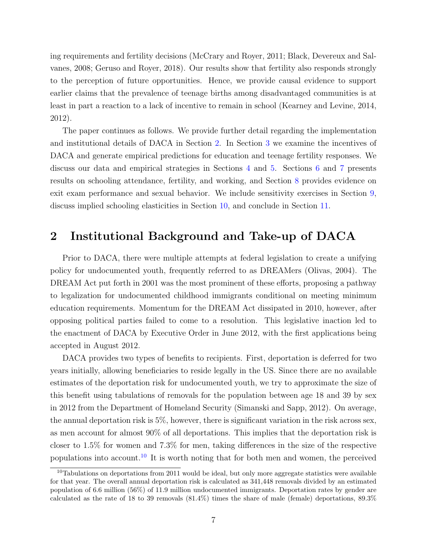ing requirements and fertility decisions [\(McCrary and Royer,](#page-35-8) [2011;](#page-35-8) [Black, Devereux and Sal](#page-32-10)[vanes,](#page-32-10) [2008;](#page-32-10) [Geruso and Royer,](#page-34-7) [2018\)](#page-34-7). Our results show that fertility also responds strongly to the perception of future opportunities. Hence, we provide causal evidence to support earlier claims that the prevalence of teenage births among disadvantaged communities is at least in part a reaction to a lack of incentive to remain in school [\(Kearney and Levine,](#page-34-8) [2014,](#page-34-8) [2012\)](#page-34-9).

The paper continues as follows. We provide further detail regarding the implementation and institutional details of DACA in Section [2.](#page-6-0) In Section [3](#page-8-0) we examine the incentives of DACA and generate empirical predictions for education and teenage fertility responses. We discuss our data and empirical strategies in Sections [4](#page-10-0) and [5.](#page-12-0) Sections [6](#page-17-0) and [7](#page-21-0) presents results on schooling attendance, fertility, and working, and Section [8](#page-24-0) provides evidence on exit exam performance and sexual behavior. We include sensitivity exercises in Section [9,](#page-26-0) discuss implied schooling elasticities in Section [10,](#page-28-0) and conclude in Section [11.](#page-30-0)

### <span id="page-6-0"></span>2 Institutional Background and Take-up of DACA

Prior to DACA, there were multiple attempts at federal legislation to create a unifying policy for undocumented youth, frequently referred to as DREAMers [\(Olivas,](#page-35-9) [2004\)](#page-35-9). The DREAM Act put forth in 2001 was the most prominent of these efforts, proposing a pathway to legalization for undocumented childhood immigrants conditional on meeting minimum education requirements. Momentum for the DREAM Act dissipated in 2010, however, after opposing political parties failed to come to a resolution. This legislative inaction led to the enactment of DACA by Executive Order in June 2012, with the first applications being accepted in August 2012.

DACA provides two types of benefits to recipients. First, deportation is deferred for two years initially, allowing beneficiaries to reside legally in the US. Since there are no available estimates of the deportation risk for undocumented youth, we try to approximate the size of this benefit using tabulations of removals for the population between age 18 and 39 by sex in 2012 from the Department of Homeland Security [\(Simanski and Sapp,](#page-36-7) [2012\)](#page-36-7). On average, the annual deportation risk is 5%, however, there is significant variation in the risk across sex, as men account for almost 90% of all deportations. This implies that the deportation risk is closer to 1.5% for women and 7.3% for men, taking differences in the size of the respective populations into account.<sup>[10](#page-0-0)</sup> It is worth noting that for both men and women, the perceived

 $10$ Tabulations on deportations from 2011 would be ideal, but only more aggregate statistics were available for that year. The overall annual deportation risk is calculated as 341,448 removals divided by an estimated population of 6.6 million (56%) of 11.9 million undocumented immigrants. Deportation rates by gender are calculated as the rate of 18 to 39 removals (81.4%) times the share of male (female) deportations, 89.3%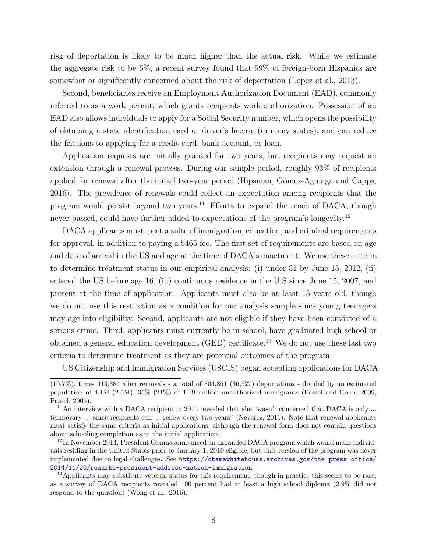risk of deportation is likely to be much higher than the actual risk. While we estimate the aggregate risk to be 5%, a recent survey found that 59% of foreign-born Hispanics are somewhat or significantly concerned about the risk of deportation [\(Lopez et al.,](#page-35-10) [2013\)](#page-35-10).

Second, beneficiaries receive an Employment Authorization Document (EAD), commonly referred to as a work permit, which grants recipients work authorization. Possession of an EAD also allows individuals to apply for a Social Security number, which opens the possibility of obtaining a state identification card or driver's license (in many states), and can reduce the frictions to applying for a credit card, bank account, or loan.

Application requests are initially granted for two years, but recipients may request an extension through a renewal process. During our sample period, roughly 93% of recipients applied for renewal after the initial two-year period (Hipsman, Gómez-Aguiaga and Capps, [2016\)](#page-34-10). The prevalence of renewals could reflect an expectation among recipients that the program would persist beyond two years. $11$  Efforts to expand the reach of DACA, though never passed, could have further added to expectations of the program's longevity.<sup>[12](#page-0-0)</sup>

DACA applicants must meet a suite of immigration, education, and criminal requirements for approval, in addition to paying a \$465 fee. The first set of requirements are based on age and date of arrival in the US and age at the time of DACA's enactment. We use these criteria to determine treatment status in our empirical analysis: (i) under 31 by June 15, 2012, (ii) entered the US before age 16, (iii) continuous residence in the U.S since June 15, 2007, and present at the time of application. Applicants must also be at least 15 years old, though we do not use this restriction as a condition for our analysis sample since young teenagers may age into eligibility. Second, applicants are not eligible if they have been convicted of a serious crime. Third, applicants must currently be in school, have graduated high school or obtained a general education development (GED) certificate.<sup>[13](#page-0-0)</sup> We do not use these last two criteria to determine treatment as they are potential outcomes of the program.

US Citizenship and Immigration Services (USCIS) began accepting applications for DACA

<sup>(10.7%),</sup> times 419,384 alien removals - a total of 304,851 (36,527) deportations - divided by an estimated population of 4.1M (2.5M), 35% (21%) of 11.9 million unauthorized immigrants [\(Passel and Cohn,](#page-35-11) [2009;](#page-35-11) [Passel,](#page-35-12) [2005\)](#page-35-12).

<sup>&</sup>lt;sup>11</sup>An interview with a DACA recipient in 2015 revealed that she "wasn't concerned that DACA is only ... temporary ... since recipients can ... renew every two years" [\(Nevarez,](#page-35-13) [2015\)](#page-35-13). Note that renewal applicants must satisfy the same criteria as initial applications, although the renewal form does not contain questions about schooling completion as in the initial application.

<sup>&</sup>lt;sup>12</sup>In November 2014, President Obama announced an expanded DACA program which would make individuals residing in the United States prior to January 1, 2010 eligible, but that version of the program was never implemented due to legal challenges. See [https://obamawhitehouse.archives.gov/the-press-office/](https://obamawhitehouse.archives.gov/the-press-office/2014/11/20/remarks-president-address-nation-immigration) [2014/11/20/remarks-president-address-nation-immigration](https://obamawhitehouse.archives.gov/the-press-office/2014/11/20/remarks-president-address-nation-immigration).

<sup>&</sup>lt;sup>13</sup>Applicants may substitute veteran status for this requirement, though in practice this seems to be rare, as a survey of DACA recipients revealed 100 percent had at least a high school diploma (2.9% did not respond to the question) [\(Wong et al.,](#page-36-0) [2016\)](#page-36-0).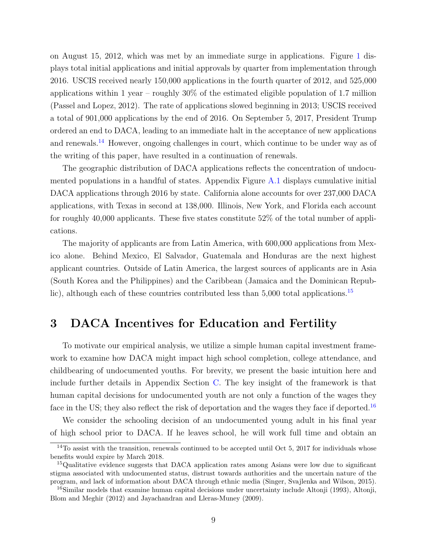on August 15, 2012, which was met by an immediate surge in applications. Figure [1](#page-37-0) displays total initial applications and initial approvals by quarter from implementation through 2016. USCIS received nearly 150,000 applications in the fourth quarter of 2012, and 525,000 applications within 1 year – roughly  $30\%$  of the estimated eligible population of 1.7 million [\(Passel and Lopez,](#page-35-14) [2012\)](#page-35-14). The rate of applications slowed beginning in 2013; USCIS received a total of 901,000 applications by the end of 2016. On September 5, 2017, President Trump ordered an end to DACA, leading to an immediate halt in the acceptance of new applications and renewals.[14](#page-0-0) However, ongoing challenges in court, which continue to be under way as of the writing of this paper, have resulted in a continuation of renewals.

The geographic distribution of DACA applications reflects the concentration of undocumented populations in a handful of states. Appendix Figure [A.1](#page-51-0) displays cumulative initial DACA applications through 2016 by state. California alone accounts for over 237,000 DACA applications, with Texas in second at 138,000. Illinois, New York, and Florida each account for roughly 40,000 applicants. These five states constitute 52% of the total number of applications.

The majority of applicants are from Latin America, with 600,000 applications from Mexico alone. Behind Mexico, El Salvador, Guatemala and Honduras are the next highest applicant countries. Outside of Latin America, the largest sources of applicants are in Asia (South Korea and the Philippines) and the Caribbean (Jamaica and the Dominican Republic), although each of these countries contributed less than  $5,000$  total applications.<sup>[15](#page-0-0)</sup>

# <span id="page-8-0"></span>3 DACA Incentives for Education and Fertility

To motivate our empirical analysis, we utilize a simple human capital investment framework to examine how DACA might impact high school completion, college attendance, and childbearing of undocumented youths. For brevity, we present the basic intuition here and include further details in Appendix Section [C.](#page-66-0) The key insight of the framework is that human capital decisions for undocumented youth are not only a function of the wages they face in the US; they also reflect the risk of deportation and the wages they face if deported.<sup>[16](#page-0-0)</sup>

We consider the schooling decision of an undocumented young adult in his final year of high school prior to DACA. If he leaves school, he will work full time and obtain an

 $14$ To assist with the transition, renewals continued to be accepted until Oct 5, 2017 for individuals whose benefits would expire by March 2018.

<sup>&</sup>lt;sup>15</sup>Qualitative evidence suggests that DACA application rates among Asians were low due to significant stigma associated with undocumented status, distrust towards authorities and the uncertain nature of the program, and lack of information about DACA through ethnic media [\(Singer, Svajlenka and Wilson,](#page-36-8) [2015\)](#page-36-8).

<sup>&</sup>lt;sup>16</sup>Similar models that examine human capital decisions under uncertainty include [Altonji](#page-32-11) [\(1993\)](#page-32-11), [Altonji,](#page-32-12) [Blom and Meghir](#page-32-12) [\(2012\)](#page-32-12) and [Jayachandran and Lleras-Muney](#page-34-11) [\(2009\)](#page-34-11).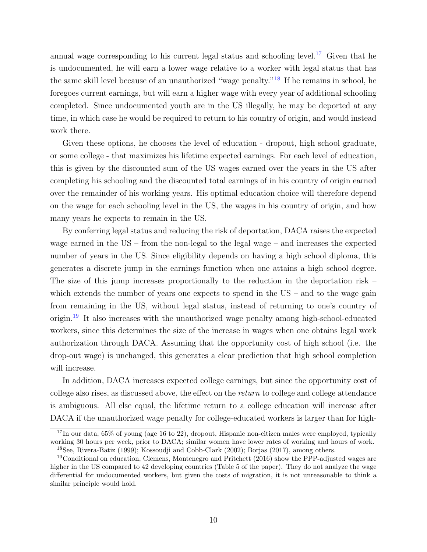annual wage corresponding to his current legal status and schooling level.<sup>[17](#page-0-0)</sup> Given that he is undocumented, he will earn a lower wage relative to a worker with legal status that has the same skill level because of an unauthorized "wage penalty."[18](#page-0-0) If he remains in school, he foregoes current earnings, but will earn a higher wage with every year of additional schooling completed. Since undocumented youth are in the US illegally, he may be deported at any time, in which case he would be required to return to his country of origin, and would instead work there.

Given these options, he chooses the level of education - dropout, high school graduate, or some college - that maximizes his lifetime expected earnings. For each level of education, this is given by the discounted sum of the US wages earned over the years in the US after completing his schooling and the discounted total earnings of in his country of origin earned over the remainder of his working years. His optimal education choice will therefore depend on the wage for each schooling level in the US, the wages in his country of origin, and how many years he expects to remain in the US.

By conferring legal status and reducing the risk of deportation, DACA raises the expected wage earned in the US – from the non-legal to the legal wage – and increases the expected number of years in the US. Since eligibility depends on having a high school diploma, this generates a discrete jump in the earnings function when one attains a high school degree. The size of this jump increases proportionally to the reduction in the deportation risk – which extends the number of years one expects to spend in the  $US -$  and to the wage gain from remaining in the US, without legal status, instead of returning to one's country of origin.<sup>[19](#page-0-0)</sup> It also increases with the unauthorized wage penalty among high-school-educated workers, since this determines the size of the increase in wages when one obtains legal work authorization through DACA. Assuming that the opportunity cost of high school (i.e. the drop-out wage) is unchanged, this generates a clear prediction that high school completion will increase.

In addition, DACA increases expected college earnings, but since the opportunity cost of college also rises, as discussed above, the effect on the return to college and college attendance is ambiguous. All else equal, the lifetime return to a college education will increase after DACA if the unauthorized wage penalty for college-educated workers is larger than for high-

<sup>&</sup>lt;sup>17</sup>In our data, 65% of young (age 16 to 22), dropout, Hispanic non-citizen males were employed, typically working 30 hours per week, prior to DACA; similar women have lower rates of working and hours of work.

<sup>18</sup>See, [Rivera-Batiz](#page-36-1) [\(1999\)](#page-36-1); [Kossoudji and Cobb-Clark](#page-34-2) [\(2002\)](#page-34-2); [Borjas](#page-33-2) [\(2017\)](#page-33-2), among others.

 $19$ Conditional on education, [Clemens, Montenegro and Pritchett](#page-33-11) [\(2016\)](#page-33-11) show the PPP-adjusted wages are higher in the US compared to 42 developing countries (Table 5 of the paper). They do not analyze the wage differential for undocumented workers, but given the costs of migration, it is not unreasonable to think a similar principle would hold.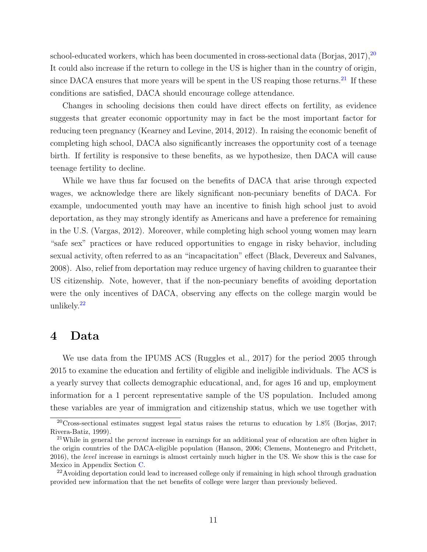school-educated workers, which has been documented in cross-sectional data [\(Borjas,](#page-33-2) [2017\)](#page-33-2),  $20$ It could also increase if the return to college in the US is higher than in the country of origin, since DACA ensures that more years will be spent in the US reaping those returns.<sup>[21](#page-0-0)</sup> If these conditions are satisfied, DACA should encourage college attendance.

Changes in schooling decisions then could have direct effects on fertility, as evidence suggests that greater economic opportunity may in fact be the most important factor for reducing teen pregnancy [\(Kearney and Levine,](#page-34-8) [2014,](#page-34-8) [2012\)](#page-34-9). In raising the economic benefit of completing high school, DACA also significantly increases the opportunity cost of a teenage birth. If fertility is responsive to these benefits, as we hypothesize, then DACA will cause teenage fertility to decline.

While we have thus far focused on the benefits of DACA that arise through expected wages, we acknowledge there are likely significant non-pecuniary benefits of DACA. For example, undocumented youth may have an incentive to finish high school just to avoid deportation, as they may strongly identify as Americans and have a preference for remaining in the U.S. [\(Vargas,](#page-36-9) [2012\)](#page-36-9). Moreover, while completing high school young women may learn "safe sex" practices or have reduced opportunities to engage in risky behavior, including sexual activity, often referred to as an "incapacitation" effect [\(Black, Devereux and Salvanes,](#page-32-10) [2008\)](#page-32-10). Also, relief from deportation may reduce urgency of having children to guarantee their US citizenship. Note, however, that if the non-pecuniary benefits of avoiding deportation were the only incentives of DACA, observing any effects on the college margin would be unlikely.[22](#page-0-0)

### <span id="page-10-0"></span>4 Data

We use data from the IPUMS ACS [\(Ruggles et al.,](#page-36-10) [2017\)](#page-36-10) for the period 2005 through 2015 to examine the education and fertility of eligible and ineligible individuals. The ACS is a yearly survey that collects demographic educational, and, for ages 16 and up, employment information for a 1 percent representative sample of the US population. Included among these variables are year of immigration and citizenship status, which we use together with

<sup>20</sup>Cross-sectional estimates suggest legal status raises the returns to education by 1.8% [\(Borjas,](#page-33-2) [2017;](#page-33-2) [Rivera-Batiz,](#page-36-1) [1999\)](#page-36-1).

<sup>&</sup>lt;sup>21</sup>While in general the *percent* increase in earnings for an additional year of education are often higher in the origin countries of the DACA-eligible population [\(Hanson,](#page-34-12) [2006;](#page-34-12) [Clemens, Montenegro and Pritchett,](#page-33-11) [2016\)](#page-33-11), the level increase in earnings is almost certainly much higher in the US. We show this is the case for Mexico in Appendix Section [C.](#page-66-0)

<sup>&</sup>lt;sup>22</sup>Avoiding deportation could lead to increased college only if remaining in high school through graduation provided new information that the net benefits of college were larger than previously believed.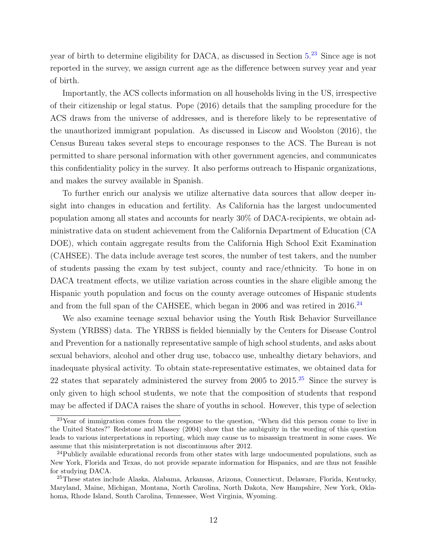year of birth to determine eligibility for DACA, as discussed in Section  $5.^{23}$  $5.^{23}$  $5.^{23}$  $5.^{23}$  Since age is not reported in the survey, we assign current age as the difference between survey year and year of birth.

Importantly, the ACS collects information on all households living in the US, irrespective of their citizenship or legal status. [Pope](#page-36-2) [\(2016\)](#page-36-2) details that the sampling procedure for the ACS draws from the universe of addresses, and is therefore likely to be representative of the unauthorized immigrant population. As discussed in [Liscow and Woolston](#page-35-7) [\(2016\)](#page-35-7), the Census Bureau takes several steps to encourage responses to the ACS. The Bureau is not permitted to share personal information with other government agencies, and communicates this confidentiality policy in the survey. It also performs outreach to Hispanic organizations, and makes the survey available in Spanish.

To further enrich our analysis we utilize alternative data sources that allow deeper insight into changes in education and fertility. As California has the largest undocumented population among all states and accounts for nearly 30% of DACA-recipients, we obtain administrative data on student achievement from the California Department of Education (CA DOE), which contain aggregate results from the California High School Exit Examination (CAHSEE). The data include average test scores, the number of test takers, and the number of students passing the exam by test subject, county and race/ethnicity. To hone in on DACA treatment effects, we utilize variation across counties in the share eligible among the Hispanic youth population and focus on the county average outcomes of Hispanic students and from the full span of the CAHSEE, which began in 2006 and was retired in  $2016<sup>24</sup>$  $2016<sup>24</sup>$  $2016<sup>24</sup>$ 

We also examine teenage sexual behavior using the Youth Risk Behavior Surveillance System (YRBSS) data. The YRBSS is fielded biennially by the Centers for Disease Control and Prevention for a nationally representative sample of high school students, and asks about sexual behaviors, alcohol and other drug use, tobacco use, unhealthy dietary behaviors, and inadequate physical activity. To obtain state-representative estimates, we obtained data for 22 states that separately administered the survey from 2005 to  $2015<sup>25</sup>$  $2015<sup>25</sup>$  $2015<sup>25</sup>$  Since the survey is only given to high school students, we note that the composition of students that respond may be affected if DACA raises the share of youths in school. However, this type of selection

<sup>&</sup>lt;sup>23</sup>Year of immigration comes from the response to the question, "When did this person come to live in the United States?" [Redstone and Massey](#page-36-11) [\(2004\)](#page-36-11) show that the ambiguity in the wording of this question leads to various interpretations in reporting, which may cause us to misassign treatment in some cases. We assume that this misinterpretation is not discontinuous after 2012.

<sup>&</sup>lt;sup>24</sup>Publicly available educational records from other states with large undocumented populations, such as New York, Florida and Texas, do not provide separate information for Hispanics, and are thus not feasible for studying DACA.

<sup>25</sup>These states include Alaska, Alabama, Arkansas, Arizona, Connecticut, Delaware, Florida, Kentucky, Maryland, Maine, Michigan, Montana, North Carolina, North Dakota, New Hampshire, New York, Oklahoma, Rhode Island, South Carolina, Tennessee, West Virginia, Wyoming.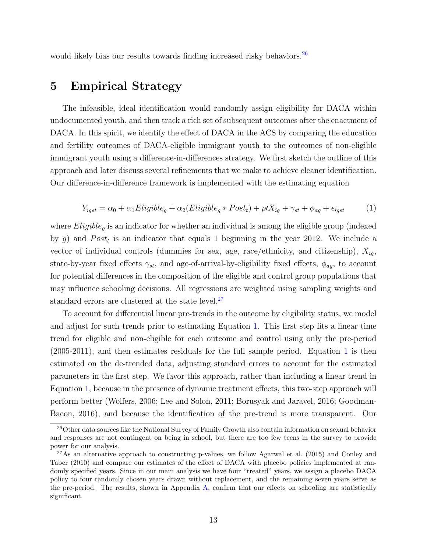would likely bias our results towards finding increased risky behaviors.<sup>[26](#page-0-0)</sup>

# <span id="page-12-0"></span>5 Empirical Strategy

The infeasible, ideal identification would randomly assign eligibility for DACA within undocumented youth, and then track a rich set of subsequent outcomes after the enactment of DACA. In this spirit, we identify the effect of DACA in the ACS by comparing the education and fertility outcomes of DACA-eligible immigrant youth to the outcomes of non-eligible immigrant youth using a difference-in-differences strategy. We first sketch the outline of this approach and later discuss several refinements that we make to achieve cleaner identification. Our difference-in-difference framework is implemented with the estimating equation

$$
Y_{igst} = \alpha_0 + \alpha_1 Eligible_g + \alpha_2 (Eligible_g * Post_t) + \rho t X_{ig} + \gamma_{st} + \phi_{ag} + \epsilon_{igst}
$$
 (1)

<span id="page-12-1"></span>where  $Eligible<sub>g</sub>$  is an indicator for whether an individual is among the eligible group (indexed by g) and  $Post<sub>t</sub>$  is an indicator that equals 1 beginning in the year 2012. We include a vector of individual controls (dummies for sex, age, race/ethnicity, and citizenship),  $X_{iq}$ , state-by-year fixed effects  $\gamma_{st}$ , and age-of-arrival-by-eligibility fixed effects,  $\phi_{ag}$ , to account for potential differences in the composition of the eligible and control group populations that may influence schooling decisions. All regressions are weighted using sampling weights and standard errors are clustered at the state level.<sup>[27](#page-0-0)</sup>

To account for differential linear pre-trends in the outcome by eligibility status, we model and adjust for such trends prior to estimating Equation [1.](#page-12-1) This first step fits a linear time trend for eligible and non-eligible for each outcome and control using only the pre-period (2005-2011), and then estimates residuals for the full sample period. Equation [1](#page-12-1) is then estimated on the de-trended data, adjusting standard errors to account for the estimated parameters in the first step. We favor this approach, rather than including a linear trend in Equation [1,](#page-12-1) because in the presence of dynamic treatment effects, this two-step approach will perform better [\(Wolfers,](#page-36-12) [2006;](#page-36-12) [Lee and Solon,](#page-35-15) [2011;](#page-35-15) [Borusyak and Jaravel,](#page-33-12) [2016;](#page-33-12) [Goodman-](#page-34-13)[Bacon,](#page-34-13) [2016\)](#page-34-13), and because the identification of the pre-trend is more transparent. Our

<sup>&</sup>lt;sup>26</sup>Other data sources like the National Survey of Family Growth also contain information on sexual behavior and responses are not contingent on being in school, but there are too few teens in the survey to provide power for our analysis.

<sup>27</sup>As an alternative approach to constructing p-values, we follow [Agarwal et al.](#page-32-13) [\(2015\)](#page-32-13) and [Conley and](#page-33-13) [Taber](#page-33-13) [\(2010\)](#page-33-13) and compare our estimates of the effect of DACA with placebo policies implemented at randomly specified years. Since in our main analysis we have four "treated" years, we assign a placebo DACA policy to four randomly chosen years drawn without replacement, and the remaining seven years serve as the pre-period. The results, shown in Appendix [A,](#page-51-1) confirm that our effects on schooling are statistically significant.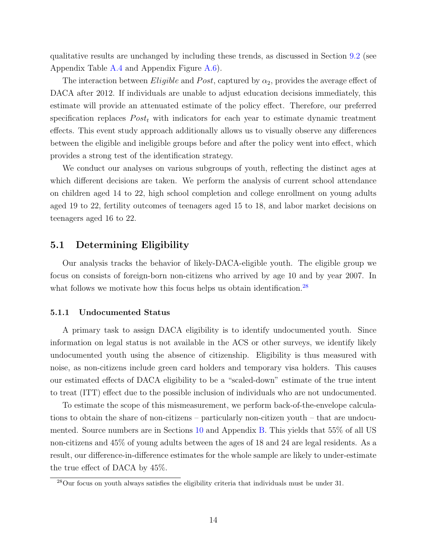qualitative results are unchanged by including these trends, as discussed in Section [9.2](#page-27-0) (see Appendix Table [A.4](#page-61-0) and Appendix Figure [A.6\)](#page-56-0).

The interaction between *Eligible* and Post, captured by  $\alpha_2$ , provides the average effect of DACA after 2012. If individuals are unable to adjust education decisions immediately, this estimate will provide an attenuated estimate of the policy effect. Therefore, our preferred specification replaces  $Post<sub>t</sub>$  with indicators for each year to estimate dynamic treatment effects. This event study approach additionally allows us to visually observe any differences between the eligible and ineligible groups before and after the policy went into effect, which provides a strong test of the identification strategy.

We conduct our analyses on various subgroups of youth, reflecting the distinct ages at which different decisions are taken. We perform the analysis of current school attendance on children aged 14 to 22, high school completion and college enrollment on young adults aged 19 to 22, fertility outcomes of teenagers aged 15 to 18, and labor market decisions on teenagers aged 16 to 22.

### 5.1 Determining Eligibility

Our analysis tracks the behavior of likely-DACA-eligible youth. The eligible group we focus on consists of foreign-born non-citizens who arrived by age 10 and by year 2007. In what follows we motivate how this focus helps us obtain identification.<sup>[28](#page-0-0)</sup>

#### 5.1.1 Undocumented Status

A primary task to assign DACA eligibility is to identify undocumented youth. Since information on legal status is not available in the ACS or other surveys, we identify likely undocumented youth using the absence of citizenship. Eligibility is thus measured with noise, as non-citizens include green card holders and temporary visa holders. This causes our estimated effects of DACA eligibility to be a "scaled-down" estimate of the true intent to treat (ITT) effect due to the possible inclusion of individuals who are not undocumented.

To estimate the scope of this mismeasurement, we perform back-of-the-envelope calculations to obtain the share of non-citizens – particularly non-citizen youth – that are undocumented. Source numbers are in Sections [10](#page-28-0) and Appendix [B.](#page-62-0) This yields that 55% of all US non-citizens and 45% of young adults between the ages of 18 and 24 are legal residents. As a result, our difference-in-difference estimates for the whole sample are likely to under-estimate the true effect of DACA by 45%.

<sup>28</sup>Our focus on youth always satisfies the eligibility criteria that individuals must be under 31.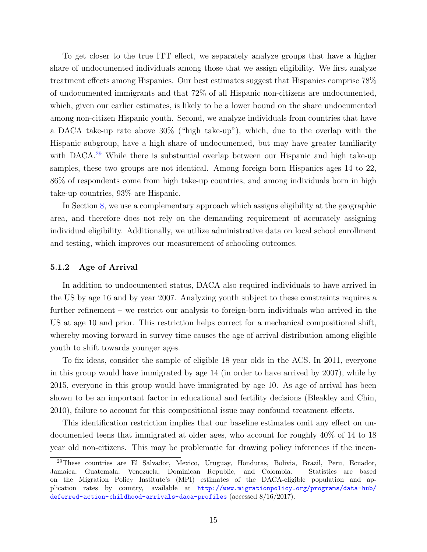To get closer to the true ITT effect, we separately analyze groups that have a higher share of undocumented individuals among those that we assign eligibility. We first analyze treatment effects among Hispanics. Our best estimates suggest that Hispanics comprise 78% of undocumented immigrants and that 72% of all Hispanic non-citizens are undocumented, which, given our earlier estimates, is likely to be a lower bound on the share undocumented among non-citizen Hispanic youth. Second, we analyze individuals from countries that have a DACA take-up rate above 30% ("high take-up"), which, due to the overlap with the Hispanic subgroup, have a high share of undocumented, but may have greater familiarity with DACA.<sup>[29](#page-0-0)</sup> While there is substantial overlap between our Hispanic and high take-up samples, these two groups are not identical. Among foreign born Hispanics ages 14 to 22, 86% of respondents come from high take-up countries, and among individuals born in high take-up countries, 93% are Hispanic.

In Section [8,](#page-24-0) we use a complementary approach which assigns eligibility at the geographic area, and therefore does not rely on the demanding requirement of accurately assigning individual eligibility. Additionally, we utilize administrative data on local school enrollment and testing, which improves our measurement of schooling outcomes.

#### 5.1.2 Age of Arrival

In addition to undocumented status, DACA also required individuals to have arrived in the US by age 16 and by year 2007. Analyzing youth subject to these constraints requires a further refinement – we restrict our analysis to foreign-born individuals who arrived in the US at age 10 and prior. This restriction helps correct for a mechanical compositional shift, whereby moving forward in survey time causes the age of arrival distribution among eligible youth to shift towards younger ages.

To fix ideas, consider the sample of eligible 18 year olds in the ACS. In 2011, everyone in this group would have immigrated by age 14 (in order to have arrived by 2007), while by 2015, everyone in this group would have immigrated by age 10. As age of arrival has been shown to be an important factor in educational and fertility decisions [\(Bleakley and Chin,](#page-32-14) [2010\)](#page-32-14), failure to account for this compositional issue may confound treatment effects.

This identification restriction implies that our baseline estimates omit any effect on undocumented teens that immigrated at older ages, who account for roughly 40% of 14 to 18 year old non-citizens. This may be problematic for drawing policy inferences if the incen-

<sup>29</sup>These countries are El Salvador, Mexico, Uruguay, Honduras, Bolivia, Brazil, Peru, Ecuador, Jamaica, Guatemala, Venezuela, Dominican Republic, and Colombia. Statistics are based on the Migration Policy Institute's (MPI) estimates of the DACA-eligible population and application rates by country, available at [http://www.migrationpolicy.org/programs/data-hub/](http://www.migrationpolicy.org/programs/data-hub/deferred-action-childhood-arrivals-daca-profiles) [deferred-action-childhood-arrivals-daca-profiles](http://www.migrationpolicy.org/programs/data-hub/deferred-action-childhood-arrivals-daca-profiles) (accessed 8/16/2017).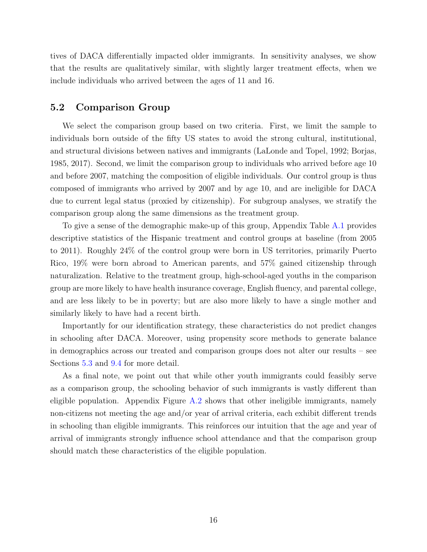tives of DACA differentially impacted older immigrants. In sensitivity analyses, we show that the results are qualitatively similar, with slightly larger treatment effects, when we include individuals who arrived between the ages of 11 and 16.

### 5.2 Comparison Group

We select the comparison group based on two criteria. First, we limit the sample to individuals born outside of the fifty US states to avoid the strong cultural, institutional, and structural divisions between natives and immigrants [\(LaLonde and Topel,](#page-35-16) [1992;](#page-35-16) [Borjas,](#page-33-14) [1985,](#page-33-14) [2017\)](#page-33-2). Second, we limit the comparison group to individuals who arrived before age 10 and before 2007, matching the composition of eligible individuals. Our control group is thus composed of immigrants who arrived by 2007 and by age 10, and are ineligible for DACA due to current legal status (proxied by citizenship). For subgroup analyses, we stratify the comparison group along the same dimensions as the treatment group.

To give a sense of the demographic make-up of this group, Appendix Table [A.1](#page-58-0) provides descriptive statistics of the Hispanic treatment and control groups at baseline (from 2005 to 2011). Roughly 24% of the control group were born in US territories, primarily Puerto Rico, 19% were born abroad to American parents, and 57% gained citizenship through naturalization. Relative to the treatment group, high-school-aged youths in the comparison group are more likely to have health insurance coverage, English fluency, and parental college, and are less likely to be in poverty; but are also more likely to have a single mother and similarly likely to have had a recent birth.

Importantly for our identification strategy, these characteristics do not predict changes in schooling after DACA. Moreover, using propensity score methods to generate balance in demographics across our treated and comparison groups does not alter our results – see Sections [5.3](#page-16-0) and [9.4](#page-27-1) for more detail.

As a final note, we point out that while other youth immigrants could feasibly serve as a comparison group, the schooling behavior of such immigrants is vastly different than eligible population. Appendix Figure [A.2](#page-52-0) shows that other ineligible immigrants, namely non-citizens not meeting the age and/or year of arrival criteria, each exhibit different trends in schooling than eligible immigrants. This reinforces our intuition that the age and year of arrival of immigrants strongly influence school attendance and that the comparison group should match these characteristics of the eligible population.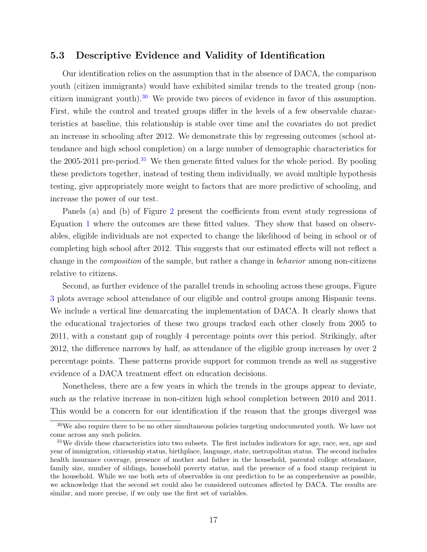### <span id="page-16-0"></span>5.3 Descriptive Evidence and Validity of Identification

Our identification relies on the assumption that in the absence of DACA, the comparison youth (citizen immigrants) would have exhibited similar trends to the treated group (non-citizen immigrant youth).<sup>[30](#page-0-0)</sup> We provide two pieces of evidence in favor of this assumption. First, while the control and treated groups differ in the levels of a few observable characteristics at baseline, this relationship is stable over time and the covariates do not predict an increase in schooling after 2012. We demonstrate this by regressing outcomes (school attendance and high school completion) on a large number of demographic characteristics for the 2005-2011 pre-period.<sup>[31](#page-0-0)</sup> We then generate fitted values for the whole period. By pooling these predictors together, instead of testing them individually, we avoid multiple hypothesis testing, give appropriately more weight to factors that are more predictive of schooling, and increase the power of our test.

Panels (a) and (b) of Figure [2](#page-37-1) present the coefficients from event study regressions of Equation [1](#page-12-1) where the outcomes are these fitted values. They show that based on observables, eligible individuals are not expected to change the likelihood of being in school or of completing high school after 2012. This suggests that our estimated effects will not reflect a change in the composition of the sample, but rather a change in behavior among non-citizens relative to citizens.

Second, as further evidence of the parallel trends in schooling across these groups, Figure [3](#page-38-0) plots average school attendance of our eligible and control groups among Hispanic teens. We include a vertical line demarcating the implementation of DACA. It clearly shows that the educational trajectories of these two groups tracked each other closely from 2005 to 2011, with a constant gap of roughly 4 percentage points over this period. Strikingly, after 2012, the difference narrows by half, as attendance of the eligible group increases by over 2 percentage points. These patterns provide support for common trends as well as suggestive evidence of a DACA treatment effect on education decisions.

Nonetheless, there are a few years in which the trends in the groups appear to deviate, such as the relative increase in non-citizen high school completion between 2010 and 2011. This would be a concern for our identification if the reason that the groups diverged was

<sup>&</sup>lt;sup>30</sup>We also require there to be no other simultaneous policies targeting undocumented youth. We have not come across any such policies.

<sup>&</sup>lt;sup>31</sup>We divide these characteristics into two subsets. The first includes indicators for age, race, sex, age and year of immigration, citizenship status, birthplace, language, state, metropolitan status. The second includes health insurance coverage, presence of mother and father in the household, parental college attendance, family size, number of siblings, household poverty status, and the presence of a food stamp recipient in the household. While we use both sets of observables in our prediction to be as comprehensive as possible, we acknowledge that the second set could also be considered outcomes affected by DACA. The results are similar, and more precise, if we only use the first set of variables.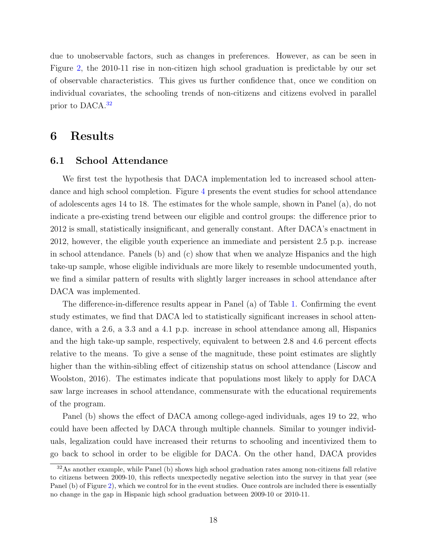due to unobservable factors, such as changes in preferences. However, as can be seen in Figure [2,](#page-37-1) the 2010-11 rise in non-citizen high school graduation is predictable by our set of observable characteristics. This gives us further confidence that, once we condition on individual covariates, the schooling trends of non-citizens and citizens evolved in parallel prior to DACA.[32](#page-0-0)

### <span id="page-17-0"></span>6 Results

#### 6.1 School Attendance

We first test the hypothesis that DACA implementation led to increased school attendance and high school completion. Figure [4](#page-39-0) presents the event studies for school attendance of adolescents ages 14 to 18. The estimates for the whole sample, shown in Panel (a), do not indicate a pre-existing trend between our eligible and control groups: the difference prior to 2012 is small, statistically insignificant, and generally constant. After DACA's enactment in 2012, however, the eligible youth experience an immediate and persistent 2.5 p.p. increase in school attendance. Panels (b) and (c) show that when we analyze Hispanics and the high take-up sample, whose eligible individuals are more likely to resemble undocumented youth, we find a similar pattern of results with slightly larger increases in school attendance after DACA was implemented.

The difference-in-difference results appear in Panel (a) of Table [1.](#page-43-0) Confirming the event study estimates, we find that DACA led to statistically significant increases in school attendance, with a 2.6, a 3.3 and a 4.1 p.p. increase in school attendance among all, Hispanics and the high take-up sample, respectively, equivalent to between 2.8 and 4.6 percent effects relative to the means. To give a sense of the magnitude, these point estimates are slightly higher than the within-sibling effect of citizenship status on school attendance [\(Liscow and](#page-35-7) [Woolston,](#page-35-7) [2016\)](#page-35-7). The estimates indicate that populations most likely to apply for DACA saw large increases in school attendance, commensurate with the educational requirements of the program.

Panel (b) shows the effect of DACA among college-aged individuals, ages 19 to 22, who could have been affected by DACA through multiple channels. Similar to younger individuals, legalization could have increased their returns to schooling and incentivized them to go back to school in order to be eligible for DACA. On the other hand, DACA provides

<sup>&</sup>lt;sup>32</sup>As another example, while Panel (b) shows high school graduation rates among non-citizens fall relative to citizens between 2009-10, this reflects unexpectedly negative selection into the survey in that year (see Panel (b) of Figure [2\)](#page-37-1), which we control for in the event studies. Once controls are included there is essentially no change in the gap in Hispanic high school graduation between 2009-10 or 2010-11.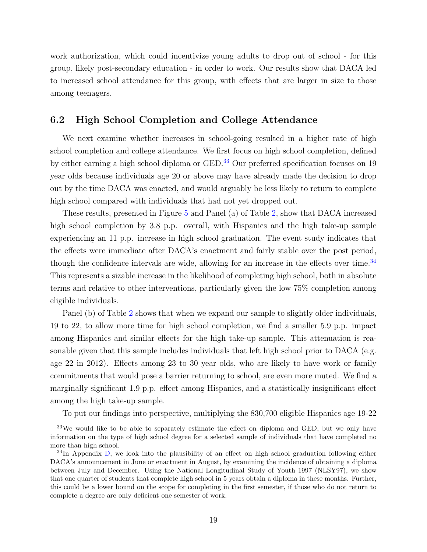work authorization, which could incentivize young adults to drop out of school - for this group, likely post-secondary education - in order to work. Our results show that DACA led to increased school attendance for this group, with effects that are larger in size to those among teenagers.

### 6.2 High School Completion and College Attendance

We next examine whether increases in school-going resulted in a higher rate of high school completion and college attendance. We first focus on high school completion, defined by either earning a high school diploma or GED.<sup>[33](#page-0-0)</sup> Our preferred specification focuses on 19 year olds because individuals age 20 or above may have already made the decision to drop out by the time DACA was enacted, and would arguably be less likely to return to complete high school compared with individuals that had not yet dropped out.

These results, presented in Figure [5](#page-40-0) and Panel (a) of Table [2,](#page-44-0) show that DACA increased high school completion by 3.8 p.p. overall, with Hispanics and the high take-up sample experiencing an 11 p.p. increase in high school graduation. The event study indicates that the effects were immediate after DACA's enactment and fairly stable over the post period, though the confidence intervals are wide, allowing for an increase in the effects over time. $^{34}$  $^{34}$  $^{34}$ This represents a sizable increase in the likelihood of completing high school, both in absolute terms and relative to other interventions, particularly given the low 75% completion among eligible individuals.

Panel (b) of Table [2](#page-44-0) shows that when we expand our sample to slightly older individuals, 19 to 22, to allow more time for high school completion, we find a smaller 5.9 p.p. impact among Hispanics and similar effects for the high take-up sample. This attenuation is reasonable given that this sample includes individuals that left high school prior to DACA (e.g. age 22 in 2012). Effects among 23 to 30 year olds, who are likely to have work or family commitments that would pose a barrier returning to school, are even more muted. We find a marginally significant 1.9 p.p. effect among Hispanics, and a statistically insignificant effect among the high take-up sample.

To put our findings into perspective, multiplying the 830,700 eligible Hispanics age 19-22

 $33\text{We would like to be able to separately estimate the effect on diploma and GED, but we only have}$ information on the type of high school degree for a selected sample of individuals that have completed no more than high school.

 $34$ In Appendix [D,](#page-72-0) we look into the plausibility of an effect on high school graduation following either DACA's announcement in June or enactment in August, by examining the incidence of obtaining a diploma between July and December. Using the National Longitudinal Study of Youth 1997 (NLSY97), we show that one quarter of students that complete high school in 5 years obtain a diploma in these months. Further, this could be a lower bound on the scope for completing in the first semester, if those who do not return to complete a degree are only deficient one semester of work.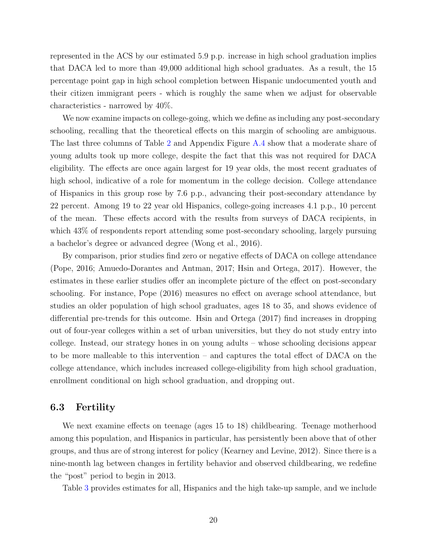represented in the ACS by our estimated 5.9 p.p. increase in high school graduation implies that DACA led to more than 49,000 additional high school graduates. As a result, the 15 percentage point gap in high school completion between Hispanic undocumented youth and their citizen immigrant peers - which is roughly the same when we adjust for observable characteristics - narrowed by 40%.

We now examine impacts on college-going, which we define as including any post-secondary schooling, recalling that the theoretical effects on this margin of schooling are ambiguous. The last three columns of Table [2](#page-44-0) and Appendix Figure [A.4](#page-54-0) show that a moderate share of young adults took up more college, despite the fact that this was not required for DACA eligibility. The effects are once again largest for 19 year olds, the most recent graduates of high school, indicative of a role for momentum in the college decision. College attendance of Hispanics in this group rose by 7.6 p.p., advancing their post-secondary attendance by 22 percent. Among 19 to 22 year old Hispanics, college-going increases 4.1 p.p., 10 percent of the mean. These effects accord with the results from surveys of DACA recipients, in which 43% of respondents report attending some post-secondary schooling, largely pursuing a bachelor's degree or advanced degree [\(Wong et al.,](#page-36-0) [2016\)](#page-36-0).

By comparison, prior studies find zero or negative effects of DACA on college attendance [\(Pope,](#page-36-2) [2016;](#page-36-2) [Amuedo-Dorantes and Antman,](#page-32-9) [2017;](#page-32-9) [Hsin and Ortega,](#page-34-6) [2017\)](#page-34-6). However, the estimates in these earlier studies offer an incomplete picture of the effect on post-secondary schooling. For instance, [Pope](#page-36-2) [\(2016\)](#page-36-2) measures no effect on average school attendance, but studies an older population of high school graduates, ages 18 to 35, and shows evidence of differential pre-trends for this outcome. [Hsin and Ortega](#page-34-6) [\(2017\)](#page-34-6) find increases in dropping out of four-year colleges within a set of urban universities, but they do not study entry into college. Instead, our strategy hones in on young adults – whose schooling decisions appear to be more malleable to this intervention – and captures the total effect of DACA on the college attendance, which includes increased college-eligibility from high school graduation, enrollment conditional on high school graduation, and dropping out.

### 6.3 Fertility

We next examine effects on teenage (ages 15 to 18) childbearing. Teenage motherhood among this population, and Hispanics in particular, has persistently been above that of other groups, and thus are of strong interest for policy [\(Kearney and Levine,](#page-34-9) [2012\)](#page-34-9). Since there is a nine-month lag between changes in fertility behavior and observed childbearing, we redefine the "post" period to begin in 2013.

Table [3](#page-45-0) provides estimates for all, Hispanics and the high take-up sample, and we include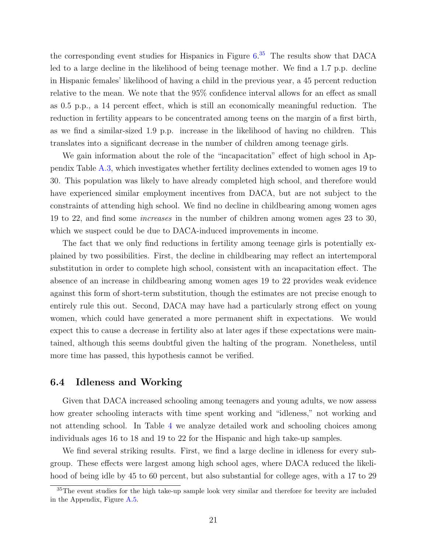the corresponding event studies for Hispanics in Figure [6.](#page-41-0) [35](#page-0-0) The results show that DACA led to a large decline in the likelihood of being teenage mother. We find a 1.7 p.p. decline in Hispanic females' likelihood of having a child in the previous year, a 45 percent reduction relative to the mean. We note that the 95% confidence interval allows for an effect as small as 0.5 p.p., a 14 percent effect, which is still an economically meaningful reduction. The reduction in fertility appears to be concentrated among teens on the margin of a first birth, as we find a similar-sized 1.9 p.p. increase in the likelihood of having no children. This translates into a significant decrease in the number of children among teenage girls.

We gain information about the role of the "incapacitation" effect of high school in Appendix Table [A.3,](#page-60-0) which investigates whether fertility declines extended to women ages 19 to 30. This population was likely to have already completed high school, and therefore would have experienced similar employment incentives from DACA, but are not subject to the constraints of attending high school. We find no decline in childbearing among women ages 19 to 22, and find some increases in the number of children among women ages 23 to 30, which we suspect could be due to DACA-induced improvements in income.

The fact that we only find reductions in fertility among teenage girls is potentially explained by two possibilities. First, the decline in childbearing may reflect an intertemporal substitution in order to complete high school, consistent with an incapacitation effect. The absence of an increase in childbearing among women ages 19 to 22 provides weak evidence against this form of short-term substitution, though the estimates are not precise enough to entirely rule this out. Second, DACA may have had a particularly strong effect on young women, which could have generated a more permanent shift in expectations. We would expect this to cause a decrease in fertility also at later ages if these expectations were maintained, although this seems doubtful given the halting of the program. Nonetheless, until more time has passed, this hypothesis cannot be verified.

#### 6.4 Idleness and Working

Given that DACA increased schooling among teenagers and young adults, we now assess how greater schooling interacts with time spent working and "idleness," not working and not attending school. In Table [4](#page-46-0) we analyze detailed work and schooling choices among individuals ages 16 to 18 and 19 to 22 for the Hispanic and high take-up samples.

We find several striking results. First, we find a large decline in idleness for every subgroup. These effects were largest among high school ages, where DACA reduced the likelihood of being idle by 45 to 60 percent, but also substantial for college ages, with a 17 to 29

<sup>&</sup>lt;sup>35</sup>The event studies for the high take-up sample look very similar and therefore for brevity are included in the Appendix, Figure [A.5.](#page-55-0)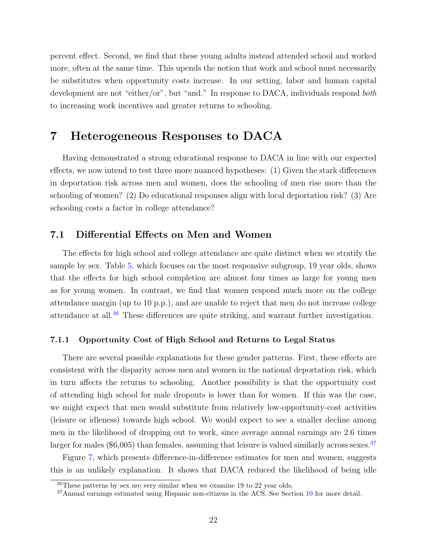percent effect. Second, we find that these young adults instead attended school and worked more, often at the same time. This upends the notion that work and school must necessarily be substitutes when opportunity costs increase. In our setting, labor and human capital development are not "either/or", but "and." In response to DACA, individuals respond both to increasing work incentives and greater returns to schooling.

# <span id="page-21-0"></span>7 Heterogeneous Responses to DACA

Having demonstrated a strong educational response to DACA in line with our expected effects, we now intend to test three more nuanced hypotheses: (1) Given the stark differences in deportation risk across men and women, does the schooling of men rise more than the schooling of women? (2) Do educational responses align with local deportation risk? (3) Are schooling costs a factor in college attendance?

#### 7.1 Differential Effects on Men and Women

The effects for high school and college attendance are quite distinct when we stratify the sample by sex. Table [5,](#page-47-0) which focuses on the most responsive subgroup, 19 year olds, shows that the effects for high school completion are almost four times as large for young men as for young women. In contrast, we find that women respond much more on the college attendance margin (up to 10 p.p.), and are unable to reject that men do not increase college attendance at all.[36](#page-0-0) These differences are quite striking, and warrant further investigation.

#### 7.1.1 Opportunity Cost of High School and Returns to Legal Status

There are several possible explanations for these gender patterns. First, these effects are consistent with the disparity across men and women in the national deportation risk, which in turn affects the returns to schooling. Another possibility is that the opportunity cost of attending high school for male dropouts is lower than for women. If this was the case, we might expect that men would substitute from relatively low-opportunity-cost activities (leisure or idleness) towards high school. We would expect to see a smaller decline among men in the likelihood of dropping out to work, since average annual earnings are 2.6 times larger for males (\$6,005) than females, assuming that leisure is valued similarly across sexes.<sup>[37](#page-0-0)</sup>

Figure [7,](#page-42-0) which presents difference-in-difference estimates for men and women, suggests this is an unlikely explanation. It shows that DACA reduced the likelihood of being idle

<sup>36</sup>These patterns by sex are very similar when we examine 19 to 22 year olds.

 $37$ Annual earnings estimated using Hispanic non-citizens in the ACS. See Section [10](#page-28-0) for more detail.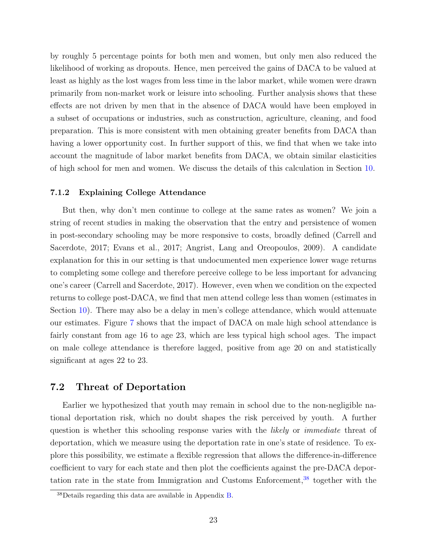by roughly 5 percentage points for both men and women, but only men also reduced the likelihood of working as dropouts. Hence, men perceived the gains of DACA to be valued at least as highly as the lost wages from less time in the labor market, while women were drawn primarily from non-market work or leisure into schooling. Further analysis shows that these effects are not driven by men that in the absence of DACA would have been employed in a subset of occupations or industries, such as construction, agriculture, cleaning, and food preparation. This is more consistent with men obtaining greater benefits from DACA than having a lower opportunity cost. In further support of this, we find that when we take into account the magnitude of labor market benefits from DACA, we obtain similar elasticities of high school for men and women. We discuss the details of this calculation in Section [10.](#page-28-0)

#### 7.1.2 Explaining College Attendance

But then, why don't men continue to college at the same rates as women? We join a string of recent studies in making the observation that the entry and persistence of women in post-secondary schooling may be more responsive to costs, broadly defined [\(Carrell and](#page-33-4) [Sacerdote,](#page-33-4) [2017;](#page-33-4) [Evans et al.,](#page-33-5) [2017;](#page-33-5) [Angrist, Lang and Oreopoulos,](#page-32-7) [2009\)](#page-32-7). A candidate explanation for this in our setting is that undocumented men experience lower wage returns to completing some college and therefore perceive college to be less important for advancing one's career [\(Carrell and Sacerdote,](#page-33-4) [2017\)](#page-33-4). However, even when we condition on the expected returns to college post-DACA, we find that men attend college less than women (estimates in Section [10\)](#page-28-0). There may also be a delay in men's college attendance, which would attenuate our estimates. Figure [7](#page-42-0) shows that the impact of DACA on male high school attendance is fairly constant from age 16 to age 23, which are less typical high school ages. The impact on male college attendance is therefore lagged, positive from age 20 on and statistically significant at ages 22 to 23.

#### 7.2 Threat of Deportation

Earlier we hypothesized that youth may remain in school due to the non-negligible national deportation risk, which no doubt shapes the risk perceived by youth. A further question is whether this schooling response varies with the *likely* or *immediate* threat of deportation, which we measure using the deportation rate in one's state of residence. To explore this possibility, we estimate a flexible regression that allows the difference-in-difference coefficient to vary for each state and then plot the coefficients against the pre-DACA deportation rate in the state from Immigration and Customs Enforcement,  $38$  together with the

<sup>38</sup>Details regarding this data are available in Appendix [B.](#page-62-0)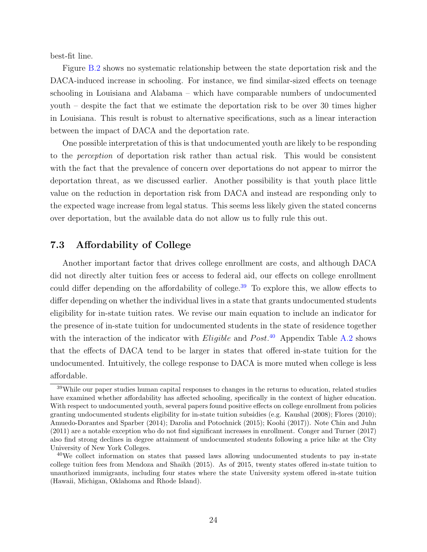best-fit line.

Figure [B.2](#page-52-0) shows no systematic relationship between the state deportation risk and the DACA-induced increase in schooling. For instance, we find similar-sized effects on teenage schooling in Louisiana and Alabama – which have comparable numbers of undocumented youth – despite the fact that we estimate the deportation risk to be over 30 times higher in Louisiana. This result is robust to alternative specifications, such as a linear interaction between the impact of DACA and the deportation rate.

One possible interpretation of this is that undocumented youth are likely to be responding to the perception of deportation risk rather than actual risk. This would be consistent with the fact that the prevalence of concern over deportations do not appear to mirror the deportation threat, as we discussed earlier. Another possibility is that youth place little value on the reduction in deportation risk from DACA and instead are responding only to the expected wage increase from legal status. This seems less likely given the stated concerns over deportation, but the available data do not allow us to fully rule this out.

### 7.3 Affordability of College

Another important factor that drives college enrollment are costs, and although DACA did not directly alter tuition fees or access to federal aid, our effects on college enrollment could differ depending on the affordability of college.<sup>[39](#page-0-0)</sup> To explore this, we allow effects to differ depending on whether the individual lives in a state that grants undocumented students eligibility for in-state tuition rates. We revise our main equation to include an indicator for the presence of in-state tuition for undocumented students in the state of residence together with the interaction of the indicator with *Eligible* and  $Post^{40}$  $Post^{40}$  $Post^{40}$  Appendix Table [A.2](#page-59-0) shows that the effects of DACA tend to be larger in states that offered in-state tuition for the undocumented. Intuitively, the college response to DACA is more muted when college is less affordable.

<sup>39</sup>While our paper studies human capital responses to changes in the returns to education, related studies have examined whether affordability has affected schooling, specifically in the context of higher education. With respect to undocumented youth, several papers found positive effects on college enrollment from policies granting undocumented students eligibility for in-state tuition subsidies (e.g. [Kaushal](#page-34-14) [\(2008\)](#page-34-14); [Flores](#page-34-15) [\(2010\)](#page-34-15); [Amuedo-Dorantes and Sparber](#page-32-15) [\(2014\)](#page-32-15); [Darolia and Potochnick](#page-33-15) [\(2015\)](#page-33-15); [Koohi](#page-34-16) [\(2017\)](#page-34-16)). Note [Chin and Juhn](#page-33-16) [\(2011\)](#page-33-16) are a notable exception who do not find significant increases in enrollment. [Conger and Turner](#page-33-17) [\(2017\)](#page-33-17) also find strong declines in degree attainment of undocumented students following a price hike at the City University of New York Colleges.

<sup>&</sup>lt;sup>40</sup>We collect information on states that passed laws allowing undocumented students to pay in-state college tuition fees from [Mendoza and Shaikh](#page-35-17) [\(2015\)](#page-35-17). As of 2015, twenty states offered in-state tuition to unauthorized immigrants, including four states where the state University system offered in-state tuition (Hawaii, Michigan, Oklahoma and Rhode Island).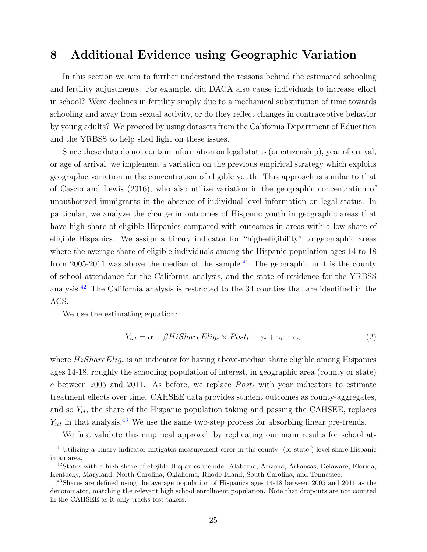# <span id="page-24-0"></span>8 Additional Evidence using Geographic Variation

In this section we aim to further understand the reasons behind the estimated schooling and fertility adjustments. For example, did DACA also cause individuals to increase effort in school? Were declines in fertility simply due to a mechanical substitution of time towards schooling and away from sexual activity, or do they reflect changes in contraceptive behavior by young adults? We proceed by using datasets from the California Department of Education and the YRBSS to help shed light on these issues.

Since these data do not contain information on legal status (or citizenship), year of arrival, or age of arrival, we implement a variation on the previous empirical strategy which exploits geographic variation in the concentration of eligible youth. This approach is similar to that of [Cascio and Lewis](#page-33-8) [\(2016\)](#page-33-8), who also utilize variation in the geographic concentration of unauthorized immigrants in the absence of individual-level information on legal status. In particular, we analyze the change in outcomes of Hispanic youth in geographic areas that have high share of eligible Hispanics compared with outcomes in areas with a low share of eligible Hispanics. We assign a binary indicator for "high-eligibility" to geographic areas where the average share of eligible individuals among the Hispanic population ages 14 to 18 from 2005-2011 was above the median of the sample.<sup>[41](#page-0-0)</sup> The geographic unit is the county of school attendance for the California analysis, and the state of residence for the YRBSS analysis.[42](#page-0-0) The California analysis is restricted to the 34 counties that are identified in the ACS.

We use the estimating equation:

$$
Y_{ict} = \alpha + \beta HisbareElig_c \times Post_t + \gamma_c + \gamma_t + \epsilon_{ct}
$$
\n(2)

where  $HiShareElig<sub>c</sub>$  is an indicator for having above-median share eligible among Hispanics ages 14-18, roughly the schooling population of interest, in geographic area (county or state) c between 2005 and 2011. As before, we replace  $Post<sub>t</sub>$  with year indicators to estimate treatment effects over time. CAHSEE data provides student outcomes as county-aggregates, and so  $Y_{ct}$ , the share of the Hispanic population taking and passing the CAHSEE, replaces  $Y_{ict}$  in that analysis.<sup>[43](#page-0-0)</sup> We use the same two-step process for absorbing linear pre-trends.

We first validate this empirical approach by replicating our main results for school at-

<sup>41</sup>Utilizing a binary indicator mitigates measurement error in the county- (or state-) level share Hispanic in an area.

<sup>42</sup>States with a high share of eligible Hispanics include: Alabama, Arizona, Arkansas, Delaware, Florida, Kentucky, Maryland, North Carolina, Oklahoma, Rhode Island, South Carolina, and Tennessee.

<sup>&</sup>lt;sup>43</sup>Shares are defined using the average population of Hispanics ages 14-18 between 2005 and 2011 as the denominator, matching the relevant high school enrollment population. Note that dropouts are not counted in the CAHSEE as it only tracks test-takers.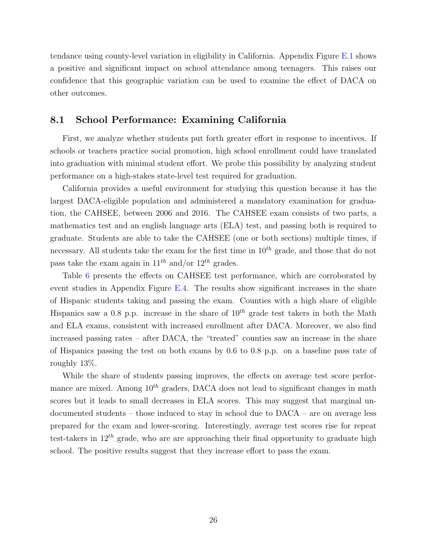tendance using county-level variation in eligibility in California. Appendix Figure [E.1](#page-51-0) shows a positive and significant impact on school attendance among teenagers. This raises our confidence that this geographic variation can be used to examine the effect of DACA on other outcomes.

#### 8.1 School Performance: Examining California

First, we analyze whether students put forth greater effort in response to incentives. If schools or teachers practice social promotion, high school enrollment could have translated into graduation with minimal student effort. We probe this possibility by analyzing student performance on a high-stakes state-level test required for graduation.

California provides a useful environment for studying this question because it has the largest DACA-eligible population and administered a mandatory examination for graduation, the CAHSEE, between 2006 and 2016. The CAHSEE exam consists of two parts, a mathematics test and an english language arts (ELA) test, and passing both is required to graduate. Students are able to take the CAHSEE (one or both sections) multiple times, if necessary. All students take the exam for the first time in  $10^{th}$  grade, and those that do not pass take the exam again in  $11^{th}$  and/or  $12^{th}$  grades.

Table [6](#page-48-0) presents the effects on CAHSEE test performance, which are corroborated by event studies in Appendix Figure [E.4.](#page-54-0) The results show significant increases in the share of Hispanic students taking and passing the exam. Counties with a high share of eligible Hispanics saw a 0.8 p.p. increase in the share of  $10^{th}$  grade test takers in both the Math and ELA exams, consistent with increased enrollment after DACA. Moreover, we also find increased passing rates – after DACA, the "treated" counties saw an increase in the share of Hispanics passing the test on both exams by 0.6 to 0.8 p.p. on a baseline pass rate of roughly 13%.

While the share of students passing improves, the effects on average test score performance are mixed. Among  $10^{th}$  graders, DACA does not lead to significant changes in math scores but it leads to small decreases in ELA scores. This may suggest that marginal undocumented students – those induced to stay in school due to DACA – are on average less prepared for the exam and lower-scoring. Interestingly, average test scores rise for repeat test-takers in  $12^{th}$  grade, who are are approaching their final opportunity to graduate high school. The positive results suggest that they increase effort to pass the exam.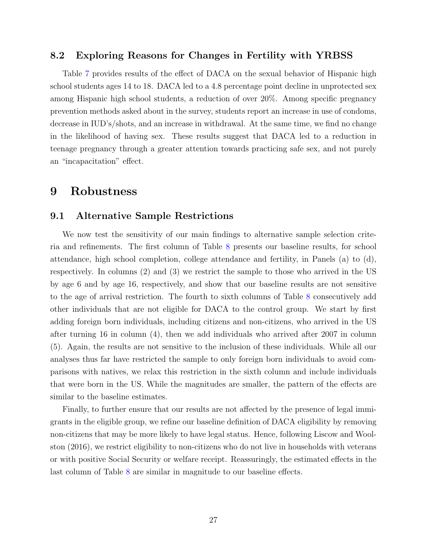#### 8.2 Exploring Reasons for Changes in Fertility with YRBSS

Table [7](#page-49-0) provides results of the effect of DACA on the sexual behavior of Hispanic high school students ages 14 to 18. DACA led to a 4.8 percentage point decline in unprotected sex among Hispanic high school students, a reduction of over 20%. Among specific pregnancy prevention methods asked about in the survey, students report an increase in use of condoms, decrease in IUD's/shots, and an increase in withdrawal. At the same time, we find no change in the likelihood of having sex. These results suggest that DACA led to a reduction in teenage pregnancy through a greater attention towards practicing safe sex, and not purely an "incapacitation" effect.

### <span id="page-26-0"></span>9 Robustness

### 9.1 Alternative Sample Restrictions

We now test the sensitivity of our main findings to alternative sample selection criteria and refinements. The first column of Table [8](#page-49-1) presents our baseline results, for school attendance, high school completion, college attendance and fertility, in Panels (a) to (d), respectively. In columns (2) and (3) we restrict the sample to those who arrived in the US by age 6 and by age 16, respectively, and show that our baseline results are not sensitive to the age of arrival restriction. The fourth to sixth columns of Table [8](#page-49-1) consecutively add other individuals that are not eligible for DACA to the control group. We start by first adding foreign born individuals, including citizens and non-citizens, who arrived in the US after turning 16 in column (4), then we add individuals who arrived after 2007 in column (5). Again, the results are not sensitive to the inclusion of these individuals. While all our analyses thus far have restricted the sample to only foreign born individuals to avoid comparisons with natives, we relax this restriction in the sixth column and include individuals that were born in the US. While the magnitudes are smaller, the pattern of the effects are similar to the baseline estimates.

Finally, to further ensure that our results are not affected by the presence of legal immigrants in the eligible group, we refine our baseline definition of DACA eligibility by removing non-citizens that may be more likely to have legal status. Hence, following [Liscow and Wool](#page-35-7)[ston](#page-35-7) [\(2016\)](#page-35-7), we restrict eligibility to non-citizens who do not live in households with veterans or with positive Social Security or welfare receipt. Reassuringly, the estimated effects in the last column of Table [8](#page-49-1) are similar in magnitude to our baseline effects.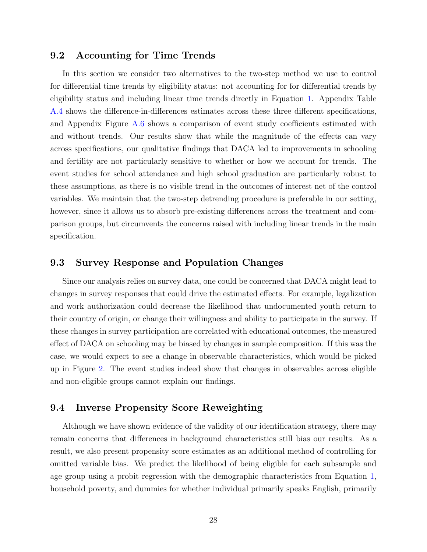### <span id="page-27-0"></span>9.2 Accounting for Time Trends

In this section we consider two alternatives to the two-step method we use to control for differential time trends by eligibility status: not accounting for for differential trends by eligibility status and including linear time trends directly in Equation [1.](#page-12-1) Appendix Table [A.4](#page-61-0) shows the difference-in-differences estimates across these three different specifications, and Appendix Figure [A.6](#page-56-0) shows a comparison of event study coefficients estimated with and without trends. Our results show that while the magnitude of the effects can vary across specifications, our qualitative findings that DACA led to improvements in schooling and fertility are not particularly sensitive to whether or how we account for trends. The event studies for school attendance and high school graduation are particularly robust to these assumptions, as there is no visible trend in the outcomes of interest net of the control variables. We maintain that the two-step detrending procedure is preferable in our setting, however, since it allows us to absorb pre-existing differences across the treatment and comparison groups, but circumvents the concerns raised with including linear trends in the main specification.

#### 9.3 Survey Response and Population Changes

Since our analysis relies on survey data, one could be concerned that DACA might lead to changes in survey responses that could drive the estimated effects. For example, legalization and work authorization could decrease the likelihood that undocumented youth return to their country of origin, or change their willingness and ability to participate in the survey. If these changes in survey participation are correlated with educational outcomes, the measured effect of DACA on schooling may be biased by changes in sample composition. If this was the case, we would expect to see a change in observable characteristics, which would be picked up in Figure [2.](#page-37-1) The event studies indeed show that changes in observables across eligible and non-eligible groups cannot explain our findings.

#### <span id="page-27-1"></span>9.4 Inverse Propensity Score Reweighting

Although we have shown evidence of the validity of our identification strategy, there may remain concerns that differences in background characteristics still bias our results. As a result, we also present propensity score estimates as an additional method of controlling for omitted variable bias. We predict the likelihood of being eligible for each subsample and age group using a probit regression with the demographic characteristics from Equation [1,](#page-12-1) household poverty, and dummies for whether individual primarily speaks English, primarily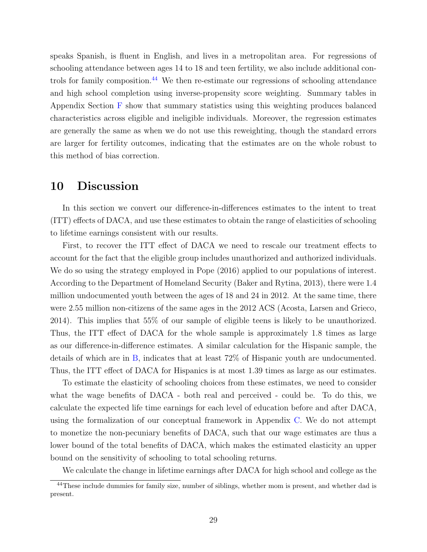speaks Spanish, is fluent in English, and lives in a metropolitan area. For regressions of schooling attendance between ages 14 to 18 and teen fertility, we also include additional controls for family composition. $44$  We then re-estimate our regressions of schooling attendance and high school completion using inverse-propensity score weighting. Summary tables in Appendix Section [F](#page-77-0) show that summary statistics using this weighting produces balanced characteristics across eligible and ineligible individuals. Moreover, the regression estimates are generally the same as when we do not use this reweighting, though the standard errors are larger for fertility outcomes, indicating that the estimates are on the whole robust to this method of bias correction.

### <span id="page-28-0"></span>10 Discussion

In this section we convert our difference-in-differences estimates to the intent to treat (ITT) effects of DACA, and use these estimates to obtain the range of elasticities of schooling to lifetime earnings consistent with our results.

First, to recover the ITT effect of DACA we need to rescale our treatment effects to account for the fact that the eligible group includes unauthorized and authorized individuals. We do so using the strategy employed in [Pope](#page-36-2) [\(2016\)](#page-36-2) applied to our populations of interest. According to the Department of Homeland Security [\(Baker and Rytina,](#page-32-16) [2013\)](#page-32-16), there were 1.4 million undocumented youth between the ages of 18 and 24 in 2012. At the same time, there were 2.55 million non-citizens of the same ages in the 2012 ACS [\(Acosta, Larsen and Grieco,](#page-32-17) [2014\)](#page-32-17). This implies that 55% of our sample of eligible teens is likely to be unauthorized. Thus, the ITT effect of DACA for the whole sample is approximately 1.8 times as large as our difference-in-difference estimates. A similar calculation for the Hispanic sample, the details of which are in [B,](#page-62-0) indicates that at least 72% of Hispanic youth are undocumented. Thus, the ITT effect of DACA for Hispanics is at most 1.39 times as large as our estimates.

To estimate the elasticity of schooling choices from these estimates, we need to consider what the wage benefits of DACA - both real and perceived - could be. To do this, we calculate the expected life time earnings for each level of education before and after DACA, using the formalization of our conceptual framework in Appendix [C.](#page-66-0) We do not attempt to monetize the non-pecuniary benefits of DACA, such that our wage estimates are thus a lower bound of the total benefits of DACA, which makes the estimated elasticity an upper bound on the sensitivity of schooling to total schooling returns.

We calculate the change in lifetime earnings after DACA for high school and college as the

<sup>44</sup>These include dummies for family size, number of siblings, whether mom is present, and whether dad is present.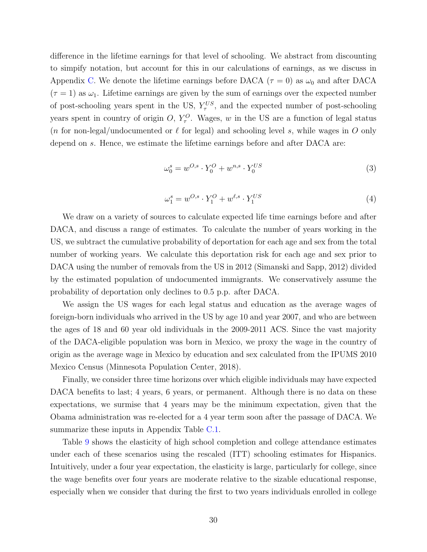difference in the lifetime earnings for that level of schooling. We abstract from discounting to simpify notation, but account for this in our calculations of earnings, as we discuss in Appendix [C.](#page-66-0) We denote the lifetime earnings before DACA ( $\tau = 0$ ) as  $\omega_0$  and after DACA  $(\tau = 1)$  as  $\omega_1$ . Lifetime earnings are given by the sum of earnings over the expected number of post-schooling years spent in the US,  $Y_{\tau}^{US}$ , and the expected number of post-schooling years spent in country of origin O,  $Y^O_\tau$ . Wages, w in the US are a function of legal status (n for non-legal/undocumented or  $\ell$  for legal) and schooling level s, while wages in O only depend on s. Hence, we estimate the lifetime earnings before and after DACA are:

$$
\omega_0^s = w^{O,s} \cdot Y_0^O + w^{n,s} \cdot Y_0^{US} \tag{3}
$$

$$
\omega_1^s = w^{O,s} \cdot Y_1^O + w^{\ell,s} \cdot Y_1^{US} \tag{4}
$$

We draw on a variety of sources to calculate expected life time earnings before and after DACA, and discuss a range of estimates. To calculate the number of years working in the US, we subtract the cumulative probability of deportation for each age and sex from the total number of working years. We calculate this deportation risk for each age and sex prior to DACA using the number of removals from the US in 2012 [\(Simanski and Sapp,](#page-36-7) [2012\)](#page-36-7) divided by the estimated population of undocumented immigrants. We conservatively assume the probability of deportation only declines to 0.5 p.p. after DACA.

We assign the US wages for each legal status and education as the average wages of foreign-born individuals who arrived in the US by age 10 and year 2007, and who are between the ages of 18 and 60 year old individuals in the 2009-2011 ACS. Since the vast majority of the DACA-eligible population was born in Mexico, we proxy the wage in the country of origin as the average wage in Mexico by education and sex calculated from the IPUMS 2010 Mexico Census [\(Minnesota Population Center,](#page-35-18) [2018\)](#page-35-18).

Finally, we consider three time horizons over which eligible individuals may have expected DACA benefits to last; 4 years, 6 years, or permanent. Although there is no data on these expectations, we surmise that 4 years may be the minimum expectation, given that the Obama administration was re-elected for a 4 year term soon after the passage of DACA. We summarize these inputs in Appendix Table [C.1.](#page-58-0)

Table [9](#page-50-0) shows the elasticity of high school completion and college attendance estimates under each of these scenarios using the rescaled (ITT) schooling estimates for Hispanics. Intuitively, under a four year expectation, the elasticity is large, particularly for college, since the wage benefits over four years are moderate relative to the sizable educational response, especially when we consider that during the first to two years individuals enrolled in college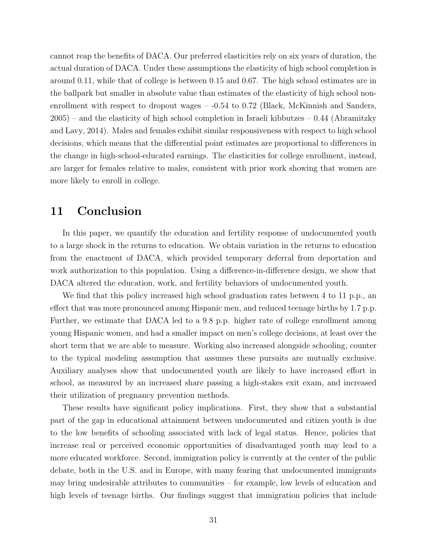cannot reap the benefits of DACA. Our preferred elasticities rely on six years of duration, the actual duration of DACA. Under these assumptions the elasticity of high school completion is around 0.11, while that of college is between 0.15 and 0.67. The high school estimates are in the ballpark but smaller in absolute value than estimates of the elasticity of high school nonenrollment with respect to dropout wages –  $-0.54$  to 0.72 [\(Black, McKinnish and Sanders,](#page-32-5)  $2005$  – and the elasticity of high school completion in Israeli kibbutzes – 0.44 [\(Abramitzky](#page-32-6) [and Lavy,](#page-32-6) [2014\)](#page-32-6). Males and females exhibit similar responsiveness with respect to high school decisions, which means that the differential point estimates are proportional to differences in the change in high-school-educated earnings. The elasticities for college enrollment, instead, are larger for females relative to males, consistent with prior work showing that women are more likely to enroll in college.

### <span id="page-30-0"></span>11 Conclusion

In this paper, we quantify the education and fertility response of undocumented youth to a large shock in the returns to education. We obtain variation in the returns to education from the enactment of DACA, which provided temporary deferral from deportation and work authorization to this population. Using a difference-in-difference design, we show that DACA altered the education, work, and fertility behaviors of undocumented youth.

We find that this policy increased high school graduation rates between 4 to 11 p.p., an effect that was more pronounced among Hispanic men, and reduced teenage births by 1.7 p.p. Further, we estimate that DACA led to a 9.8 p.p. higher rate of college enrollment among young Hispanic women, and had a smaller impact on men's college decisions, at least over the short term that we are able to measure. Working also increased alongside schooling, counter to the typical modeling assumption that assumes these pursuits are mutually exclusive. Auxiliary analyses show that undocumented youth are likely to have increased effort in school, as measured by an increased share passing a high-stakes exit exam, and increased their utilization of pregnancy prevention methods.

These results have significant policy implications. First, they show that a substantial part of the gap in educational attainment between undocumented and citizen youth is due to the low benefits of schooling associated with lack of legal status. Hence, policies that increase real or perceived economic opportunities of disadvantaged youth may lead to a more educated workforce. Second, immigration policy is currently at the center of the public debate, both in the U.S. and in Europe, with many fearing that undocumented immigrants may bring undesirable attributes to communities – for example, low levels of education and high levels of teenage births. Our findings suggest that immigration policies that include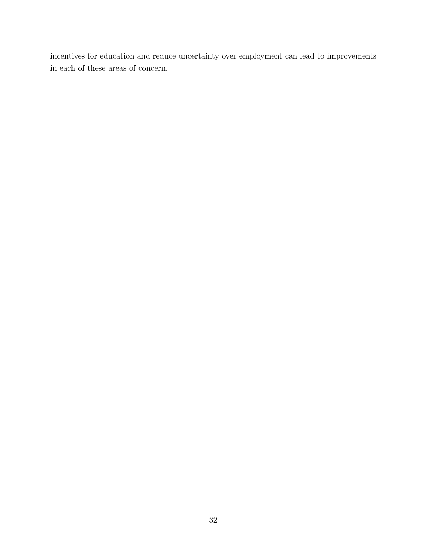incentives for education and reduce uncertainty over employment can lead to improvements in each of these areas of concern.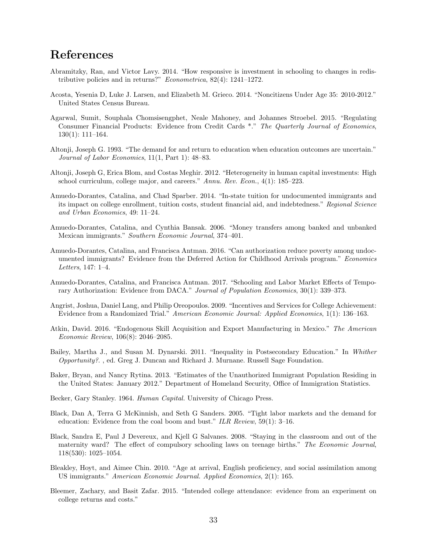# References

- <span id="page-32-6"></span>Abramitzky, Ran, and Victor Lavy. 2014. "How responsive is investment in schooling to changes in redistributive policies and in returns?" Econometrica, 82(4): 1241–1272.
- <span id="page-32-17"></span>Acosta, Yesenia D, Luke J. Larsen, and Elizabeth M. Grieco. 2014. "Noncitizens Under Age 35: 2010-2012." United States Census Bureau.
- <span id="page-32-13"></span>Agarwal, Sumit, Souphala Chomsisengphet, Neale Mahoney, and Johannes Stroebel. 2015. "Regulating Consumer Financial Products: Evidence from Credit Cards \*." The Quarterly Journal of Economics, 130(1): 111–164.
- <span id="page-32-11"></span>Altonji, Joseph G. 1993. "The demand for and return to education when education outcomes are uncertain." Journal of Labor Economics, 11(1, Part 1): 48–83.
- <span id="page-32-12"></span>Altonji, Joseph G, Erica Blom, and Costas Meghir. 2012. "Heterogeneity in human capital investments: High school curriculum, college major, and careers." Annu. Rev. Econ., 4(1): 185–223.
- <span id="page-32-15"></span>Amuedo-Dorantes, Catalina, and Chad Sparber. 2014. "In-state tuition for undocumented immigrants and its impact on college enrollment, tuition costs, student financial aid, and indebtedness." Regional Science and Urban Economics, 49: 11–24.
- <span id="page-32-3"></span>Amuedo-Dorantes, Catalina, and Cynthia Bansak. 2006. "Money transfers among banked and unbanked Mexican immigrants." Southern Economic Journal, 374–401.
- <span id="page-32-4"></span>Amuedo-Dorantes, Catalina, and Francisca Antman. 2016. "Can authorization reduce poverty among undocumented immigrants? Evidence from the Deferred Action for Childhood Arrivals program." Economics Letters, 147: 1–4.
- <span id="page-32-9"></span>Amuedo-Dorantes, Catalina, and Francisca Antman. 2017. "Schooling and Labor Market Effects of Temporary Authorization: Evidence from DACA." Journal of Population Economics, 30(1): 339–373.
- <span id="page-32-7"></span>Angrist, Joshua, Daniel Lang, and Philip Oreopoulos. 2009. "Incentives and Services for College Achievement: Evidence from a Randomized Trial." American Economic Journal: Applied Economics, 1(1): 136–163.
- <span id="page-32-8"></span>Atkin, David. 2016. "Endogenous Skill Acquisition and Export Manufacturing in Mexico." The American Economic Review, 106(8): 2046–2085.
- <span id="page-32-1"></span>Bailey, Martha J., and Susan M. Dynarski. 2011. "Inequality in Postsecondary Education." In Whither Opportunity?. , ed. Greg J. Duncan and Richard J. Murnane. Russell Sage Foundation.
- <span id="page-32-16"></span>Baker, Bryan, and Nancy Rytina. 2013. "Estimates of the Unauthorized Immigrant Population Residing in the United States: January 2012." Department of Homeland Security, Office of Immigration Statistics.
- <span id="page-32-0"></span>Becker, Gary Stanley. 1964. Human Capital. University of Chicago Press.
- <span id="page-32-5"></span>Black, Dan A, Terra G McKinnish, and Seth G Sanders. 2005. "Tight labor markets and the demand for education: Evidence from the coal boom and bust." ILR Review, 59(1): 3–16.
- <span id="page-32-10"></span>Black, Sandra E, Paul J Devereux, and Kjell G Salvanes. 2008. "Staying in the classroom and out of the maternity ward? The effect of compulsory schooling laws on teenage births." The Economic Journal, 118(530): 1025–1054.
- <span id="page-32-14"></span>Bleakley, Hoyt, and Aimee Chin. 2010. "Age at arrival, English proficiency, and social assimilation among US immigrants." American Economic Journal. Applied Economics, 2(1): 165.
- <span id="page-32-2"></span>Bleemer, Zachary, and Basit Zafar. 2015. "Intended college attendance: evidence from an experiment on college returns and costs."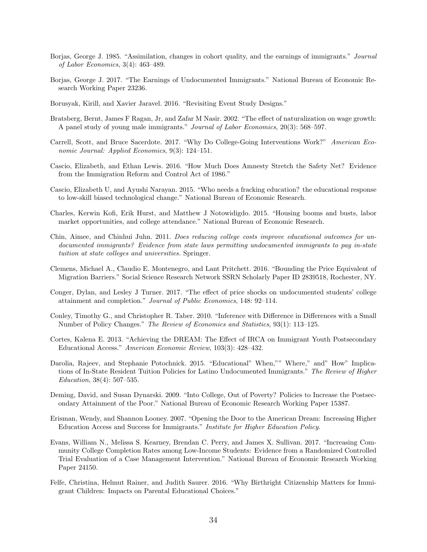- <span id="page-33-14"></span>Borjas, George J. 1985. "Assimilation, changes in cohort quality, and the earnings of immigrants." Journal of Labor Economics, 3(4): 463–489.
- <span id="page-33-2"></span>Borjas, George J. 2017. "The Earnings of Undocumented Immigrants." National Bureau of Economic Research Working Paper 23236.
- <span id="page-33-12"></span>Borusyak, Kirill, and Xavier Jaravel. 2016. "Revisiting Event Study Designs."
- <span id="page-33-3"></span>Bratsberg, Bernt, James F Ragan, Jr, and Zafar M Nasir. 2002. "The effect of naturalization on wage growth: A panel study of young male immigrants." Journal of Labor Economics, 20(3): 568–597.
- <span id="page-33-4"></span>Carrell, Scott, and Bruce Sacerdote. 2017. "Why Do College-Going Interventions Work?" American Economic Journal: Applied Economics, 9(3): 124–151.
- <span id="page-33-8"></span>Cascio, Elizabeth, and Ethan Lewis. 2016. "How Much Does Amnesty Stretch the Safety Net? Evidence from the Immigration Reform and Control Act of 1986."
- <span id="page-33-6"></span>Cascio, Elizabeth U, and Ayushi Narayan. 2015. "Who needs a fracking education? the educational response to low-skill biased technological change." National Bureau of Economic Research.
- <span id="page-33-7"></span>Charles, Kerwin Kofi, Erik Hurst, and Matthew J Notowidigdo. 2015. "Housing booms and busts, labor market opportunities, and college attendance." National Bureau of Economic Research.
- <span id="page-33-16"></span>Chin, Aimee, and Chinhui Juhn. 2011. Does reducing college costs improve educational outcomes for undocumented immigrants? Evidence from state laws permitting undocumented immigrants to pay in-state tuition at state colleges and universities. Springer.
- <span id="page-33-11"></span>Clemens, Michael A., Claudio E. Montenegro, and Lant Pritchett. 2016. "Bounding the Price Equivalent of Migration Barriers." Social Science Research Network SSRN Scholarly Paper ID 2839518, Rochester, NY.
- <span id="page-33-17"></span>Conger, Dylan, and Lesley J Turner. 2017. "The effect of price shocks on undocumented students' college attainment and completion." Journal of Public Economics, 148: 92–114.
- <span id="page-33-13"></span>Conley, Timothy G., and Christopher R. Taber. 2010. "Inference with Difference in Differences with a Small Number of Policy Changes." The Review of Economics and Statistics, 93(1): 113–125.
- <span id="page-33-9"></span>Cortes, Kalena E. 2013. "Achieving the DREAM: The Effect of IRCA on Immigrant Youth Postsecondary Educational Access." American Economic Review, 103(3): 428–432.
- <span id="page-33-15"></span>Darolia, Rajeev, and Stephanie Potochnick. 2015. "Educational" When,"" Where," and" How" Implications of In-State Resident Tuition Policies for Latino Undocumented Immigrants." The Review of Higher Education, 38(4): 507–535.
- <span id="page-33-1"></span>Deming, David, and Susan Dynarski. 2009. "Into College, Out of Poverty? Policies to Increase the Postsecondary Attainment of the Poor." National Bureau of Economic Research Working Paper 15387.
- <span id="page-33-0"></span>Erisman, Wendy, and Shannon Looney. 2007. "Opening the Door to the American Dream: Increasing Higher Education Access and Success for Immigrants." Institute for Higher Education Policy.
- <span id="page-33-5"></span>Evans, William N., Melissa S. Kearney, Brendan C. Perry, and James X. Sullivan. 2017. "Increasing Community College Completion Rates among Low-Income Students: Evidence from a Randomized Controlled Trial Evaluation of a Case Management Intervention." National Bureau of Economic Research Working Paper 24150.
- <span id="page-33-10"></span>Felfe, Christina, Helmut Rainer, and Judith Saurer. 2016. "Why Birthright Citizenship Matters for Immigrant Children: Impacts on Parental Educational Choices."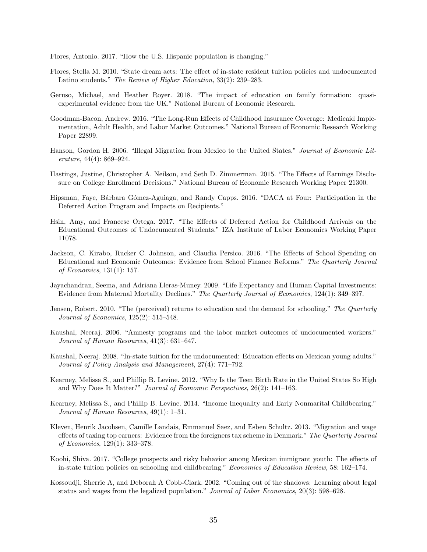Flores, Antonio. 2017. "How the U.S. Hispanic population is changing."

- <span id="page-34-15"></span>Flores, Stella M. 2010. "State dream acts: The effect of in-state resident tuition policies and undocumented Latino students." The Review of Higher Education, 33(2): 239–283.
- <span id="page-34-7"></span>Geruso, Michael, and Heather Royer. 2018. "The impact of education on family formation: quasiexperimental evidence from the UK." National Bureau of Economic Research.
- <span id="page-34-13"></span>Goodman-Bacon, Andrew. 2016. "The Long-Run Effects of Childhood Insurance Coverage: Medicaid Implementation, Adult Health, and Labor Market Outcomes." National Bureau of Economic Research Working Paper 22899.
- <span id="page-34-12"></span>Hanson, Gordon H. 2006. "Illegal Migration from Mexico to the United States." Journal of Economic Literature, 44(4): 869–924.
- <span id="page-34-1"></span>Hastings, Justine, Christopher A. Neilson, and Seth D. Zimmerman. 2015. "The Effects of Earnings Disclosure on College Enrollment Decisions." National Bureau of Economic Research Working Paper 21300.
- <span id="page-34-10"></span>Hipsman, Faye, B´arbara G´omez-Aguiaga, and Randy Capps. 2016. "DACA at Four: Participation in the Deferred Action Program and Impacts on Recipients."
- <span id="page-34-6"></span>Hsin, Amy, and Francesc Ortega. 2017. "The Effects of Deferred Action for Childhood Arrivals on the Educational Outcomes of Undocumented Students." IZA Institute of Labor Economics Working Paper 11078.
- <span id="page-34-3"></span>Jackson, C. Kirabo, Rucker C. Johnson, and Claudia Persico. 2016. "The Effects of School Spending on Educational and Economic Outcomes: Evidence from School Finance Reforms." The Quarterly Journal of Economics, 131(1): 157.
- <span id="page-34-11"></span>Jayachandran, Seema, and Adriana Lleras-Muney. 2009. "Life Expectancy and Human Capital Investments: Evidence from Maternal Mortality Declines." The Quarterly Journal of Economics, 124(1): 349–397.
- <span id="page-34-0"></span>Jensen, Robert. 2010. "The (perceived) returns to education and the demand for schooling." The Quarterly Journal of Economics, 125(2): 515–548.
- <span id="page-34-5"></span>Kaushal, Neeraj. 2006. "Amnesty programs and the labor market outcomes of undocumented workers." Journal of Human Resources, 41(3): 631–647.
- <span id="page-34-14"></span>Kaushal, Neeraj. 2008. "In-state tuition for the undocumented: Education effects on Mexican young adults." Journal of Policy Analysis and Management, 27(4): 771–792.
- <span id="page-34-9"></span>Kearney, Melissa S., and Phillip B. Levine. 2012. "Why Is the Teen Birth Rate in the United States So High and Why Does It Matter?" Journal of Economic Perspectives, 26(2): 141–163.
- <span id="page-34-8"></span>Kearney, Melissa S., and Phillip B. Levine. 2014. "Income Inequality and Early Nonmarital Childbearing." Journal of Human Resources, 49(1): 1–31.
- <span id="page-34-4"></span>Kleven, Henrik Jacobsen, Camille Landais, Emmanuel Saez, and Esben Schultz. 2013. "Migration and wage effects of taxing top earners: Evidence from the foreigners tax scheme in Denmark." The Quarterly Journal of Economics, 129(1): 333–378.
- <span id="page-34-16"></span>Koohi, Shiva. 2017. "College prospects and risky behavior among Mexican immigrant youth: The effects of in-state tuition policies on schooling and childbearing." Economics of Education Review, 58: 162–174.
- <span id="page-34-2"></span>Kossoudji, Sherrie A, and Deborah A Cobb-Clark. 2002. "Coming out of the shadows: Learning about legal status and wages from the legalized population." Journal of Labor Economics, 20(3): 598–628.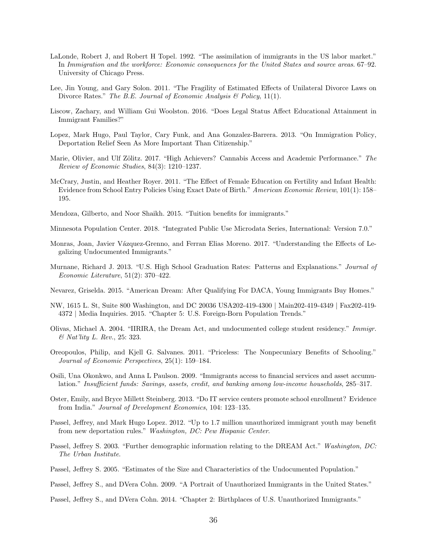- <span id="page-35-16"></span>LaLonde, Robert J, and Robert H Topel. 1992. "The assimilation of immigrants in the US labor market." In Immigration and the workforce: Economic consequences for the United States and source areas. 67–92. University of Chicago Press.
- <span id="page-35-15"></span>Lee, Jin Young, and Gary Solon. 2011. "The Fragility of Estimated Effects of Unilateral Divorce Laws on Divorce Rates." The B.E. Journal of Economic Analysis & Policy, 11(1).
- <span id="page-35-7"></span>Liscow, Zachary, and William Gui Woolston. 2016. "Does Legal Status Affect Educational Attainment in Immigrant Families?"
- <span id="page-35-10"></span>Lopez, Mark Hugo, Paul Taylor, Cary Funk, and Ana Gonzalez-Barrera. 2013. "On Immigration Policy, Deportation Relief Seen As More Important Than Citizenship."
- <span id="page-35-3"></span>Marie, Olivier, and Ulf Zölitz. 2017. "High Achievers? Cannabis Access and Academic Performance." The Review of Economic Studies, 84(3): 1210–1237.
- <span id="page-35-8"></span>McCrary, Justin, and Heather Royer. 2011. "The Effect of Female Education on Fertility and Infant Health: Evidence from School Entry Policies Using Exact Date of Birth." American Economic Review, 101(1): 158– 195.
- <span id="page-35-17"></span>Mendoza, Gilberto, and Noor Shaikh. 2015. "Tuition benefits for immigrants."

<span id="page-35-18"></span>Minnesota Population Center. 2018. "Integrated Public Use Microdata Series, International: Version 7.0."

- <span id="page-35-6"></span>Monras, Joan, Javier Vázquez-Grenno, and Ferran Elias Moreno. 2017. "Understanding the Effects of Legalizing Undocumented Immigrants."
- <span id="page-35-0"></span>Murnane, Richard J. 2013. "U.S. High School Graduation Rates: Patterns and Explanations." Journal of Economic Literature, 51(2): 370–422.
- <span id="page-35-13"></span>Nevarez, Griselda. 2015. "American Dream: After Qualifying For DACA, Young Immigrants Buy Homes."
- NW, 1615 L. St, Suite 800 Washington, and DC 20036 USA202-419-4300 | Main202-419-4349 | Fax202-419- 4372 | Media Inquiries. 2015. "Chapter 5: U.S. Foreign-Born Population Trends."
- <span id="page-35-9"></span>Olivas, Michael A. 2004. "IIRIRA, the Dream Act, and undocumented college student residency." Immigr. & Nat'lity L. Rev., 25: 323.
- <span id="page-35-4"></span>Oreopoulos, Philip, and Kjell G. Salvanes. 2011. "Priceless: The Nonpecuniary Benefits of Schooling." Journal of Economic Perspectives, 25(1): 159–184.
- <span id="page-35-2"></span>Osili, Una Okonkwo, and Anna L Paulson. 2009. "Immigrants access to financial services and asset accumulation." Insufficient funds: Savings, assets, credit, and banking among low-income households, 285–317.
- <span id="page-35-5"></span>Oster, Emily, and Bryce Millett Steinberg. 2013. "Do IT service centers promote school enrollment? Evidence from India." Journal of Development Economics, 104: 123–135.
- <span id="page-35-14"></span>Passel, Jeffrey, and Mark Hugo Lopez. 2012. "Up to 1.7 million unauthorized immigrant youth may benefit from new deportation rules." Washington, DC: Pew Hispanic Center.
- <span id="page-35-1"></span>Passel, Jeffrey S. 2003. "Further demographic information relating to the DREAM Act." Washington, DC: The Urban Institute.
- <span id="page-35-12"></span>Passel, Jeffrey S. 2005. "Estimates of the Size and Characteristics of the Undocumented Population."
- <span id="page-35-11"></span>Passel, Jeffrey S., and DVera Cohn. 2009. "A Portrait of Unauthorized Immigrants in the United States."
- Passel, Jeffrey S., and DVera Cohn. 2014. "Chapter 2: Birthplaces of U.S. Unauthorized Immigrants."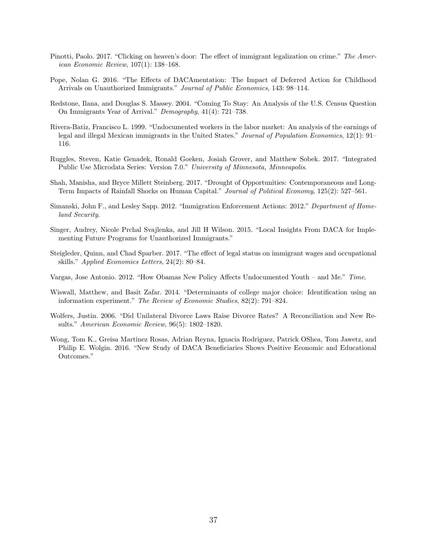- Pinotti, Paolo. 2017. "Clicking on heaven's door: The effect of immigrant legalization on crime." The American Economic Review, 107(1): 138–168.
- Pope, Nolan G. 2016. "The Effects of DACAmentation: The Impact of Deferred Action for Childhood Arrivals on Unauthorized Immigrants." Journal of Public Economics, 143: 98–114.
- Redstone, Ilana, and Douglas S. Massey. 2004. "Coming To Stay: An Analysis of the U.S. Census Question On Immigrants Year of Arrival." Demography, 41(4): 721–738.
- Rivera-Batiz, Francisco L. 1999. "Undocumented workers in the labor market: An analysis of the earnings of legal and illegal Mexican immigrants in the United States." Journal of Population Economics, 12(1): 91– 116.
- Ruggles, Steven, Katie Genadek, Ronald Goeken, Josiah Grover, and Matthew Sobek. 2017. "Integrated Public Use Microdata Series: Version 7.0." University of Minnesota, Minneapolis.
- Shah, Manisha, and Bryce Millett Steinberg. 2017. "Drought of Opportunities: Contemporaneous and Long-Term Impacts of Rainfall Shocks on Human Capital." Journal of Political Economy, 125(2): 527–561.
- Simanski, John F., and Lesley Sapp. 2012. "Immigration Enforcement Actions: 2012." Department of Homeland Security.
- Singer, Audrey, Nicole Prchal Svajlenka, and Jill H Wilson. 2015. "Local Insights From DACA for Implementing Future Programs for Unauthorized Immigrants."
- Steigleder, Quinn, and Chad Sparber. 2017. "The effect of legal status on immigrant wages and occupational skills." Applied Economics Letters, 24(2): 80–84.
- Vargas, Jose Antonio. 2012. "How Obamas New Policy Affects Undocumented Youth and Me." Time.
- Wiswall, Matthew, and Basit Zafar. 2014. "Determinants of college major choice: Identification using an information experiment." The Review of Economic Studies, 82(2): 791–824.
- Wolfers, Justin. 2006. "Did Unilateral Divorce Laws Raise Divorce Rates? A Reconciliation and New Results." American Economic Review, 96(5): 1802–1820.
- Wong, Tom K., Greisa Martinez Rosas, Adrian Reyna, Ignacia Rodriguez, Patrick OShea, Tom Jawetz, and Philip E. Wolgin. 2016. "New Study of DACA Beneficiaries Shows Positive Economic and Educational Outcomes."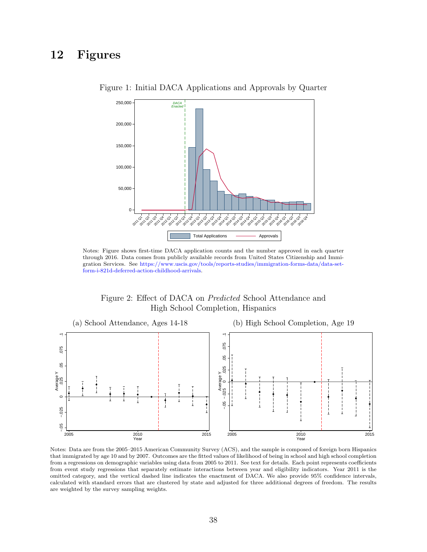### 12 Figures



Figure 1: Initial DACA Applications and Approvals by Quarter

Notes: Figure shows first-time DACA application counts and the number approved in each quarter through 2016. Data comes from publicly available records from United States Citizenship and Immigration Services. See [https://www.uscis.gov/tools/reports-studies/immigration-forms-data/data-set](https://www.uscis.gov/tools/reports-studies/immigration-forms-data/data-set-form-i-821d-deferred-action-childhood-arrivals)[form-i-821d-deferred-action-childhood-arrivals.](https://www.uscis.gov/tools/reports-studies/immigration-forms-data/data-set-form-i-821d-deferred-action-childhood-arrivals)





Notes: Data are from the 2005–2015 American Community Survey (ACS), and the sample is composed of foreign born Hispanics that immigrated by age 10 and by 2007. Outcomes are the fitted values of likelihood of being in school and high school completion from a regressions on demographic variables using data from 2005 to 2011. See text for details. Each point represents coefficients from event study regressions that separately estimate interactions between year and eligibility indicators. Year 2011 is the omitted category, and the vertical dashed line indicates the enactment of DACA. We also provide 95% confidence intervals, calculated with standard errors that are clustered by state and adjusted for three additional degrees of freedom. The results are weighted by the survey sampling weights.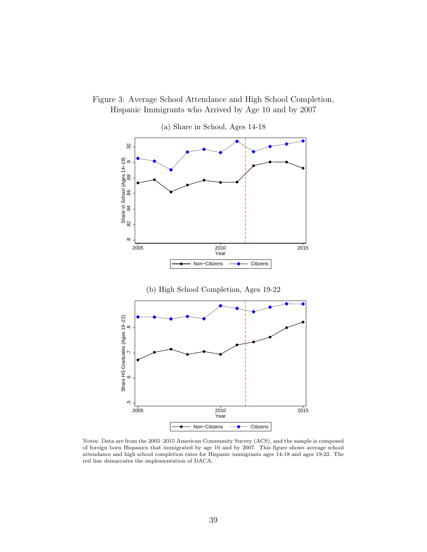



Notes: Data are from the 2005–2015 American Community Survey (ACS), and the sample is composed of foreign born Hispanics that immigrated by age 10 and by 2007. This figure shows average school attendance and high school completion rates for Hispanic immigrants ages 14-18 and ages 19-22. The red line demarcates the implementation of DACA.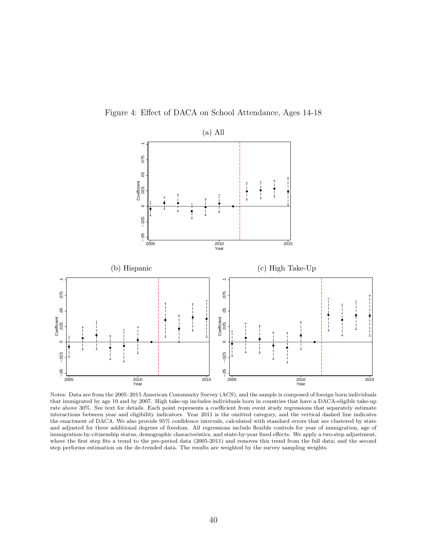



Notes: Data are from the 2005–2015 American Community Survey (ACS), and the sample is composed of foreign born individuals that immigrated by age 10 and by 2007. High take-up includes individuals born in countries that have a DACA-eligible take-up rate above 30%. See text for details. Each point represents a coefficient from event study regressions that separately estimate interactions between year and eligibility indicators. Year 2011 is the omitted category, and the vertical dashed line indicates the enactment of DACA. We also provide 95% confidence intervals, calculated with standard errors that are clustered by state and adjusted for three additional degrees of freedom. All regressions include flexible controls for year of immigration, age of immigration-by-citizenship status, demographic characteristics, and state-by-year fixed effects. We apply a two-step adjustment, where the first step fits a trend to the pre-period data (2005-2011) and removes this trend from the full data; and the second step performs estimation on the de-trended data. The results are weighted by the survey sampling weights.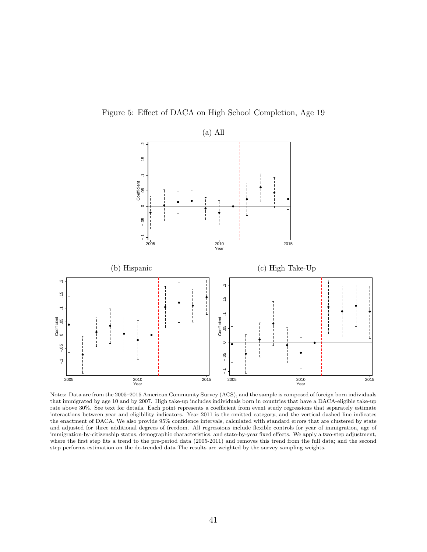Figure 5: Effect of DACA on High School Completion, Age 19



Notes: Data are from the 2005–2015 American Community Survey (ACS), and the sample is composed of foreign born individuals that immigrated by age 10 and by 2007. High take-up includes individuals born in countries that have a DACA-eligible take-up rate above 30%. See text for details. Each point represents a coefficient from event study regressions that separately estimate interactions between year and eligibility indicators. Year 2011 is the omitted category, and the vertical dashed line indicates the enactment of DACA. We also provide 95% confidence intervals, calculated with standard errors that are clustered by state and adjusted for three additional degrees of freedom. All regressions include flexible controls for year of immigration, age of immigration-by-citizenship status, demographic characteristics, and state-by-year fixed effects. We apply a two-step adjustment, where the first step fits a trend to the pre-period data (2005-2011) and removes this trend from the full data; and the second step performs estimation on the de-trended data The results are weighted by the survey sampling weights.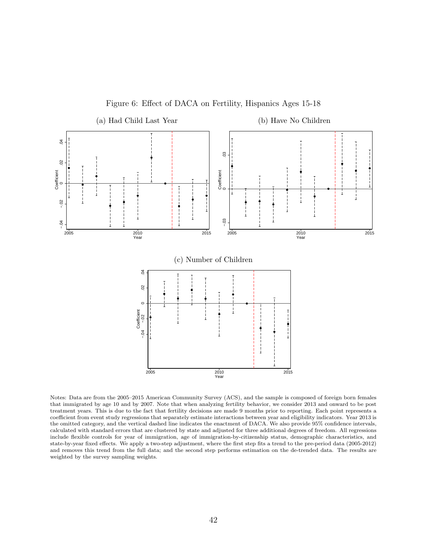

Figure 6: Effect of DACA on Fertility, Hispanics Ages 15-18

Notes: Data are from the 2005–2015 American Community Survey (ACS), and the sample is composed of foreign born females that immigrated by age 10 and by 2007. Note that when analyzing fertility behavior, we consider 2013 and onward to be post treatment years. This is due to the fact that fertility decisions are made 9 months prior to reporting. Each point represents a coefficient from event study regressions that separately estimate interactions between year and eligibility indicators. Year 2013 is the omitted category, and the vertical dashed line indicates the enactment of DACA. We also provide 95% confidence intervals, calculated with standard errors that are clustered by state and adjusted for three additional degrees of freedom. All regressions include flexible controls for year of immigration, age of immigration-by-citizenship status, demographic characteristics, and state-by-year fixed effects. We apply a two-step adjustment, where the first step fits a trend to the pre-period data (2005-2012) and removes this trend from the full data; and the second step performs estimation on the de-trended data. The results are weighted by the survey sampling weights.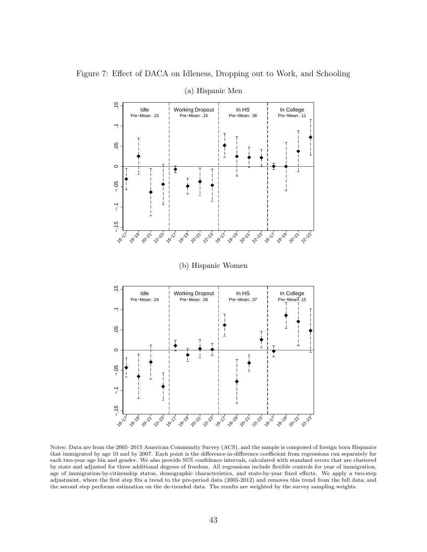Figure 7: Effect of DACA on Idleness, Dropping out to Work, and Schooling



(a) Hispanic Men

Notes: Data are from the 2005–2015 American Community Survey (ACS), and the sample is composed of foreign born Hispanics that immigrated by age 10 and by 2007. Each point is the difference-in-difference coefficient from regressions run separately for each two-year age bin and gender. We also provide 95% confidence intervals, calculated with standard errors that are clustered by state and adjusted for three additional degrees of freedom. All regressions include flexible controls for year of immigration, age of immigration-by-citizenship status, demographic characteristics, and state-by-year fixed effects. We apply a two-step adjustment, where the first step fits a trend to the pre-period data (2005-2012) and removes this trend from the full data; and the second step performs estimation on the de-trended data. The results are weighted by the survey sampling weights.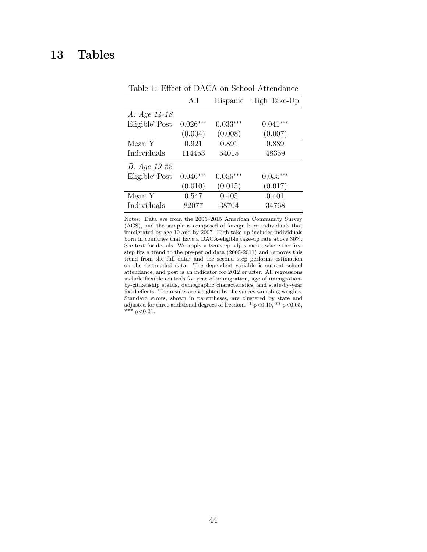### 13 Tables

|                | All        | Hispanic   | High Take-Up |
|----------------|------------|------------|--------------|
| $A: Age 14-18$ |            |            |              |
| Eligible*Post  | $0.026***$ | $0.033***$ | $0.041***$   |
|                | (0.004)    | (0.008)    | (0.007)      |
| Mean Y         | 0.921      | 0.891      | 0.889        |
| Individuals    | 114453     | 54015      | 48359        |
| B: Age 19-22   |            |            |              |
| Eligible*Post  | $0.046***$ | $0.055***$ | $0.055***$   |
|                | (0.010)    | (0.015)    | (0.017)      |
| Mean Y         | 0.547      | 0.405      | 0.401        |
| Individuals    | 82077      | 38704      | 34768        |

Table 1: Effect of DACA on School Attendance

Notes: Data are from the 2005–2015 American Community Survey (ACS), and the sample is composed of foreign born individuals that immigrated by age 10 and by 2007. High take-up includes individuals born in countries that have a DACA-eligible take-up rate above 30%. See text for details. We apply a two-step adjustment, where the first step fits a trend to the pre-period data (2005-2011) and removes this trend from the full data; and the second step performs estimation on the de-trended data. The dependent variable is current school attendance, and post is an indicator for 2012 or after. All regressions include flexible controls for year of immigration, age of immigrationby-citizenship status, demographic characteristics, and state-by-year fixed effects. The results are weighted by the survey sampling weights. Standard errors, shown in parentheses, are clustered by state and adjusted for three additional degrees of freedom. \* p<0.10, \*\* p<0.05, \*\*\*  $p<0.01$ .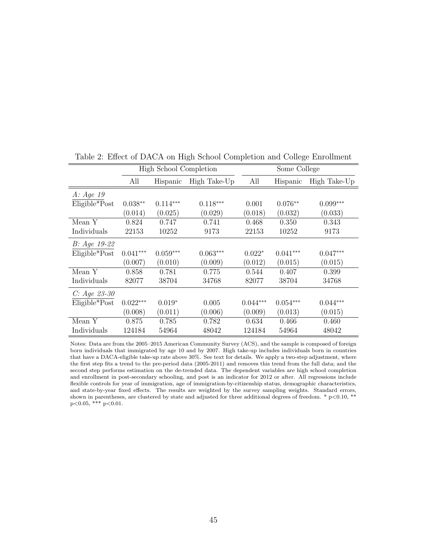|                 |            | High School Completion |              |            | Some College |              |
|-----------------|------------|------------------------|--------------|------------|--------------|--------------|
|                 | All        | Hispanic               | High Take-Up | All        | Hispanic     | High Take-Up |
| A: Age~19       |            |                        |              |            |              |              |
| Eligible*Post   | $0.038**$  | $0.114***$             | $0.118***$   | 0.001      | $0.076**$    | $0.099***$   |
|                 | (0.014)    | (0.025)                | (0.029)      | (0.018)    | (0.032)      | (0.033)      |
| Mean Y          | 0.824      | 0.747                  | 0.741        | 0.468      | 0.350        | 0.343        |
| Individuals     | 22153      | 10252                  | 9173         | 22153      | 10252        | 9173         |
| $B: Age 19-22$  |            |                        |              |            |              |              |
| Eligible*Post   | $0.041***$ | $0.059***$             | $0.063***$   | $0.022*$   | $0.041***$   | $0.047***$   |
|                 | (0.007)    | (0.010)                | (0.009)      | (0.012)    | (0.015)      | (0.015)      |
| Mean Y          | 0.858      | 0.781                  | 0.775        | 0.544      | 0.407        | 0.399        |
| Individuals     | 82077      | 38704                  | 34768        | 82077      | 38704        | 34768        |
| $C: Age 23-30$  |            |                        |              |            |              |              |
| $Eligible*Post$ | $0.022***$ | $0.019*$               | 0.005        | $0.044***$ | $0.054***$   | $0.044***$   |
|                 | (0.008)    | (0.011)                | (0.006)      | (0.009)    | (0.013)      | (0.015)      |
| Mean Y          | 0.875      | 0.785                  | 0.782        | 0.634      | 0.466        | 0.460        |
| Individuals     | 124184     | 54964                  | 48042        | 124184     | 54964        | 48042        |

Table 2: Effect of DACA on High School Completion and College Enrollment

Notes: Data are from the 2005–2015 American Community Survey (ACS), and the sample is composed of foreign born individuals that immigrated by age 10 and by 2007. High take-up includes individuals born in countries that have a DACA-eligible take-up rate above 30%. See text for details. We apply a two-step adjustment, where the first step fits a trend to the pre-period data (2005-2011) and removes this trend from the full data; and the second step performs estimation on the de-trended data. The dependent variables are high school completion and enrollment in post-secondary schooling, and post is an indicator for 2012 or after. All regressions include flexible controls for year of immigration, age of immigration-by-citizenship status, demographic characteristics, and state-by-year fixed effects. The results are weighted by the survey sampling weights. Standard errors, shown in parentheses, are clustered by state and adjusted for three additional degrees of freedom.  $*$  p $< 0.10, **$  $p<0.05$ , \*\*\*  $p<0.01$ .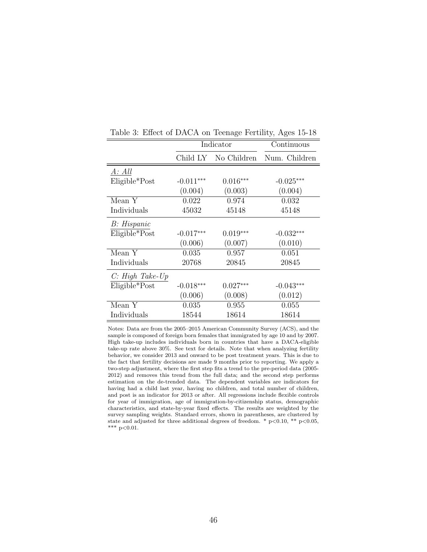|                 |             | Indicator   | Continuous    |
|-----------------|-------------|-------------|---------------|
|                 | Child LY    | No Children | Num. Children |
| A: All          |             |             |               |
| $Eligible*Post$ | $-0.011***$ | $0.016***$  | $-0.025***$   |
|                 | (0.004)     | (0.003)     | (0.004)       |
| Mean Y          | 0.022       | 0.974       | 0.032         |
| Individuals     | 45032       | 45148       | 45148         |
| B: Hispanic     |             |             |               |
| $Eligible*Post$ | $-0.017***$ | $0.019***$  | $-0.032***$   |
|                 | (0.006)     | (0.007)     | (0.010)       |
| Mean Y          | 0.035       | 0.957       | 0.051         |
| Individuals     | 20768       | 20845       | 20845         |
| C: High Take Up |             |             |               |
| $Eligible*Post$ | $-0.018***$ | $0.027***$  | $-0.043***$   |
|                 | (0.006)     | (0.008)     | (0.012)       |
| Mean Y          | 0.035       | 0.955       | 0.055         |
| Individuals     | 18544       | 18614       | 18614         |

Table 3: Effect of DACA on Teenage Fertility, Ages 15-18

Notes: Data are from the 2005–2015 American Community Survey (ACS), and the sample is composed of foreign born females that immigrated by age 10 and by 2007. High take-up includes individuals born in countries that have a DACA-eligible take-up rate above 30%. See text for details. Note that when analyzing fertility behavior, we consider 2013 and onward to be post treatment years. This is due to the fact that fertility decisions are made 9 months prior to reporting. We apply a two-step adjustment, where the first step fits a trend to the pre-period data (2005- 2012) and removes this trend from the full data; and the second step performs estimation on the de-trended data. The dependent variables are indicators for having had a child last year, having no children, and total number of children, and post is an indicator for 2013 or after. All regressions include flexible controls for year of immigration, age of immigration-by-citizenship status, demographic characteristics, and state-by-year fixed effects. The results are weighted by the survey sampling weights. Standard errors, shown in parentheses, are clustered by state and adjusted for three additional degrees of freedom. \*  $p<0.10$ , \*\*  $p<0.05$ ,  $^{\ast\ast\ast}$  p<0.01.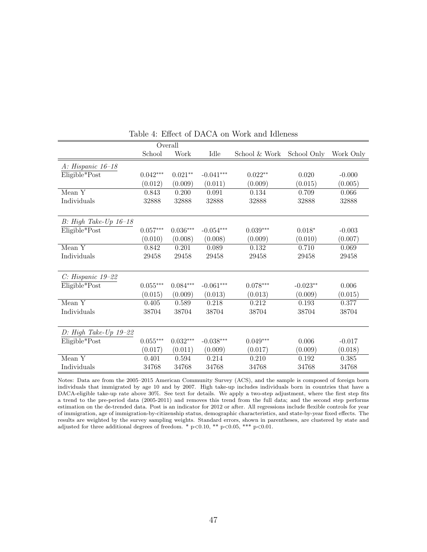|                          |                 | Overall    |             |               |             |           |
|--------------------------|-----------------|------------|-------------|---------------|-------------|-----------|
|                          | School          | Work       | Idle        | School & Work | School Only | Work Only |
| A: Hispanic 16-18        |                 |            |             |               |             |           |
| Eligible*Post            | $0.042***$      | $0.021**$  | $-0.041***$ | $0.022**$     | 0.020       | $-0.000$  |
|                          | (0.012)         | (0.009)    | (0.011)     | (0.009)       | (0.015)     | (0.005)   |
| MeanY                    | 0.843           | 0.200      | 0.091       | 0.134         | 0.709       | 0.066     |
| Individuals              | 32888           | 32888      | 32888       | 32888         | 32888       | 32888     |
|                          |                 |            |             |               |             |           |
| $B$ : High Take-Up 16-18 |                 |            |             |               |             |           |
| Eligible*Post            | $0.057***$      | $0.036***$ | $-0.054***$ | $0.039***$    | $0.018*$    | $-0.003$  |
|                          | (0.010)         | (0.008)    | (0.008)     | (0.009)       | (0.010)     | (0.007)   |
| Mean $\overline{Y}$      | 0.842           | 0.201      | 0.089       | 0.132         | 0.710       | 0.069     |
| Individuals              | 29458           | 29458      | 29458       | 29458         | 29458       | 29458     |
|                          |                 |            |             |               |             |           |
| $C: Hispanic 19-22$      |                 |            |             |               |             |           |
| Eligible*Post            | $0.055^{***}\,$ | $0.084***$ | $-0.061***$ | $0.078***$    | $-0.023**$  | 0.006     |
|                          | (0.015)         | (0.009)    | (0.013)     | (0.013)       | (0.009)     | (0.015)   |
| Mean Y                   | 0.405           | 0.589      | 0.218       | 0.212         | 0.193       | 0.377     |
| Individuals              | 38704           | 38704      | 38704       | 38704         | 38704       | 38704     |
|                          |                 |            |             |               |             |           |
| D: High Take-Up $19-22$  |                 |            |             |               |             |           |
| Eligible*Post            | $0.055^{***}\,$ | $0.032***$ | $-0.038***$ | $0.049***$    | 0.006       | $-0.017$  |
|                          | (0.017)         | (0.011)    | (0.009)     | (0.017)       | (0.009)     | (0.018)   |
| MeanY                    | 0.401           | 0.594      | 0.214       | 0.210         | 0.192       | 0.385     |
| Individuals              | 34768           | 34768      | 34768       | 34768         | 34768       | 34768     |

Table 4: Effect of DACA on Work and Idleness

Notes: Data are from the 2005–2015 American Community Survey (ACS), and the sample is composed of foreign born individuals that immigrated by age 10 and by 2007. High take-up includes individuals born in countries that have a DACA-eligible take-up rate above 30%. See text for details. We apply a two-step adjustment, where the first step fits a trend to the pre-period data (2005-2011) and removes this trend from the full data; and the second step performs estimation on the de-trended data. Post is an indicator for 2012 or after. All regressions include flexible controls for year of immigration, age of immigration-by-citizenship status, demographic characteristics, and state-by-year fixed effects. The results are weighted by the survey sampling weights. Standard errors, shown in parentheses, are clustered by state and adjusted for three additional degrees of freedom.  $*$  p $< 0.10$ ,  $**$  p $< 0.05$ ,  $**$  p $< 0.01$ .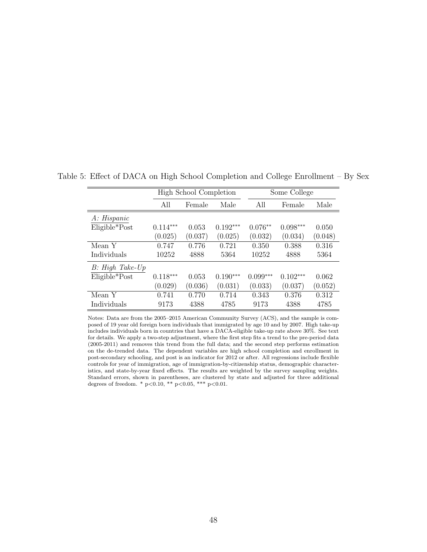|                    |            | High School Completion |            |            | Some College |         |  |  |
|--------------------|------------|------------------------|------------|------------|--------------|---------|--|--|
|                    | All        | Female                 | Male       | All        | Female       | Male    |  |  |
| A: Hispanic        |            |                        |            |            |              |         |  |  |
| Eligible*Post      | $0.114***$ | 0.053                  | $0.192***$ | $0.076**$  | $0.098***$   | 0.050   |  |  |
|                    | (0.025)    | (0.037)                | (0.025)    | (0.032)    | (0.034)      | (0.048) |  |  |
| Mean Y             | 0.747      | 0.776                  | 0.721      | 0.350      | 0.388        | 0.316   |  |  |
| Individuals        | 10252      | 4888                   | 5364       | 10252      | 4888         | 5364    |  |  |
| $B: High Take$ -Up |            |                        |            |            |              |         |  |  |
| $Eligible*Post$    | $0.118***$ | 0.053                  | $0.190***$ | $0.099***$ | $0.102***$   | 0.062   |  |  |
|                    | (0.029)    | (0.036)                | (0.031)    | (0.033)    | (0.037)      | (0.052) |  |  |
| Mean Y             | 0.741      | 0.770                  | 0.714      | 0.343      | 0.376        | 0.312   |  |  |
| Individuals        | 9173       | 4388                   | 4785       | 9173       | 4388         | 4785    |  |  |

Table 5: Effect of DACA on High School Completion and College Enrollment – By Sex

Notes: Data are from the 2005–2015 American Community Survey (ACS), and the sample is composed of 19 year old foreign born individuals that immigrated by age 10 and by 2007. High take-up includes individuals born in countries that have a DACA-eligible take-up rate above 30%. See text for details. We apply a two-step adjustment, where the first step fits a trend to the pre-period data (2005-2011) and removes this trend from the full data; and the second step performs estimation on the de-trended data. The dependent variables are high school completion and enrollment in post-secondary schooling, and post is an indicator for 2012 or after. All regressions include flexible controls for year of immigration, age of immigration-by-citizenship status, demographic characteristics, and state-by-year fixed effects. The results are weighted by the survey sampling weights. Standard errors, shown in parentheses, are clustered by state and adjusted for three additional degrees of freedom. \* p<0.10, \*\* p<0.05, \*\*\* p<0.01.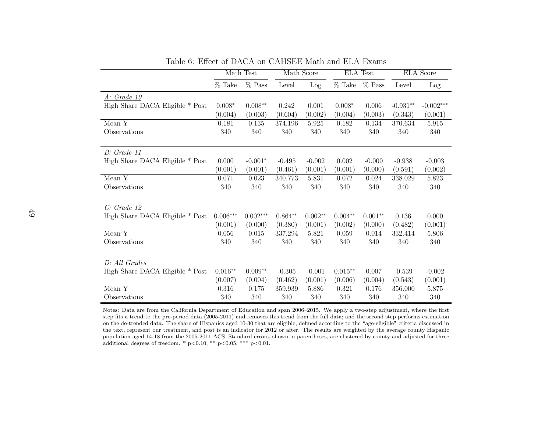|                                 |            | Math Test  | Math Score |           | <b>ELA</b> Test |           | <b>ELA</b> Score |             |
|---------------------------------|------------|------------|------------|-----------|-----------------|-----------|------------------|-------------|
|                                 | $%$ Take   | $%$ Pass   | Level      | Log       | $%$ Take        | $%$ Pass  | Level            | Log         |
| A: Grade 10                     |            |            |            |           |                 |           |                  |             |
| High Share DACA Eligible * Post | $0.008*$   | $0.008**$  | 0.242      | 0.001     | $0.008*$        | 0.006     | $-0.931**$       | $-0.002***$ |
|                                 | (0.004)    | (0.003)    | (0.604)    | (0.002)   | (0.004)         | (0.003)   | (0.343)          | (0.001)     |
| Mean Y                          | 0.181      | $0.135\,$  | 374.196    | 5.925     | 0.182           | 0.134     | 370.634          | $5.915\,$   |
| Observations                    | 340        | 340        | 340        | 340       | 340             | 340       | 340              | 340         |
|                                 |            |            |            |           |                 |           |                  |             |
| B: Grade 11                     |            |            |            |           |                 |           |                  |             |
| High Share DACA Eligible * Post | 0.000      | $-0.001*$  | $-0.495$   | $-0.002$  | 0.002           | $-0.000$  | $-0.938$         | $-0.003$    |
|                                 | (0.001)    | (0.001)    | (0.461)    | (0.001)   | (0.001)         | (0.000)   | (0.591)          | (0.002)     |
| Mean $Y$                        | 0.071      | 0.023      | 340.773    | 5.831     | 0.072           | 0.024     | 338.029          | 5.823       |
| Observations                    | 340        | 340        | 340        | 340       | 340             | 340       | 340              | 340         |
|                                 |            |            |            |           |                 |           |                  |             |
| C: Grade 12                     |            |            |            |           |                 |           |                  |             |
| High Share DACA Eligible * Post | $0.006***$ | $0.002***$ | $0.864**$  | $0.002**$ | $0.004**$       | $0.001**$ | 0.136            | 0.000       |
|                                 | (0.001)    | (0.000)    | (0.380)    | (0.001)   | (0.002)         | (0.000)   | (0.482)          | (0.001)     |
| Mean Y                          | $0.056\,$  | $0.015\,$  | 337.294    | 5.821     | 0.059           | 0.014     | 332.414          | 5.806       |
| Observations                    | 340        | 340        | 340        | 340       | 340             | 340       | 340              | 340         |
|                                 |            |            |            |           |                 |           |                  |             |
| D: All Grades                   |            |            |            |           |                 |           |                  |             |
| High Share DACA Eligible * Post | $0.016**$  | $0.009**$  | $-0.305$   | $-0.001$  | $0.015**$       | 0.007     | $-0.539$         | $-0.002$    |
|                                 | (0.007)    | (0.004)    | (0.462)    | (0.001)   | (0.006)         | (0.004)   | (0.543)          | (0.001)     |
| Mean Y                          | 0.316      | 0.175      | 359.939    | 5.886     | 0.321           | 0.176     | 356.000          | 5.875       |
| Observations                    | 340        | 340        | 340        | 340       | 340             | 340       | 340              | 340         |

Table 6: Effect of DACA on CAHSEE Math and ELA Exams

Notes: Data are from the California Department of Education and span 2006–2015. We apply <sup>a</sup> two-step adjustment, where the first step fits <sup>a</sup> trend to the pre-period data (2005-2011) and removes this trend from the full data; and the second step performs estimation on the de-trended data. The share of Hispanics aged 10-30 that are eligible, defined according to the "age-eligible" criteria discussed in the text, represent our treatment, and post is an indicator for 2012 or after. The results are weighted by the average county Hispanic population aged 14-18 from the 2005-2011 ACS. Standard errors, shown in parentheses, are clustered by county and adjusted for threeadditional degrees of freedom. \* <sup>p</sup><sup>&</sup>lt;0.10, \*\* <sup>p</sup><sup>&</sup>lt;0.05, \*\*\* <sup>p</sup><0.01.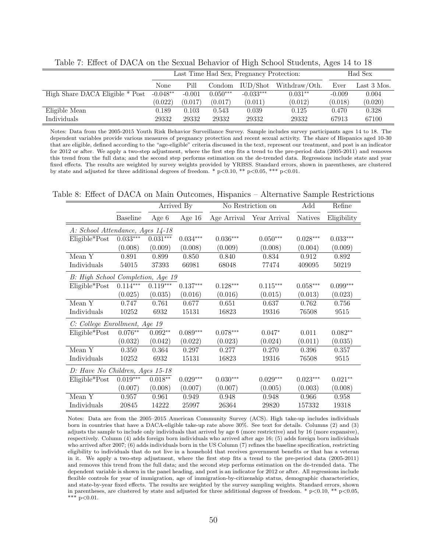|                                 |            | Last Time Had Sex, Pregnancy Protection: |            |                |               |          | Had Sex     |  |
|---------------------------------|------------|------------------------------------------|------------|----------------|---------------|----------|-------------|--|
|                                 | None       | Pill                                     | Condom     | $\rm IUD/Shot$ | Withdraw/Oth. | Ever     | Last 3 Mos. |  |
| High Share DACA Eligible * Post | $-0.048**$ | $-0.001$                                 | $0.050***$ | $-0.033***$    | $0.031**$     | $-0.009$ | 0.004       |  |
|                                 | (0.022)    | (0.017)                                  | (0.017)    | (0.011)        | (0.012)       | (0.018)  | (0.020)     |  |
| Eligible Mean                   | 0.189      | 0.103                                    | 0.543      | 0.039          | 0.125         | 0.470    | 0.328       |  |
| Individuals                     | 29332      | 29332                                    | 29332      | 29332          | 29332         | 67913    | 67100       |  |

Table 7: Effect of DACA on the Sexual Behavior of High School Students, Ages 14 to 18

Notes: Data from the 2005-2015 Youth Risk Behavior Surveillance Survey. Sample includes survey participants ages 14 to 18. The dependent variables provide various measures of pregnancy protection and recent sexual activity. The share of Hispanics aged 10-30 that are eligible, defined according to the "age-eligible" criteria discussed in the text, represent our treatment, and post is an indicator for 2012 or after. We apply a two-step adjustment, where the first step fits a trend to the pre-period data (2005-2011) and removes this trend from the full data; and the second step performs estimation on the de-trended data. Regressions include state and year fixed effects. The results are weighted by survey weights provided by YRBSS. Standard errors, shown in parentheses, are clustered by state and adjusted for three additional degrees of freedom. \*  $p < 0.10$ , \*\*  $p < 0.05$ , \*\*\*  $p < 0.01$ .

Table 8: Effect of DACA on Main Outcomes, Hispanics – Alternative Sample Restrictions

|                                   |                 |            | Arrived By |            | No Restriction on        | Add            | Refine      |
|-----------------------------------|-----------------|------------|------------|------------|--------------------------|----------------|-------------|
|                                   | <b>Baseline</b> | Age 6      | Age $16$   |            | Age Arrival Year Arrival | <b>Natives</b> | Eligibility |
| A: School Attendance, Ages 14-18  |                 |            |            |            |                          |                |             |
| Eligible*Post                     | $0.033***$      | $0.031***$ | $0.034***$ | $0.036***$ | $0.050***$               | $0.028***$     | $0.033***$  |
|                                   | (0.008)         | (0.009)    | (0.008)    | (0.009)    | (0.008)                  | (0.004)        | (0.009)     |
| Mean Y                            | 0.891           | 0.899      | 0.850      | 0.840      | 0.834                    | 0.912          | 0.892       |
| Individuals                       | 54015           | 37393      | 66981      | 68048      | 77474                    | 409095         | 50219       |
| B: High School Completion, Age 19 |                 |            |            |            |                          |                |             |
| $Eligible*Post$                   | $0.114***$      | $0.119***$ | $0.137***$ | $0.128***$ | $0.115***$               | $0.058***$     | $0.099***$  |
|                                   | (0.025)         | (0.035)    | (0.016)    | (0.016)    | (0.015)                  | (0.013)        | (0.023)     |
| $Mean\overline{Y}$                | 0.747           | 0.761      | 0.677      | 0.651      | 0.637                    | 0.762          | 0.756       |
| Individuals                       | 10252           | 6932       | 15131      | 16823      | 19316                    | 76508          | 9515        |
| C: College Enrollment, Age 19     |                 |            |            |            |                          |                |             |
| $Eligible*Post$                   | $0.076**$       | $0.092**$  | $0.089***$ | $0.078***$ | $0.047*$                 | 0.011          | $0.082**$   |
|                                   | (0.032)         | (0.042)    | (0.022)    | (0.023)    | (0.024)                  | (0.011)        | (0.035)     |
| Mean Y                            | 0.350           | 0.364      | 0.297      | 0.277      | 0.270                    | 0.396          | 0.357       |
| Individuals                       | 10252           | 6932       | 15131      | 16823      | 19316                    | 76508          | 9515        |
| D: Have No Children, Ages 15-18   |                 |            |            |            |                          |                |             |
| Eligible*Post                     | $0.019***$      | $0.018**$  | $0.029***$ | $0.030***$ | $0.029***$               | $0.023***$     | $0.021**$   |
|                                   | (0.007)         | (0.008)    | (0.007)    | (0.007)    | (0.005)                  | (0.003)        | (0.008)     |
| Mean Y                            | 0.957           | 0.961      | 0.949      | 0.948      | 0.948                    | 0.966          | 0.958       |
| Individuals                       | 20845           | 14222      | 25997      | 26364      | 29820                    | 157332         | 19318       |

Notes: Data are from the 2005–2015 American Community Survey (ACS). High take-up includes individuals born in countries that have a DACA-eligible take-up rate above 30%. See text for details. Columns (2) and (3) adjusts the sample to include only individuals that arrived by age 6 (more restrictive) and by 16 (more expansive), respectively. Column (4) adds foreign born individuals who arrived after age 16; (5) adds foreign born individuals who arrived after 2007; (6) adds individuals born in the US Column (7) refines the baseline specification, restricting eligibility to individuals that do not live in a household that receives government benefits or that has a veteran in it. We apply a two-step adjustment, where the first step fits a trend to the pre-period data (2005-2011) and removes this trend from the full data; and the second step performs estimation on the de-trended data. The dependent variable is shown in the panel heading, and post is an indicator for 2012 or after. All regressions include flexible controls for year of immigration, age of immigration-by-citizenship status, demographic characteristics, and state-by-year fixed effects. The results are weighted by the survey sampling weights. Standard errors, shown in parentheses, are clustered by state and adjusted for three additional degrees of freedom. \*  $p < 0.10$ , \*\*  $p < 0.05$ , \*\*\*  $p<0.01$ .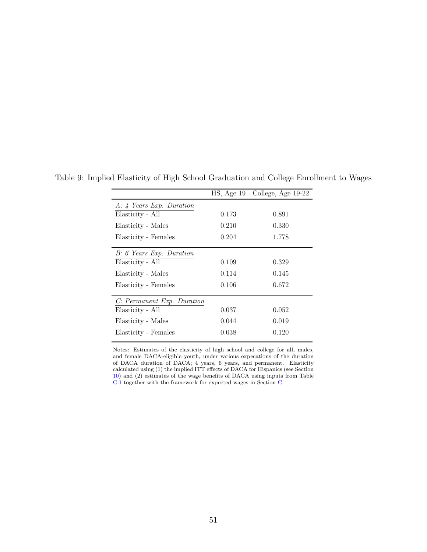<span id="page-50-0"></span>

|                            |       | HS, Age 19 College, Age 19-22 |
|----------------------------|-------|-------------------------------|
| $A: 4$ Years Exp. Duration |       |                               |
| Elasticity - All           | 0.173 | 0.891                         |
| Elasticity - Males         | 0.210 | 0.330                         |
| Elasticity - Females       | 0.204 | 1.778                         |
| B: 6 Years Exp. Duration   |       |                               |
| Elasticity - All           | 0.109 | 0.329                         |
| Elasticity - Males         | 0.114 | 0.145                         |
| Elasticity - Females       | 0.106 | 0.672                         |
| C: Permanent Exp. Duration |       |                               |
| Elasticity - All           | 0.037 | 0.052                         |
| Elasticity - Males         | 0.044 | 0.019                         |
| Elasticity - Females       | 0.038 | 0.120                         |

Table 9: Implied Elasticity of High School Graduation and College Enrollment to Wages

Notes: Estimates of the elasticity of high school and college for all, males, and female DACA-eligible youth, under various expecations of the duration of DACA duration of DACA; 4 years, 6 years, and permanent. Elasticity calculated using (1) the implied ITT effects of DACA for Hispanics (see Section [10\)](#page-28-0) and (2) estimates of the wage benefits of DACA using inputs from Table [C.1](#page-58-0) together with the framework for expected wages in Section [C.](#page-66-0)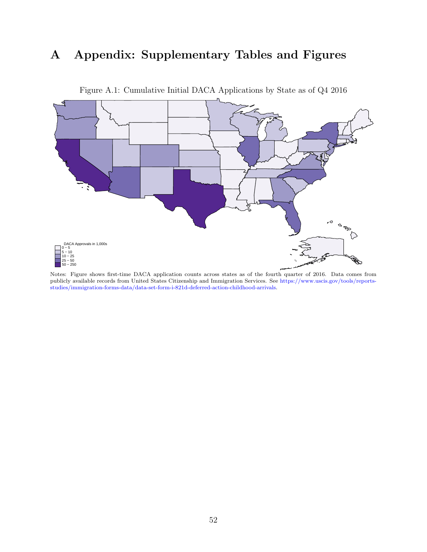## A Appendix: Supplementary Tables and Figures



<span id="page-51-0"></span>Figure A.1: Cumulative Initial DACA Applications by State as of Q4 2016

Notes: Figure shows first-time DACA application counts across states as of the fourth quarter of 2016. Data comes from publicly available records from United States Citizenship and Immigration Services. See [https://www.uscis.gov/tools/reports](https://www.uscis.gov/tools/reports-studies/immigration-forms-data/data-set-form-i-821d-deferred-action-childhood-arrivals)[studies/immigration-forms-data/data-set-form-i-821d-deferred-action-childhood-arrivals.](https://www.uscis.gov/tools/reports-studies/immigration-forms-data/data-set-form-i-821d-deferred-action-childhood-arrivals)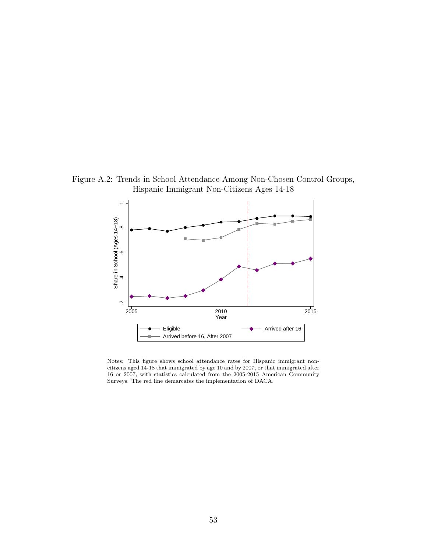Figure A.2: Trends in School Attendance Among Non-Chosen Control Groups, Hispanic Immigrant Non-Citizens Ages 14-18

<span id="page-52-0"></span>

Notes: This figure shows school attendance rates for Hispanic immigrant noncitizens aged 14-18 that immigrated by age 10 and by 2007, or that immigrated after 16 or 2007, with statistics calculated from the 2005-2015 American Community Surveys. The red line demarcates the implementation of DACA.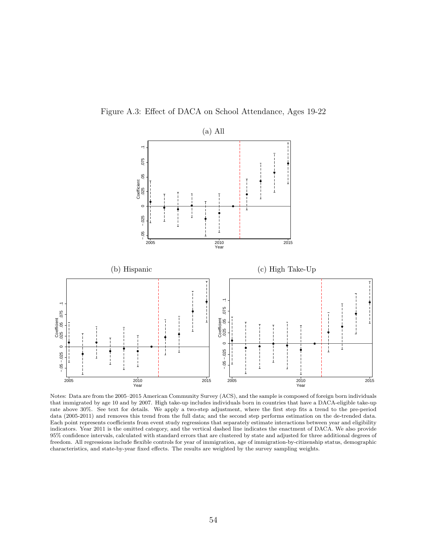



Notes: Data are from the 2005–2015 American Community Survey (ACS), and the sample is composed of foreign born individuals that immigrated by age 10 and by 2007. High take-up includes individuals born in countries that have a DACA-eligible take-up rate above 30%. See text for details. We apply a two-step adjustment, where the first step fits a trend to the pre-period data (2005-2011) and removes this trend from the full data; and the second step performs estimation on the de-trended data. Each point represents coefficients from event study regressions that separately estimate interactions between year and eligibility indicators. Year 2011 is the omitted category, and the vertical dashed line indicates the enactment of DACA. We also provide 95% confidence intervals, calculated with standard errors that are clustered by state and adjusted for three additional degrees of freedom. All regressions include flexible controls for year of immigration, age of immigration-by-citizenship status, demographic characteristics, and state-by-year fixed effects. The results are weighted by the survey sampling weights.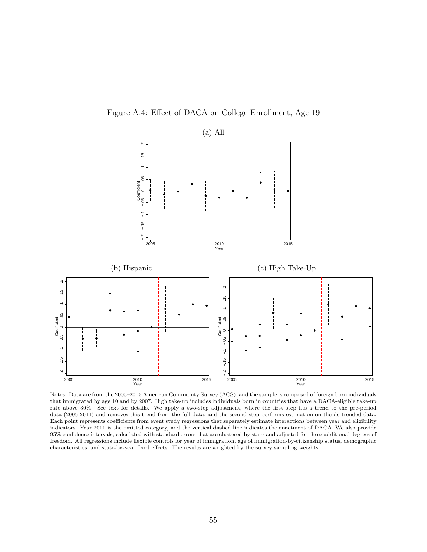



Notes: Data are from the 2005–2015 American Community Survey (ACS), and the sample is composed of foreign born individuals that immigrated by age 10 and by 2007. High take-up includes individuals born in countries that have a DACA-eligible take-up rate above 30%. See text for details. We apply a two-step adjustment, where the first step fits a trend to the pre-period data (2005-2011) and removes this trend from the full data; and the second step performs estimation on the de-trended data. Each point represents coefficients from event study regressions that separately estimate interactions between year and eligibility indicators. Year 2011 is the omitted category, and the vertical dashed line indicates the enactment of DACA. We also provide 95% confidence intervals, calculated with standard errors that are clustered by state and adjusted for three additional degrees of freedom. All regressions include flexible controls for year of immigration, age of immigration-by-citizenship status, demographic characteristics, and state-by-year fixed effects. The results are weighted by the survey sampling weights.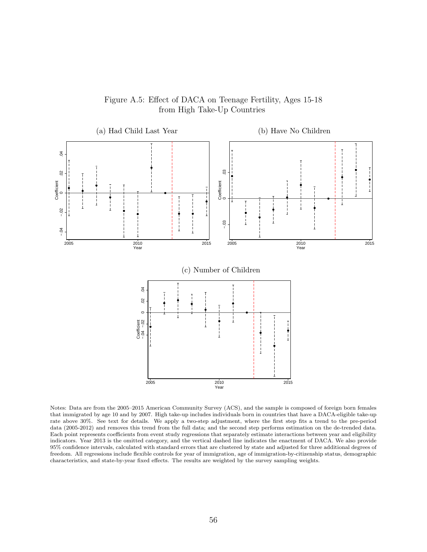

Figure A.5: Effect of DACA on Teenage Fertility, Ages 15-18 from High Take-Up Countries

Notes: Data are from the 2005–2015 American Community Survey (ACS), and the sample is composed of foreign born females that immigrated by age 10 and by 2007. High take-up includes individuals born in countries that have a DACA-eligible take-up rate above 30%. See text for details. We apply a two-step adjustment, where the first step fits a trend to the pre-period data (2005-2012) and removes this trend from the full data; and the second step performs estimation on the de-trended data. Each point represents coefficients from event study regressions that separately estimate interactions between year and eligibility indicators. Year 2013 is the omitted category, and the vertical dashed line indicates the enactment of DACA. We also provide 95% confidence intervals, calculated with standard errors that are clustered by state and adjusted for three additional degrees of freedom. All regressions include flexible controls for year of immigration, age of immigration-by-citizenship status, demographic characteristics, and state-by-year fixed effects. The results are weighted by the survey sampling weights.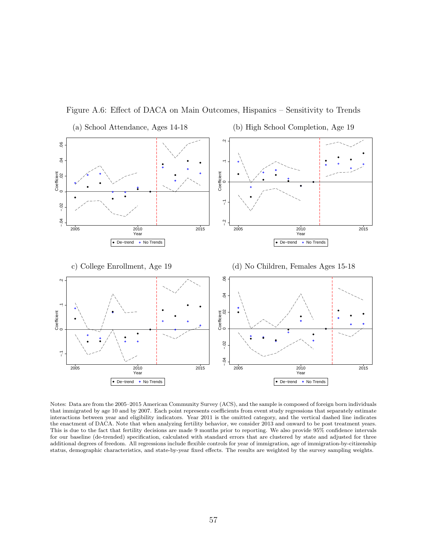

Figure A.6: Effect of DACA on Main Outcomes, Hispanics – Sensitivity to Trends

Notes: Data are from the 2005–2015 American Community Survey (ACS), and the sample is composed of foreign born individuals that immigrated by age 10 and by 2007. Each point represents coefficients from event study regressions that separately estimate interactions between year and eligibility indicators. Year 2011 is the omitted category, and the vertical dashed line indicates the enactment of DACA. Note that when analyzing fertility behavior, we consider 2013 and onward to be post treatment years. This is due to the fact that fertility decisions are made 9 months prior to reporting. We also provide 95% confidence intervals for our baseline (de-trended) specification, calculated with standard errors that are clustered by state and adjusted for three additional degrees of freedom. All regressions include flexible controls for year of immigration, age of immigration-by-citizenship status, demographic characteristics, and state-by-year fixed effects. The results are weighted by the survey sampling weights.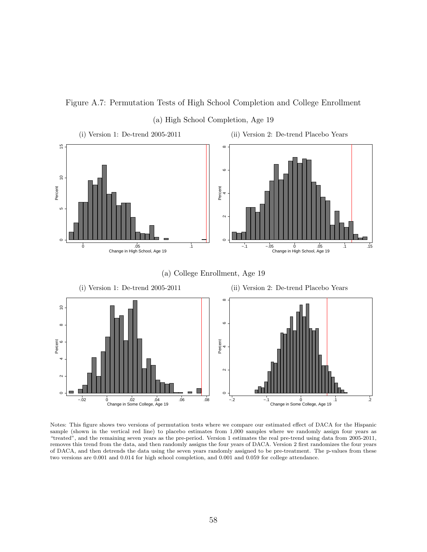Figure A.7: Permutation Tests of High School Completion and College Enrollment (a) High School Completion, Age 19



Notes: This figure shows two versions of permutation tests where we compare our estimated effect of DACA for the Hispanic sample (shown in the vertical red line) to placebo estimates from 1,000 samples where we randomly assign four years as "treated", and the remaining seven years as the pre-period. Version 1 estimates the real pre-trend using data from 2005-2011, removes this trend from the data, and then randomly assigns the four years of DACA. Version 2 first randomizes the four years of DACA, and then detrends the data using the seven years randomly assigned to be pre-treatment. The p-values from these two versions are 0.001 and 0.014 for high school completion, and 0.001 and 0.059 for college attendance.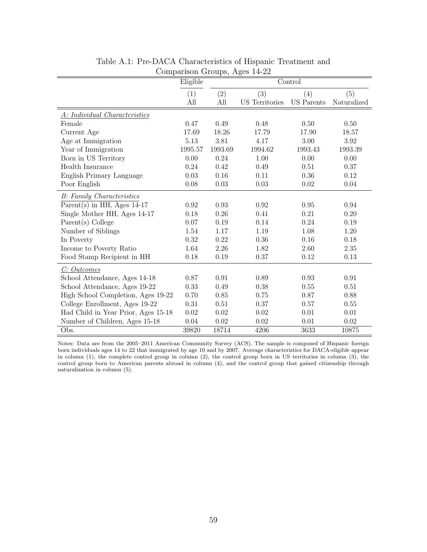|                                     | Eligible |         | Comparison Croups, riggs $14-22$ | Control           |             |
|-------------------------------------|----------|---------|----------------------------------|-------------------|-------------|
|                                     |          |         |                                  |                   |             |
|                                     | (1)      | (2)     | (3)                              | (4)               | (5)         |
|                                     | All      | All     | <b>US</b> Territories            | <b>US</b> Parents | Naturalized |
| A: Individual Characteristics       |          |         |                                  |                   |             |
| Female                              | 0.47     | 0.49    | 0.48                             | 0.50              | 0.50        |
| Current Age                         | 17.69    | 18.26   | 17.79                            | 17.90             | 18.57       |
| Age at Immigration                  | 5.13     | 3.81    | 4.17                             | 3.00              | 3.92        |
| Year of Immigration                 | 1995.57  | 1993.69 | 1994.62                          | 1993.43           | 1993.39     |
| Born in US Territory                | 0.00     | 0.24    | 1.00                             | 0.00              | 0.00        |
| Health Insurance                    | 0.24     | 0.42    | 0.49                             | 0.51              | 0.37        |
| English Primary Language            | 0.03     | 0.16    | 0.11                             | 0.36              | 0.12        |
| Poor English                        | 0.08     | 0.03    | 0.03                             | 0.02              | 0.04        |
| <b>B</b> : Family Characteristics   |          |         |                                  |                   |             |
| Parent(s) in HH, Ages $14-17$       | 0.92     | 0.93    | 0.92                             | $0.95\,$          | 0.94        |
| Single Mother HH, Ages 14-17        | 0.18     | 0.26    | 0.41                             | 0.21              | 0.20        |
| Parent(s) College                   | 0.07     | 0.19    | 0.14                             | 0.24              | 0.19        |
| Number of Siblings                  | 1.54     | 1.17    | 1.19                             | 1.08              | 1.20        |
| In Poverty                          | 0.32     | 0.22    | 0.36                             | 0.16              | 0.18        |
| Income to Poverty Ratio             | 1.64     | 2.26    | 1.82                             | 2.60              | 2.35        |
| Food Stamp Recipient in HH          | 0.18     | 0.19    | 0.37                             | 0.12              | 0.13        |
| C: Outcomes                         |          |         |                                  |                   |             |
| School Attendance, Ages 14-18       | 0.87     | 0.91    | 0.89                             | 0.93              | 0.91        |
| School Attendance, Ages 19-22       | 0.33     | 0.49    | 0.38                             | $0.55\,$          | 0.51        |
| High School Completion, Ages 19-22  | 0.70     | 0.85    | 0.75                             | 0.87              | 0.88        |
| College Enrollment, Ages 19-22      | 0.31     | 0.51    | 0.37                             | 0.57              | 0.55        |
| Had Child in Year Prior, Ages 15-18 | 0.02     | 0.02    | 0.02                             | 0.01              | 0.01        |
| Number of Children, Ages 15-18      | 0.04     | 0.02    | 0.02                             | 0.01              | 0.02        |
| Obs.                                | 39820    | 18714   | 4206                             | 3633              | 10875       |

<span id="page-58-0"></span>Table A.1: Pre-DACA Characteristics of Hispanic Treatment and Comparison Groups, Ages 14-22

Notes: Data are from the 2005–2011 American Community Survey (ACS). The sample is composed of Hispanic foreign born individuals ages 14 to 22 that immigrated by age 10 and by 2007. Average characteristics for DACA-eligible appear in column (1), the complete control group in column (2), the control group born in US territories in column (3), the control group born to American parents abroad in column (4), and the control group that gained citizenship through naturalization in column (5).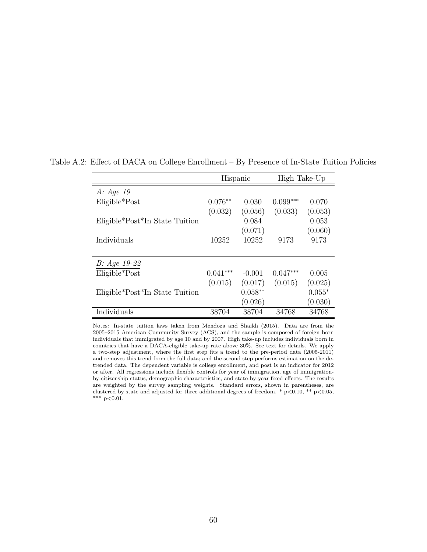|                                | Hispanic   |           | High Take-Up |          |
|--------------------------------|------------|-----------|--------------|----------|
| A: Age 19                      |            |           |              |          |
| Eligible*Post                  | $0.076**$  | 0.030     | $0.099***$   | 0.070    |
|                                | (0.032)    | (0.056)   | (0.033)      | (0.053)  |
| Eligible*Post*In State Tuition |            | 0.084     |              | 0.053    |
|                                |            | (0.071)   |              | (0.060)  |
| Individuals                    | 10252      | 10252     | 9173         | 9173     |
|                                |            |           |              |          |
| $B: Age 19-22$                 |            |           |              |          |
| $Eligible*Post$                | $0.041***$ | $-0.001$  | $0.047***$   | 0.005    |
|                                | (0.015)    | (0.017)   | (0.015)      | (0.025)  |
| Eligible*Post*In State Tuition |            | $0.058**$ |              | $0.055*$ |
|                                |            | (0.026)   |              | (0.030)  |
| Individuals                    | 38704      | 38704     | 34768        | 34768    |

Table A.2: Effect of DACA on College Enrollment – By Presence of In-State Tuition Policies

Notes: In-state tuition laws taken from [Mendoza and Shaikh](#page-35-0) [\(2015\)](#page-35-0). Data are from the 2005–2015 American Community Survey (ACS), and the sample is composed of foreign born individuals that immigrated by age 10 and by 2007. High take-up includes individuals born in countries that have a DACA-eligible take-up rate above 30%. See text for details. We apply a two-step adjustment, where the first step fits a trend to the pre-period data (2005-2011) and removes this trend from the full data; and the second step performs estimation on the detrended data. The dependent variable is college enrollment, and post is an indicator for 2012 or after. All regressions include flexible controls for year of immigration, age of immigrationby-citizenship status, demographic characteristics, and state-by-year fixed effects. The results are weighted by the survey sampling weights. Standard errors, shown in parentheses, are clustered by state and adjusted for three additional degrees of freedom. \*  $p<0.10$ , \*\*  $p<0.05$ , \*\*\*  $p<0.01$ .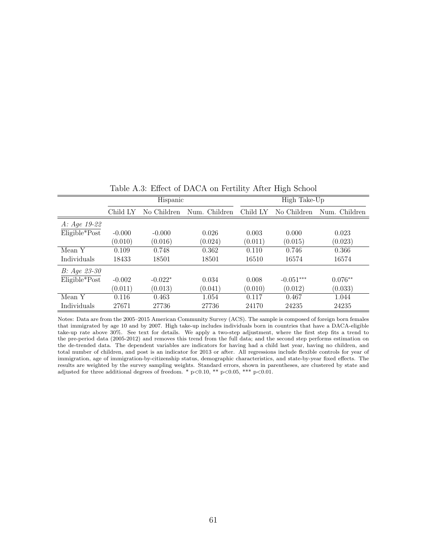|                 |          |             | Table 11.0. Entered to DITCIT on Terminal Three High Denote |              |             |               |  |
|-----------------|----------|-------------|-------------------------------------------------------------|--------------|-------------|---------------|--|
|                 |          | Hispanic    |                                                             | High Take-Up |             |               |  |
|                 | Child LY | No Children | Num. Children                                               | Child LY     | No Children | Num. Children |  |
| $A: Age 19-22$  |          |             |                                                             |              |             |               |  |
| $Eligible*Post$ | $-0.000$ | $-0.000$    | 0.026                                                       | 0.003        | 0.000       | 0.023         |  |
|                 | (0.010)  | (0.016)     | (0.024)                                                     | (0.011)      | (0.015)     | (0.023)       |  |
| Mean Y          | 0.109    | 0.748       | 0.362                                                       | 0.110        | 0.746       | 0.366         |  |
| Individuals     | 18433    | 18501       | 18501                                                       | 16510        | 16574       | 16574         |  |
| $B: Age 23-30$  |          |             |                                                             |              |             |               |  |
| $Eligible*Post$ | $-0.002$ | $-0.022*$   | 0.034                                                       | 0.008        | $-0.051***$ | $0.076**$     |  |
|                 | (0.011)  | (0.013)     | (0.041)                                                     | (0.010)      | (0.012)     | (0.033)       |  |
| Mean Y          | 0.116    | 0.463       | 1.054                                                       | 0.117        | 0.467       | 1.044         |  |
| Individuals     | 27671    | 27736       | 27736                                                       | 24170        | 24235       | 24235         |  |

Table A.3: Effect of DACA on Fertility After High School

Notes: Data are from the 2005–2015 American Community Survey (ACS). The sample is composed of foreign born females that immigrated by age 10 and by 2007. High take-up includes individuals born in countries that have a DACA-eligible take-up rate above 30%. See text for details. We apply a two-step adjustment, where the first step fits a trend to the pre-period data (2005-2012) and removes this trend from the full data; and the second step performs estimation on the de-trended data. The dependent variables are indicators for having had a child last year, having no children, and total number of children, and post is an indicator for 2013 or after. All regressions include flexible controls for year of immigration, age of immigration-by-citizenship status, demographic characteristics, and state-by-year fixed effects. The results are weighted by the survey sampling weights. Standard errors, shown in parentheses, are clustered by state and adjusted for three additional degrees of freedom. \* p<0.10, \*\* p<0.05, \*\*\* p<0.01.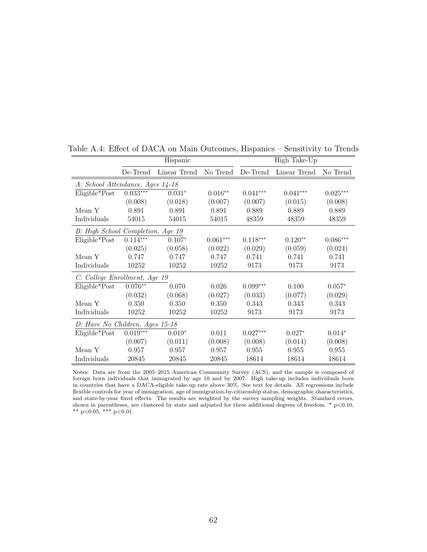|                                   | Hispanic   |              |            | High Take-Up |              |            |  |
|-----------------------------------|------------|--------------|------------|--------------|--------------|------------|--|
|                                   | De-Trend   | Linear Trend | No Trend   | De-Trend     | Linear Trend | No Trend   |  |
| A: School Attendance, Ages 14-18  |            |              |            |              |              |            |  |
| $Eligible*Post$                   | $0.033***$ | $0.031*$     | $0.016**$  | $0.041***$   | $0.041***$   | $0.025***$ |  |
|                                   | (0.008)    | (0.018)      | (0.007)    | (0.007)      | (0.015)      | (0.008)    |  |
| Mean Y                            | 0.891      | 0.891        | 0.891      | 0.889        | 0.889        | 0.889      |  |
| Individuals                       | 54015      | 54015        | 54015      | 48359        | 48359        | 48359      |  |
| B: High School Completion, Age 19 |            |              |            |              |              |            |  |
| Eligible*Post                     | $0.114***$ | $0.107*$     | $0.061***$ | $0.118***$   | $0.120**$    | $0.086***$ |  |
|                                   | (0.025)    | (0.058)      | (0.022)    | (0.029)      | (0.059)      | (0.024)    |  |
| Mean Y                            | 0.747      | 0.747        | 0.747      | 0.741        | 0.741        | 0.741      |  |
| Individuals                       | 10252      | 10252        | 10252      | 9173         | 9173         | 9173       |  |
| C: College Enrollment, Age 19     |            |              |            |              |              |            |  |
| $Eligible*Post$                   | $0.076**$  | 0.070        | 0.026      | $0.099***$   | 0.100        | $0.057*$   |  |
|                                   | (0.032)    | (0.068)      | (0.027)    | (0.033)      | (0.077)      | (0.029)    |  |
| Mean Y                            | 0.350      | 0.350        | 0.350      | 0.343        | 0.343        | 0.343      |  |
| Individuals                       | 10252      | 10252        | 10252      | 9173         | 9173         | 9173       |  |
| D: Have No Children, Ages 15-18   |            |              |            |              |              |            |  |
| $Eligible*Post$                   | $0.019***$ | $0.019*$     | 0.011      | $0.027***$   | $0.027*$     | $0.014*$   |  |
|                                   | (0.007)    | (0.011)      | (0.008)    | (0.008)      | (0.014)      | (0.008)    |  |
| Mean Y                            | 0.957      | 0.957        | 0.957      | 0.955        | 0.955        | 0.955      |  |
| Individuals                       | 20845      | 20845        | 20845      | 18614        | 18614        | 18614      |  |

Table A.4: Effect of DACA on Main Outcomes, Hispanics – Sensitivity to Trends

Notes: Data are from the 2005–2015 American Community Survey (ACS), and the sample is composed of foreign born individuals that immigrated by age 10 and by 2007. High take-up includes individuals born in countries that have a DACA-eligible take-up rate above 30%. See text for details. All regressions include flexible controls for year of immigration, age of immigration-by-citizenship status, demographic characteristics, and state-by-year fixed effects. The results are weighted by the survey sampling weights. Standard errors, shown in parentheses, are clustered by state and adjusted for three additional degrees of freedom.  $*$  p<0.10, \*\*  $p<0.05$ , \*\*\*  $p<0.01$ .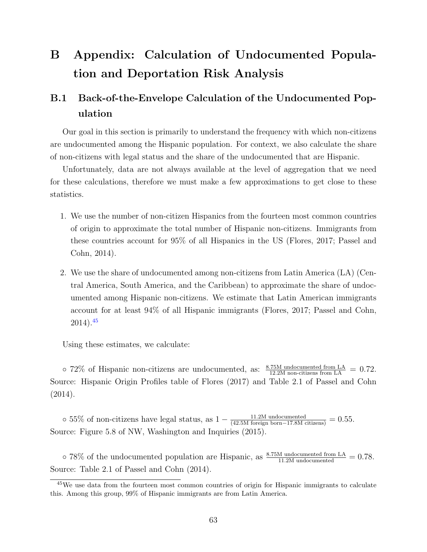# B Appendix: Calculation of Undocumented Population and Deportation Risk Analysis

### B.1 Back-of-the-Envelope Calculation of the Undocumented Population

Our goal in this section is primarily to understand the frequency with which non-citizens are undocumented among the Hispanic population. For context, we also calculate the share of non-citizens with legal status and the share of the undocumented that are Hispanic.

Unfortunately, data are not always available at the level of aggregation that we need for these calculations, therefore we must make a few approximations to get close to these statistics.

- 1. We use the number of non-citizen Hispanics from the fourteen most common countries of origin to approximate the total number of Hispanic non-citizens. Immigrants from these countries account for 95% of all Hispanics in the US [\(Flores,](#page-34-0) [2017;](#page-34-0) [Passel and](#page-35-1) [Cohn,](#page-35-1) [2014\)](#page-35-1).
- 2. We use the share of undocumented among non-citizens from Latin America (LA) (Central America, South America, and the Caribbean) to approximate the share of undocumented among Hispanic non-citizens. We estimate that Latin American immigrants account for at least 94% of all Hispanic immigrants [\(Flores,](#page-34-0) [2017;](#page-34-0) [Passel and Cohn,](#page-35-1)  $2014)$ .<sup>[45](#page-0-0)</sup>

Using these estimates, we calculate:

 $\circ$  72\% of Hispanic non-citizens are undocumented, as:  $\frac{8.75M \text{ undocumented from LA}}{12.2M \text{ non-citizens from LA}} = 0.72$ . Source: Hispanic Origin Profiles table of [Flores](#page-34-0) [\(2017\)](#page-34-0) and Table 2.1 of [Passel and Cohn](#page-35-1) [\(2014\)](#page-35-1).

 $\circ$  55% of non-citizens have legal status, as  $1 - \frac{11.2M \text{ undocumented}}{(42.5M \text{ foreign born}-17.8M \text{ citizens})} = 0.55$ . Source: Figure 5.8 of [NW, Washington and Inquiries](#page-35-2) [\(2015\)](#page-35-2).

 $\circ$  78% of the undocumented population are Hispanic, as  $\frac{8.75M \text{ undocumented from LA}}{11.2M \text{ undocumented}} = 0.78$ . Source: Table 2.1 of [Passel and Cohn](#page-35-1) [\(2014\)](#page-35-1).

<sup>&</sup>lt;sup>45</sup>We use data from the fourteen most common countries of origin for Hispanic immigrants to calculate this. Among this group, 99% of Hispanic immigrants are from Latin America.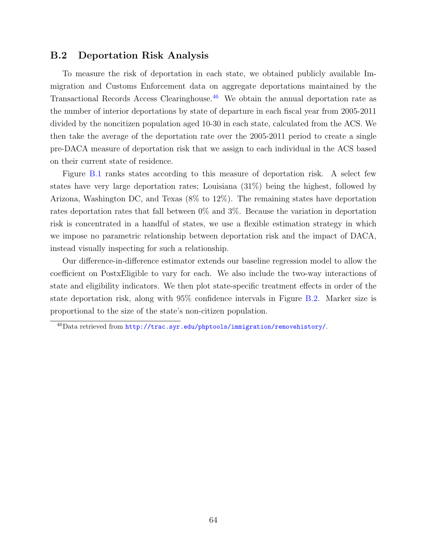#### B.2 Deportation Risk Analysis

To measure the risk of deportation in each state, we obtained publicly available Immigration and Customs Enforcement data on aggregate deportations maintained by the Transactional Records Access Clearinghouse.[46](#page-0-0) We obtain the annual deportation rate as the number of interior deportations by state of departure in each fiscal year from 2005-2011 divided by the noncitizen population aged 10-30 in each state, calculated from the ACS. We then take the average of the deportation rate over the 2005-2011 period to create a single pre-DACA measure of deportation risk that we assign to each individual in the ACS based on their current state of residence.

Figure [B.1](#page-51-0) ranks states according to this measure of deportation risk. A select few states have very large deportation rates; Louisiana (31%) being the highest, followed by Arizona, Washington DC, and Texas (8% to 12%). The remaining states have deportation rates deportation rates that fall between 0% and 3%. Because the variation in deportation risk is concentrated in a handful of states, we use a flexible estimation strategy in which we impose no parametric relationship between deportation risk and the impact of DACA, instead visually inspecting for such a relationship.

Our difference-in-difference estimator extends our baseline regression model to allow the coefficient on PostxEligible to vary for each. We also include the two-way interactions of state and eligibility indicators. We then plot state-specific treatment effects in order of the state deportation risk, along with 95% confidence intervals in Figure [B.2.](#page-52-0) Marker size is proportional to the size of the state's non-citizen population.

<sup>46</sup>Data retrieved from <http://trac.syr.edu/phptools/immigration/removehistory/>.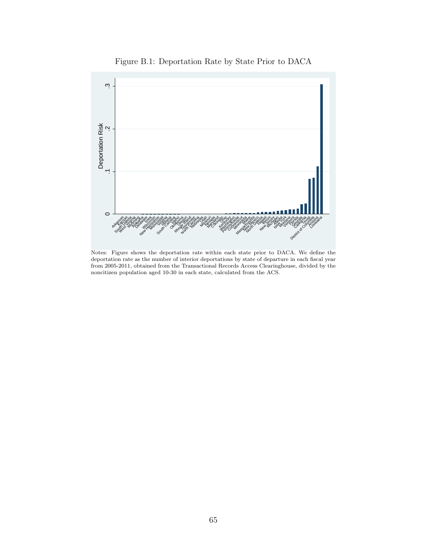

Figure B.1: Deportation Rate by State Prior to DACA

Notes: Figure shows the deportation rate within each state prior to DACA. We define the deportation rate as the number of interior deportations by state of departure in each fiscal year from 2005-2011, obtained from the Transactional Records Access Clearinghouse, divided by the noncitizen population aged 10-30 in each state, calculated from the ACS.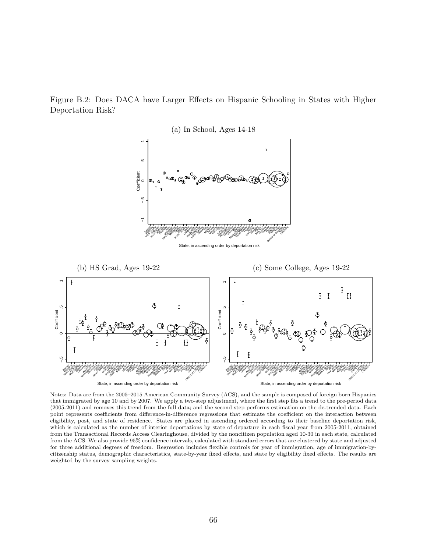Figure B.2: Does DACA have Larger Effects on Hispanic Schooling in States with Higher Deportation Risk?



Notes: Data are from the 2005–2015 American Community Survey (ACS), and the sample is composed of foreign born Hispanics that immigrated by age 10 and by 2007. We apply a two-step adjustment, where the first step fits a trend to the pre-period data (2005-2011) and removes this trend from the full data; and the second step performs estimation on the de-trended data. Each point represents coefficients from difference-in-difference regressions that estimate the coefficient on the interaction between eligibility, post, and state of residence. States are placed in ascending ordered according to their baseline deportation risk, which is calculated as the number of interior deportations by state of departure in each fiscal year from 2005-2011, obtained from the Transactional Records Access Clearinghouse, divided by the noncitizen population aged 10-30 in each state, calculated from the ACS. We also provide 95% confidence intervals, calculated with standard errors that are clustered by state and adjusted for three additional degrees of freedom. Regression includes flexible controls for year of immigration, age of immigration-bycitizenship status, demographic characteristics, state-by-year fixed effects, and state by eligibility fixed effects. The results are weighted by the survey sampling weights.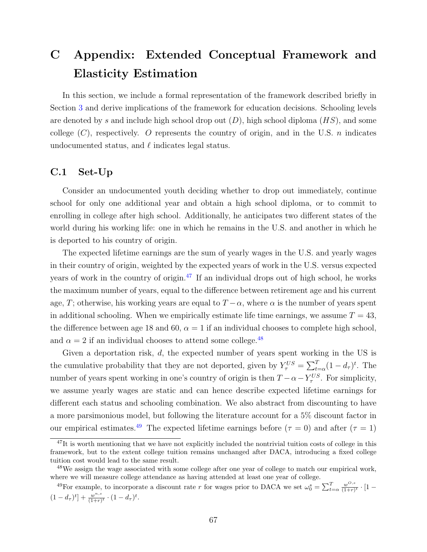## <span id="page-66-0"></span>C Appendix: Extended Conceptual Framework and Elasticity Estimation

In this section, we include a formal representation of the framework described briefly in Section [3](#page-8-0) and derive implications of the framework for education decisions. Schooling levels are denoted by s and include high school drop out  $(D)$ , high school diploma  $(HS)$ , and some college  $(C)$ , respectively. O represents the country of origin, and in the U.S. *n* indicates undocumented status, and  $\ell$  indicates legal status.

#### <span id="page-66-1"></span>C.1 Set-Up

Consider an undocumented youth deciding whether to drop out immediately, continue school for only one additional year and obtain a high school diploma, or to commit to enrolling in college after high school. Additionally, he anticipates two different states of the world during his working life: one in which he remains in the U.S. and another in which he is deported to his country of origin.

The expected lifetime earnings are the sum of yearly wages in the U.S. and yearly wages in their country of origin, weighted by the expected years of work in the U.S. versus expected years of work in the country of origin.<sup>[47](#page-0-0)</sup> If an individual drops out of high school, he works the maximum number of years, equal to the difference between retirement age and his current age, T; otherwise, his working years are equal to  $T - \alpha$ , where  $\alpha$  is the number of years spent in additional schooling. When we empirically estimate life time earnings, we assume  $T = 43$ , the difference between age 18 and 60,  $\alpha = 1$  if an individual chooses to complete high school, and  $\alpha = 2$  if an individual chooses to attend some college.<sup>[48](#page-0-0)</sup>

Given a deportation risk, d, the expected number of years spent working in the US is the cumulative probability that they are not deported, given by  $Y_{\tau}^{US} = \sum_{t=\alpha}^{T} (1 - d_{\tau})^t$ . The number of years spent working in one's country of origin is then  $T - \alpha - Y_{\tau}^{US}$ . For simplicity, we assume yearly wages are static and can hence describe expected lifetime earnings for different each status and schooling combination. We also abstract from discounting to have a more parsimonious model, but following the literature account for a 5% discount factor in our empirical estimates.<sup>[49](#page-0-0)</sup> The expected lifetime earnings before ( $\tau = 0$ ) and after ( $\tau = 1$ )

 $^{47}$ It is worth mentioning that we have not explicitly included the nontrivial tuition costs of college in this framework, but to the extent college tuition remains unchanged after DACA, introducing a fixed college tuition cost would lead to the same result.

<sup>&</sup>lt;sup>48</sup>We assign the wage associated with some college after one year of college to match our empirical work, where we will measure college attendance as having attended at least one year of college.

<sup>&</sup>lt;sup>49</sup>For example, to incorporate a discount rate r for wages prior to DACA we set  $\omega_0^s = \sum_{t=\alpha}^T \frac{w^{O,s}}{(1+r)}$  $\frac{w^{0,s}}{(1+r)^t} \cdot [1 (1-d_{\tau})^t$  +  $\frac{w^{n,s}}{(1+r)}$  $\frac{w^{n,s}}{(1+r)^t} \cdot (1-d_{\tau})^t.$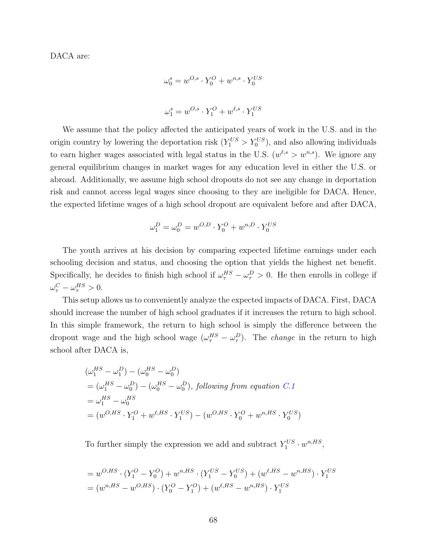DACA are:

$$
\omega_0^s = w^{O,s} \cdot Y_0^O + w^{n,s} \cdot Y_0^{US}
$$
  

$$
\omega_1^s = w^{O,s} \cdot Y_1^O + w^{\ell,s} \cdot Y_1^{US}
$$

We assume that the policy affected the anticipated years of work in the U.S. and in the origin country by lowering the deportation risk  $(Y_1^{US} > Y_0^{US})$ , and also allowing individuals to earn higher wages associated with legal status in the U.S.  $(w^{\ell,s} > w^{n,s})$ . We ignore any general equilibrium changes in market wages for any education level in either the U.S. or abroad. Additionally, we assume high school dropouts do not see any change in deportation risk and cannot access legal wages since choosing to they are ineligible for DACA. Hence, the expected lifetime wages of a high school dropout are equivalent before and after DACA,

$$
\omega_1^D = \omega_0^D = w^{O,D} \cdot Y_0^O + w^{n,D} \cdot Y_0^{US}
$$

The youth arrives at his decision by comparing expected lifetime earnings under each schooling decision and status, and choosing the option that yields the highest net benefit. Specifically, he decides to finish high school if  $\omega_{\tau}^{HS} - \omega_{\tau}^{D} > 0$ . He then enrolls in college if  $\omega_{\tau}^C - \omega_{\tau}^{HS} > 0.$ 

This setup allows us to conveniently analyze the expected impacts of DACA. First, DACA should increase the number of high school graduates if it increases the return to high school. In this simple framework, the return to high school is simply the difference between the dropout wage and the high school wage  $(\omega_{\tau}^{HS} - \omega_{\tau}^{D})$ . The *change* in the return to high school after DACA is,

$$
\begin{aligned} & (\omega_1^{HS} - \omega_1^D) - (\omega_0^{HS} - \omega_0^D) \\ & = (\omega_1^{HS} - \omega_0^D) - (\omega_0^{HS} - \omega_0^D), \text{ following from equation } C.1 \\ & = \omega_1^{HS} - \omega_0^{HS} \\ & = (w^{O,HS} \cdot Y_1^O + w^{\ell,HS} \cdot Y_1^{US}) - (w^{O,HS} \cdot Y_0^O + w^{n,HS} \cdot Y_0^{US}) \end{aligned}
$$

To further simply the expression we add and subtract  $Y_1^{US} \cdot w^{n,HS}$ ,

$$
= w^{O,HS} \cdot (Y_1^O - Y_0^O) + w^{n,HS} \cdot (Y_1^{US} - Y_0^{US}) + (w^{\ell,HS} - w^{n,HS}) \cdot Y_1^{US}
$$
  
=  $(w^{n,HS} - w^{O,HS}) \cdot (Y_0^O - Y_1^O) + (w^{\ell,HS} - w^{n,HS}) \cdot Y_1^{US}$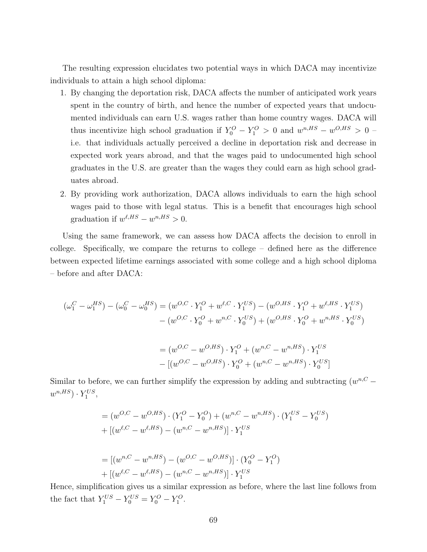The resulting expression elucidates two potential ways in which DACA may incentivize individuals to attain a high school diploma:

- 1. By changing the deportation risk, DACA affects the number of anticipated work years spent in the country of birth, and hence the number of expected years that undocumented individuals can earn U.S. wages rather than home country wages. DACA will thus incentivize high school graduation if  $Y_0^O - Y_1^O > 0$  and  $w^{n,HS} - w^{O,HS} > 0$ i.e. that individuals actually perceived a decline in deportation risk and decrease in expected work years abroad, and that the wages paid to undocumented high school graduates in the U.S. are greater than the wages they could earn as high school graduates abroad.
- 2. By providing work authorization, DACA allows individuals to earn the high school wages paid to those with legal status. This is a benefit that encourages high school graduation if  $w^{\ell,HS} - w^{n,HS} > 0$ .

Using the same framework, we can assess how DACA affects the decision to enroll in college. Specifically, we compare the returns to college – defined here as the difference between expected lifetime earnings associated with some college and a high school diploma – before and after DACA:

$$
(\omega_1^C - \omega_1^{HS}) - (\omega_0^C - \omega_0^{HS}) = (w^{O,C} \cdot Y_1^O + w^{\ell,C} \cdot Y_1^{US}) - (w^{O,HS} \cdot Y_1^O + w^{\ell,HS} \cdot Y_1^{US})
$$

$$
- (w^{O,C} \cdot Y_0^O + w^{n,C} \cdot Y_0^{US}) + (w^{O,HS} \cdot Y_0^O + w^{n,HS} \cdot Y_0^{US})
$$

$$
= (w^{O,C} - w^{O,HS}) \cdot Y_1^O + (w^{n,C} - w^{n,HS}) \cdot Y_1^{US}
$$

$$
- [(w^{O,C} - w^{O,HS}) \cdot Y_0^O + (w^{n,C} - w^{n,HS}) \cdot Y_0^{US}]
$$

Similar to before, we can further simplify the expression by adding and subtracting  $(w^{n, C}$  $w^{n,HS}$ )  $\cdot$   $Y_1^{US}$ ,

$$
= (w^{O,C} - w^{O,HS}) \cdot (Y_1^O - Y_0^O) + (w^{n,C} - w^{n,HS}) \cdot (Y_1^{US} - Y_0^{US})
$$
  
+ 
$$
[(w^{\ell,C} - w^{\ell,HS}) - (w^{n,C} - w^{n,HS})] \cdot Y_1^{US}
$$

$$
= [(w^{n,C} - w^{n,HS}) - (w^{O,C} - w^{O,HS})] \cdot (Y_0^O - Y_1^O)
$$
  
+ 
$$
[(w^{\ell,C} - w^{\ell,HS}) - (w^{n,C} - w^{n,HS})] \cdot Y_1^{US}
$$

Hence, simplification gives us a similar expression as before, where the last line follows from the fact that  $Y_1^{US} - Y_0^{US} = Y_0^O - Y_1^O$ .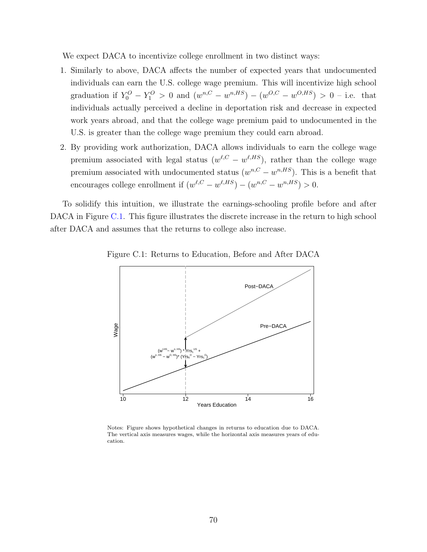We expect DACA to incentivize college enrollment in two distinct ways:

- 1. Similarly to above, DACA affects the number of expected years that undocumented individuals can earn the U.S. college wage premium. This will incentivize high school graduation if  $Y_0^O - Y_1^O > 0$  and  $(w^{n,C} - w^{n,HS}) - (w^{O,C} - w^{O,HS}) > 0$  - i.e. that individuals actually perceived a decline in deportation risk and decrease in expected work years abroad, and that the college wage premium paid to undocumented in the U.S. is greater than the college wage premium they could earn abroad.
- 2. By providing work authorization, DACA allows individuals to earn the college wage premium associated with legal status  $(w^{\ell,C} - w^{\ell,HS})$ , rather than the college wage premium associated with undocumented status  $(w^{n,C} - w^{n,HS})$ . This is a benefit that encourages college enrollment if  $(w^{\ell,C} - w^{\ell,HS}) - (w^{n,C} - w^{n,HS}) > 0$ .

To solidify this intuition, we illustrate the earnings-schooling profile before and after DACA in Figure [C.1.](#page-51-0) This figure illustrates the discrete increase in the return to high school after DACA and assumes that the returns to college also increase.



Figure C.1: Returns to Education, Before and After DACA

Notes: Figure shows hypothetical changes in returns to education due to DACA. The vertical axis measures wages, while the horizontal axis measures years of education.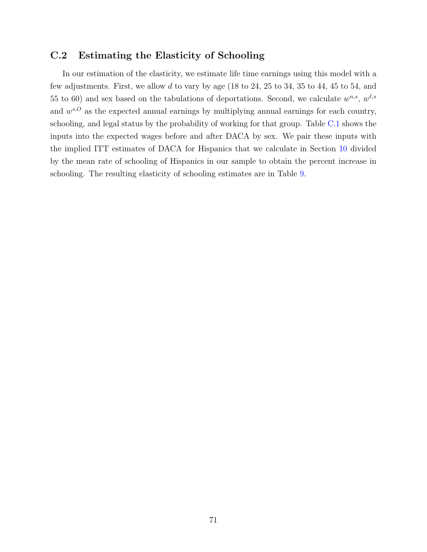#### C.2 Estimating the Elasticity of Schooling

In our estimation of the elasticity, we estimate life time earnings using this model with a few adjustments. First, we allow d to vary by age (18 to 24, 25 to 34, 35 to 44, 45 to 54, and 55 to 60) and sex based on the tabulations of deportations. Second, we calculate  $w^{n,s}$ ,  $w^{\ell,s}$ and  $w^{s,O}$  as the expected annual earnings by multiplying annual earnings for each country, schooling, and legal status by the probability of working for that group. Table [C.1](#page-58-0) shows the inputs into the expected wages before and after DACA by sex. We pair these inputs with the implied ITT estimates of DACA for Hispanics that we calculate in Section [10](#page-28-0) divided by the mean rate of schooling of Hispanics in our sample to obtain the percent increase in schooling. The resulting elasticity of schooling estimates are in Table [9.](#page-50-0)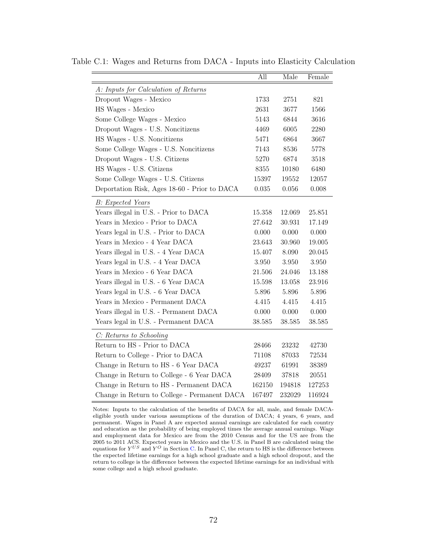|                                              | All    | Male      | Female |
|----------------------------------------------|--------|-----------|--------|
| A: Inputs for Calculation of Returns         |        |           |        |
| Dropout Wages - Mexico                       | 1733   | 2751      | 821    |
| HS Wages - Mexico                            | 2631   | 3677      | 1566   |
| Some College Wages - Mexico                  | 5143   | 6844      | 3616   |
| Dropout Wages - U.S. Noncitizens             | 4469   | 6005      | 2280   |
| HS Wages - U.S. Noncitizens                  | 5471   | 6864      | 3667   |
| Some College Wages - U.S. Noncitizens        | 7143   | 8536      | 5778   |
| Dropout Wages - U.S. Citizens                | 5270   | 6874      | 3518   |
| HS Wages - U.S. Citizens                     | 8355   | 10180     | 6480   |
| Some College Wages - U.S. Citizens           | 15397  | 19552     | 12057  |
| Deportation Risk, Ages 18-60 - Prior to DACA | 0.035  | $0.056\,$ | 0.008  |
| <b>B</b> : Expected Years                    |        |           |        |
| Years illegal in U.S. - Prior to DACA        | 15.358 | 12.069    | 25.851 |
| Years in Mexico - Prior to DACA              | 27.642 | 30.931    | 17.149 |
| Years legal in U.S. - Prior to DACA          | 0.000  | 0.000     | 0.000  |
| Years in Mexico - 4 Year DACA                | 23.643 | 30.960    | 19.005 |
| Years illegal in U.S. - 4 Year DACA          | 15.407 | 8.090     | 20.045 |
| Years legal in U.S. - 4 Year DACA            | 3.950  | 3.950     | 3.950  |
| Years in Mexico - 6 Year DACA                | 21.506 | 24.046    | 13.188 |
| Years illegal in U.S. - 6 Year DACA          | 15.598 | 13.058    | 23.916 |
| Years legal in U.S. - 6 Year DACA            | 5.896  | 5.896     | 5.896  |
| Years in Mexico - Permanent DACA             | 4.415  | 4.415     | 4.415  |
| Years illegal in U.S. - Permanent DACA       | 0.000  | 0.000     | 0.000  |
| Years legal in U.S. - Permanent DACA         | 38.585 | 38.585    | 38.585 |
| C: Returns to Schooling                      |        |           |        |
| Return to HS - Prior to DACA                 | 28466  | 23232     | 42730  |
| Return to College - Prior to DACA            | 71108  | 87033     | 72534  |
| Change in Return to HS - 6 Year DACA         | 49237  | 61991     | 38389  |
| Change in Return to College - 6 Year DACA    | 28409  | 37818     | 20551  |
| Change in Return to HS - Permanent DACA      | 162150 | 194818    | 127253 |
| Change in Return to College - Permanent DACA | 167497 | 232029    | 116924 |

Table C.1: Wages and Returns from DACA - Inputs into Elasticity Calculation

Notes: Inputs to the calculation of the benefits of DACA for all, male, and female DACAeligible youth under various assumptions of the duration of DACA; 4 years, 6 years, and permanent. Wages in Panel A are expected annual earnings are calculated for each country and education as the probability of being employed times the average annual earnings. Wage and employment data for Mexico are from the 2010 Census and for the US are from the 2005 to 2011 ACS. Expected years in Mexico and the U.S. in Panel B are calculated using the equations for  $Y^{US}$  and  $Y^O$  in Section [C.](#page-66-0) In Panel C, the return to HS is the difference between the expected lifetime earnings for a high school graduate and a high school dropout, and the return to college is the difference between the expected lifetime earnings for an individual with some college and a high school graduate.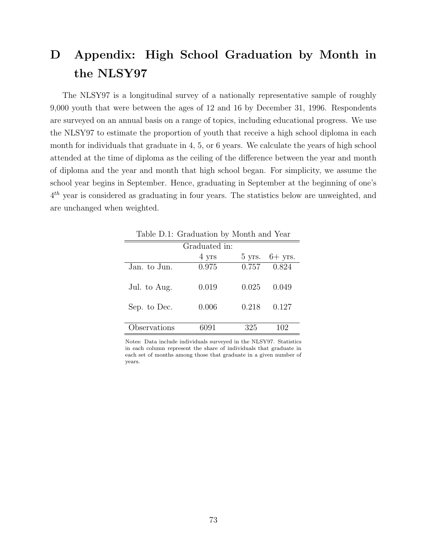# D Appendix: High School Graduation by Month in the NLSY97

The NLSY97 is a longitudinal survey of a nationally representative sample of roughly 9,000 youth that were between the ages of 12 and 16 by December 31, 1996. Respondents are surveyed on an annual basis on a range of topics, including educational progress. We use the NLSY97 to estimate the proportion of youth that receive a high school diploma in each month for individuals that graduate in 4, 5, or 6 years. We calculate the years of high school attended at the time of diploma as the ceiling of the difference between the year and month of diploma and the year and month that high school began. For simplicity, we assume the school year begins in September. Hence, graduating in September at the beginning of one's  $4<sup>th</sup>$  year is considered as graduating in four years. The statistics below are unweighted, and are unchanged when weighted.

|              | _ ._. _ _ _ ._  --- - - - - |       |                          |
|--------------|-----------------------------|-------|--------------------------|
|              | Graduated in:               |       |                          |
|              | 4 yrs                       |       | $5 \text{ yrs.}$ 6+ yrs. |
| Jan. to Jun. | 0.975                       | 0.757 | 0.824                    |
| Jul. to Aug. | 0.019                       | 0.025 | 0.049                    |
| Sep. to Dec. | 0.006                       | 0.218 | 0.127                    |
| Observations | 6091                        | 325   | 102                      |

Table D.1: Graduation by Month and Year

Notes: Data include individuals surveyed in the NLSY97. Statistics in each column represent the share of individuals that graduate in each set of months among those that graduate in a given number of years.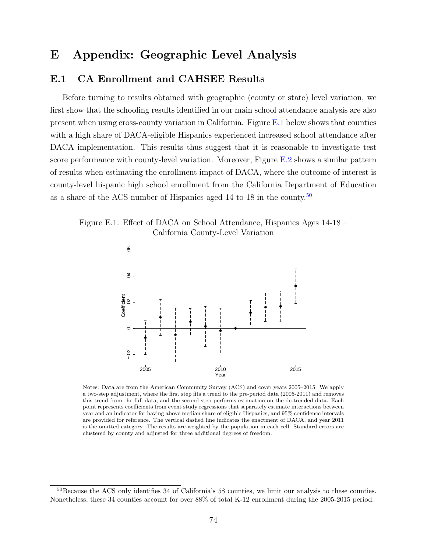### E Appendix: Geographic Level Analysis

#### E.1 CA Enrollment and CAHSEE Results

Before turning to results obtained with geographic (county or state) level variation, we first show that the schooling results identified in our main school attendance analysis are also present when using cross-county variation in California. Figure [E.1](#page-51-0) below shows that counties with a high share of DACA-eligible Hispanics experienced increased school attendance after DACA implementation. This results thus suggest that it is reasonable to investigate test score performance with county-level variation. Moreover, Figure [E.2](#page-52-0) shows a similar pattern of results when estimating the enrollment impact of DACA, where the outcome of interest is county-level hispanic high school enrollment from the California Department of Education as a share of the ACS number of Hispanics aged 14 to 18 in the county.[50](#page-0-0)

Figure E.1: Effect of DACA on School Attendance, Hispanics Ages 14-18 – California County-Level Variation



Notes: Data are from the American Community Survey (ACS) and cover years 2005–2015. We apply a two-step adjustment, where the first step fits a trend to the pre-period data (2005-2011) and removes this trend from the full data; and the second step performs estimation on the de-trended data. Each point represents coefficients from event study regressions that separately estimate interactions between year and an indicator for having above median share of eligible Hispanics, and 95% confidence intervals are provided for reference. The vertical dashed line indicates the enactment of DACA, and year 2011 is the omitted category. The results are weighted by the population in each cell. Standard errors are clustered by county and adjusted for three additional degrees of freedom.

 $50$ Because the ACS only identifies 34 of California's 58 counties, we limit our analysis to these counties. Nonetheless, these 34 counties account for over  $88\%$  of total K-12 enrollment during the 2005-2015 period.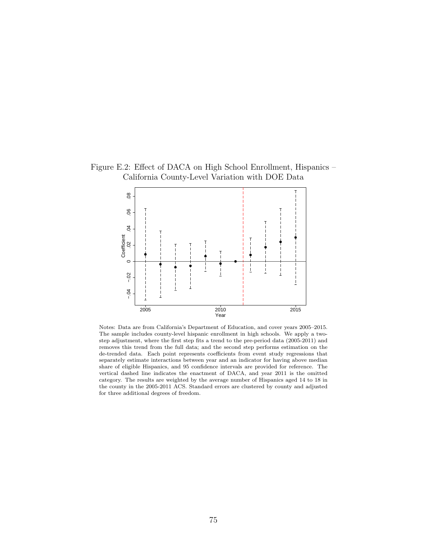Figure E.2: Effect of DACA on High School Enrollment, Hispanics – California County-Level Variation with DOE Data



Notes: Data are from California's Department of Education, and cover years 2005–2015. The sample includes county-level hispanic enrollment in high schools. We apply a twostep adjustment, where the first step fits a trend to the pre-period data (2005-2011) and removes this trend from the full data; and the second step performs estimation on the de-trended data. Each point represents coefficients from event study regressions that separately estimate interactions between year and an indicator for having above median share of eligible Hispanics, and 95 confidence intervals are provided for reference. The vertical dashed line indicates the enactment of DACA, and year 2011 is the omitted category. The results are weighted by the average number of Hispanics aged 14 to 18 in the county in the 2005-2011 ACS. Standard errors are clustered by county and adjusted for three additional degrees of freedom.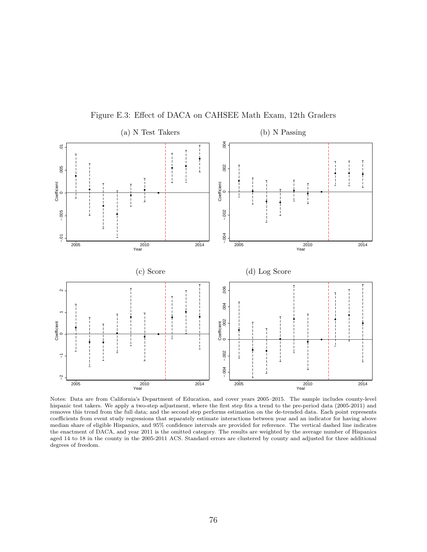

Figure E.3: Effect of DACA on CAHSEE Math Exam, 12th Graders

Notes: Data are from California's Department of Education, and cover years 2005–2015. The sample includes county-level hispanic test takers. We apply a two-step adjustment, where the first step fits a trend to the pre-period data (2005-2011) and removes this trend from the full data; and the second step performs estimation on the de-trended data. Each point represents coefficients from event study regressions that separately estimate interactions between year and an indicator for having above median share of eligible Hispanics, and 95% confidence intervals are provided for reference. The vertical dashed line indicates the enactment of DACA, and year 2011 is the omitted category. The results are weighted by the average number of Hispanics aged 14 to 18 in the county in the 2005-2011 ACS. Standard errors are clustered by county and adjusted for three additional degrees of freedom.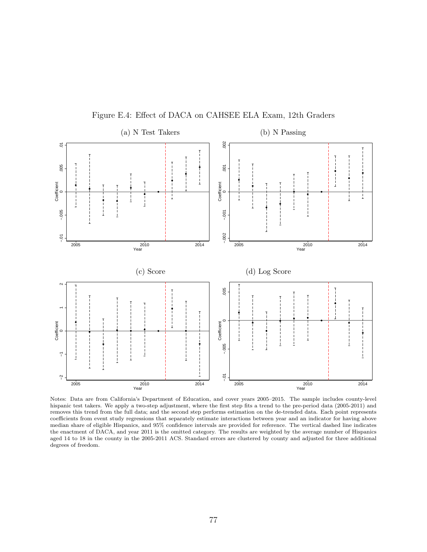

Figure E.4: Effect of DACA on CAHSEE ELA Exam, 12th Graders

Notes: Data are from California's Department of Education, and cover years 2005–2015. The sample includes county-level hispanic test takers. We apply a two-step adjustment, where the first step fits a trend to the pre-period data (2005-2011) and removes this trend from the full data; and the second step performs estimation on the de-trended data. Each point represents coefficients from event study regressions that separately estimate interactions between year and an indicator for having above median share of eligible Hispanics, and 95% confidence intervals are provided for reference. The vertical dashed line indicates the enactment of DACA, and year 2011 is the omitted category. The results are weighted by the average number of Hispanics aged 14 to 18 in the county in the 2005-2011 ACS. Standard errors are clustered by county and adjusted for three additional degrees of freedom.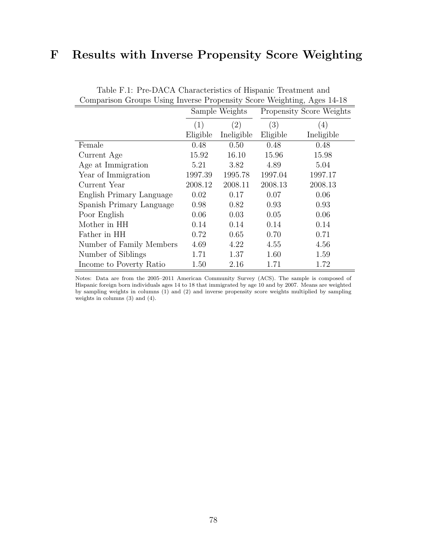## F Results with Inverse Propensity Score Weighting

| Comparison Groups Using Inverse Eropensity Score Weighting, Ages 14-16 |                |                   |                          |                   |  |
|------------------------------------------------------------------------|----------------|-------------------|--------------------------|-------------------|--|
|                                                                        | Sample Weights |                   | Propensity Score Weights |                   |  |
|                                                                        | (1)            | $\left( 2\right)$ | (3)                      | $\left( 4\right)$ |  |
|                                                                        | Eligible       | Ineligible        | Eligible                 | Ineligible        |  |
| Female                                                                 | 0.48           | 0.50              | 0.48                     | 0.48              |  |
| Current Age                                                            | 15.92          | 16.10             | 15.96                    | 15.98             |  |
| Age at Immigration                                                     | 5.21           | 3.82              | 4.89                     | 5.04              |  |
| Year of Immigration                                                    | 1997.39        | 1995.78           | 1997.04                  | 1997.17           |  |
| Current Year                                                           | 2008.12        | 2008.11           | 2008.13                  | 2008.13           |  |
| English Primary Language                                               | 0.02           | 0.17              | 0.07                     | 0.06              |  |
| Spanish Primary Language                                               | 0.98           | 0.82              | 0.93                     | 0.93              |  |
| Poor English                                                           | 0.06           | 0.03              | 0.05                     | 0.06              |  |
| Mother in HH                                                           | 0.14           | 0.14              | 0.14                     | 0.14              |  |
| Father in HH                                                           | 0.72           | 0.65              | 0.70                     | 0.71              |  |
| Number of Family Members                                               | 4.69           | 4.22              | 4.55                     | 4.56              |  |
| Number of Siblings                                                     | 1.71           | 1.37              | 1.60                     | 1.59              |  |
| Income to Poverty Ratio                                                | 1.50           | 2.16              | 1.71                     | 1.72              |  |

Table F.1: Pre-DACA Characteristics of Hispanic Treatment and Comparison Groups Using Inverse Propensity Score Weighting, Ages 14-18

Notes: Data are from the 2005–2011 American Community Survey (ACS). The sample is composed of Hispanic foreign born individuals ages 14 to 18 that immigrated by age 10 and by 2007. Means are weighted by sampling weights in columns (1) and (2) and inverse propensity score weights multiplied by sampling weights in columns (3) and (4).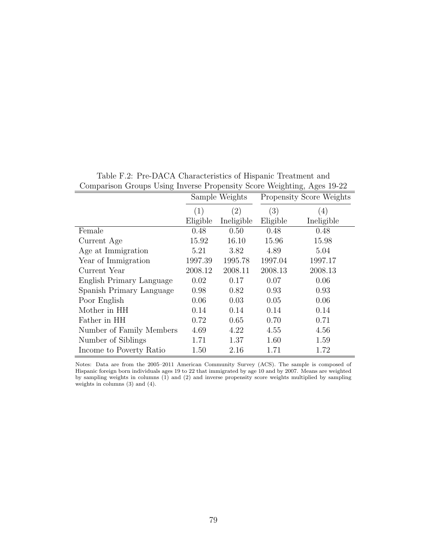| comparison croups come inverse rropensity secre weighting, right to $\mu$ |                |                   |                          |            |  |
|---------------------------------------------------------------------------|----------------|-------------------|--------------------------|------------|--|
|                                                                           | Sample Weights |                   | Propensity Score Weights |            |  |
|                                                                           | (1)            | $\left( 2\right)$ | (3)                      | (4)        |  |
|                                                                           | Eligible       | Ineligible        | Eligible                 | Ineligible |  |
| Female                                                                    | 0.48           | 0.50              | 0.48                     | 0.48       |  |
| Current Age                                                               | 15.92          | 16.10             | 15.96                    | 15.98      |  |
| Age at Immigration                                                        | 5.21           | 3.82              | 4.89                     | 5.04       |  |
| Year of Immigration                                                       | 1997.39        | 1995.78           | 1997.04                  | 1997.17    |  |
| Current Year                                                              | 2008.12        | 2008.11           | 2008.13                  | 2008.13    |  |
| English Primary Language                                                  | 0.02           | 0.17              | 0.07                     | 0.06       |  |
| Spanish Primary Language                                                  | 0.98           | 0.82              | 0.93                     | 0.93       |  |
| Poor English                                                              | 0.06           | 0.03              | 0.05                     | 0.06       |  |
| Mother in HH                                                              | 0.14           | 0.14              | 0.14                     | 0.14       |  |
| Father in HH                                                              | 0.72           | 0.65              | 0.70                     | 0.71       |  |
| Number of Family Members                                                  | 4.69           | 4.22              | 4.55                     | 4.56       |  |
| Number of Siblings                                                        | 1.71           | 1.37              | 1.60                     | 1.59       |  |
| Income to Poverty Ratio                                                   | 1.50           | $2.16\,$          | 1.71                     | 1.72       |  |

Table F.2: Pre-DACA Characteristics of Hispanic Treatment and Comparison Groups Using Inverse Propensity Score Weighting, Ages 19-22

Notes: Data are from the 2005–2011 American Community Survey (ACS). The sample is composed of Hispanic foreign born individuals ages 19 to 22 that immigrated by age 10 and by 2007. Means are weighted by sampling weights in columns (1) and (2) and inverse propensity score weights multiplied by sampling weights in columns (3) and (4).